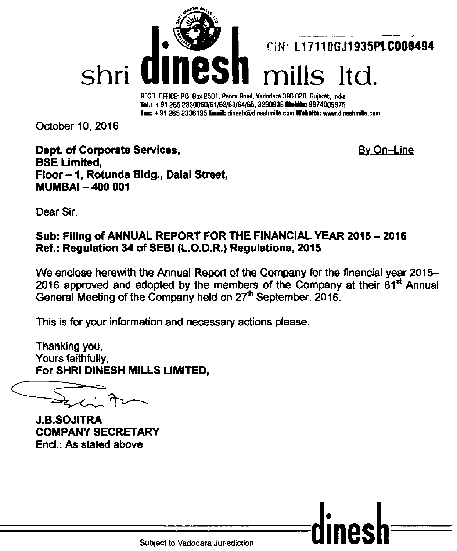

REGD, OFFICE: P.O. Box 2501, Padra Road, Vadodara 390 020, Guiarat, India Tel.: +91 265 2330060/61/62/63/64/65, 3290938 Mehile: 9974005975 Fax: +91 265 2336195 Email: dinesh@dineshmills.com Website: www.dineshmills.com

October 10, 2016

Dept. of Corporate Services. **BSE Limited.** Floor - 1, Rotunda Bldg., Dalal Street, **MUMBAI-400001** 

By On-Line

Dear Sir.

## Sub: Filing of ANNUAL REPORT FOR THE FINANCIAL YEAR 2015 - 2016 Ref.: Requiation 34 of SEBI (L.O.D.R.) Requiations, 2015

We enclose herewith the Annual Report of the Company for the financial year 2015– 2016 approved and adopted by the members of the Company at their 81<sup>st</sup> Annual General Meeting of the Company held on 27<sup>th</sup> September, 2016.

This is for your information and necessary actions please.

Thanking you, Yours faithfully. For SHRI DINESH MILLS LIMITED.

**J.B.SOJITRA COMPANY SECRETARY** Encl.: As stated above

Subject to Vadodara Jurisdiction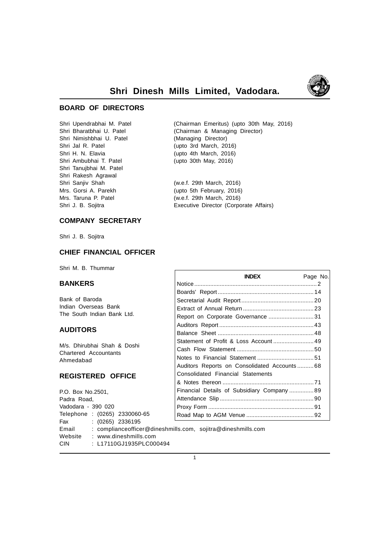

**INDEX** Page No.

Notice ............................................................................. 2 Boards' Report ............................................................14 Secretarial Audit Report .............................................20 Extract of Annual Return ............................................23 Report on Corporate Governance ..............................31 Auditors Report ...........................................................43 Balance Sheet ............................................................48 Statement of Profit & Loss Account..............................49 Cash Flow Statement ................................................50 Notes to Financial Statement ...................................51 Auditors Reports on Consolidated Accounts ..........68

#### **BOARD OF DIRECTORS**

Shri Nimishbhai U. Patel (Managing Director) Shri Jal R. Patel (upto 3rd March, 2016) Shri H. N. Elavia **March, 2016**) (upto 4th March, 2016) Shri Ambubhai T. Patel (upto 30th May, 2016) Shri Tanujbhai M. Patel Shri Rakesh Agrawal Shri Sanjiv Shah (w.e.f. 29th March, 2016) Mrs. Gorsi A. Parekh (upto 5th February, 2016) Mrs. Taruna P. Patel (w.e.f. 29th March, 2016)

Shri Upendrabhai M. Patel (Chairman Emeritus) (upto 30th May, 2016) Shri Bharatbhai U. Patel (Chairman & Managing Director)

Shri J. B. Sojitra Executive Director (Corporate Affairs)

Consolidated Financial Statements

#### **COMPANY SECRETARY**

Shri J. B. Sojitra

#### **CHIEF FINANCIAL OFFICER**

Shri M. B. Thummar

#### **BANKERS**

Bank of Baroda Indian Overseas Bank The South Indian Bank Ltd.

#### **AUDITORS**

M/s. Dhirubhai Shah & Doshi Chartered Accountants Ahmedabad

#### **REGISTERED OFFICE**

P.O. Box No.2501, Padra Road, Vadodara - 390 020 Telephone : (0265) 2330060-65 Fax : (0265) 2336195 Email : complianceofficer@dineshmills.com, sojitra@dineshmills.com Website : www.dineshmills.com CIN : L17110GJ1935PLC000494 & Notes thereon .........................................................71 Financial Details of Subsidiary Company ...............89 Attendance Slip ...........................................................90 Proxy Form ..................................................................91 Road Map to AGM Venue ..........................................92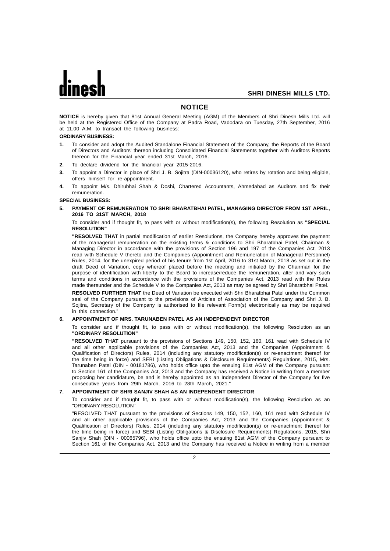#### **NOTICE**

**NOTICE** is hereby given that 81st Annual General Meeting (AGM) of the Members of Shri Dinesh Mills Ltd. will be held at the Registered Office of the Company at Padra Road, Vadodara on Tuesday, 27th September, 2016 at 11.00 A.M. to transact the following business:

#### **ORDINARY BUSINESS:**

- **1.** To consider and adopt the Audited Standalone Financial Statement of the Company, the Reports of the Board of Directors and Auditors' thereon including Consolidated Financial Statements together with Auditors Reports thereon for the Financial year ended 31st March, 2016.
- **2.** To declare dividend for the financial year 2015-2016.
- **3.** To appoint a Director in place of Shri J. B. Sojitra (DIN-00036120), who retires by rotation and being eligible, offers himself for re-appointment.
- **4.** To appoint M/s. Dhirubhai Shah & Doshi, Chartered Accountants, Ahmedabad as Auditors and fix their remuneration.

#### **SPECIAL BUSINESS:**

**5. PAYMENT OF REMUNERATION TO SHRI BHARATBHAI PATEL, MANAGING DIRECTOR FROM 1ST APRIL, 2016 TO 31ST MARCH, 2018**

To consider and if thought fit, to pass with or without modification(s), the following Resolution as **"SPECIAL RESOLUTION"**

**"RESOLVED THAT** in partial modification of earlier Resolutions, the Company hereby approves the payment of the managerial remuneration on the existing terms & conditions to Shri Bharatbhai Patel, Chairman & Managing Director in accordance with the provisions of Section 196 and 197 of the Companies Act, 2013 read with Schedule V thereto and the Companies (Appointment and Remuneration of Managerial Personnel) Rules, 2014, for the unexpired period of his tenure from 1st April, 2016 to 31st March, 2018 as set out in the draft Deed of Variation, copy whereof placed before the meeting and initialed by the Chairman for the purpose of identification with liberty to the Board to increase/reduce the remuneration, alter and vary such terms and conditions in accordance with the provisions of the Companies Act, 2013 read with the Rules made thereunder and the Schedule V to the Companies Act, 2013 as may be agreed by Shri Bharatbhai Patel.

**RESOLVED FURTHER THAT** the Deed of Variation be executed with Shri Bharatbhai Patel under the Common seal of the Company pursuant to the provisions of Articles of Association of the Company and Shri J. B. Sojitra, Secretary of the Company is authorised to file relevant Form(s) electronically as may be required in this connection."

#### **6. APPOINTMENT OF MRS. TARUNABEN PATEL AS AN INDEPENDENT DIRECTOR**

To consider and if thought fit, to pass with or without modification(s), the following Resolution as an **"ORDINARY RESOLUTION"**

**"RESOLVED THAT** pursuant to the provisions of Sections 149, 150, 152, 160, 161 read with Schedule IV and all other applicable provisions of the Companies Act, 2013 and the Companies (Appointment & Qualification of Directors) Rules, 2014 (including any statutory modification(s) or re-enactment thereof for the time being in force) and SEBI (Listing Obligations & Disclosure Requirements) Regulations, 2015, Mrs. Tarunaben Patel (DIN - 00181786), who holds office upto the ensuing 81st AGM of the Company pursuant to Section 161 of the Companies Act, 2013 and the Company has received a Notice in writing from a member proposing her candidature, be and is hereby appointed as an Independent Director of the Company for five consecutive years from 29th March, 2016 to 28th March, 2021."

#### **7. APPOINTMENT OF SHRI SANJIV SHAH AS AN INDEPENDENT DIRECTOR**

To consider and if thought fit, to pass with or without modification(s), the following Resolution as an "ORDINARY RESOLUTION"

"RESOLVED THAT pursuant to the provisions of Sections 149, 150, 152, 160, 161 read with Schedule IV and all other applicable provisions of the Companies Act, 2013 and the Companies (Appointment & Qualification of Directors) Rules, 2014 (including any statutory modification(s) or re-enactment thereof for the time being in force) and SEBI (Listing Obligations & Disclosure Requirements) Regulations, 2015, Shri Sanjiv Shah (DIN - 00065796), who holds office upto the ensuing 81st AGM of the Company pursuant to Section 161 of the Companies Act, 2013 and the Company has received a Notice in writing from a member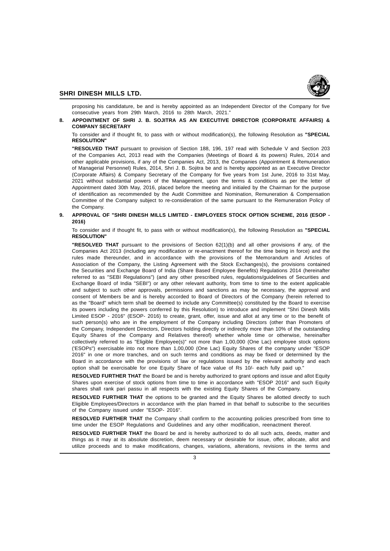

proposing his candidature, be and is hereby appointed as an Independent Director of the Company for five consecutive years from 29th March, 2016 to 28th March, 2021."

#### **8. APPOINTMENT OF SHRI J. B. SOJITRA AS AN EXECUTIVE DIRECTOR (CORPORATE AFFAIRS) & COMPANY SECRETARY**

To consider and if thought fit, to pass with or without modification(s), the following Resolution as **"SPECIAL RESOLUTION"**

**"RESOLVED THAT** pursuant to provision of Section 188, 196, 197 read with Schedule V and Section 203 of the Companies Act, 2013 read with the Companies (Meetings of Board & its powers) Rules, 2014 and other applicable provisions, if any of the Companies Act, 2013, the Companies (Appointment & Remuneration of Managerial Personnel) Rules, 2014, Shri J. B. Sojitra be and is hereby appointed as an Executive Director (Corporate Affairs) & Company Secretary of the Company for five years from 1st June, 2016 to 31st May, 2021 without substantial powers of the Management, upon the terms & conditions as per the letter of Appointment dated 30th May, 2016, placed before the meeting and initialed by the Chairman for the purpose of identification as recommended by the Audit Committee and Nomination, Remuneration & Compensation Committee of the Company subject to re-consideration of the same pursuant to the Remuneration Policy of the Company.

#### **9. APPROVAL OF "SHRI DINESH MILLS LIMITED - EMPLOYEES STOCK OPTION SCHEME, 2016 (ESOP - 2016)**

To consider and if thought fit, to pass with or without modification(s), the following Resolution as **"SPECIAL RESOLUTION"**

**"RESOLVED THAT** pursuant to the provisions of Section 62(1)(b) and all other provisions if any, of the Companies Act 2013 (including any modification or re-enactment thereof for the time being in force) and the rules made thereunder, and in accordance with the provisions of the Memorandum and Articles of Association of the Company, the Listing Agreement with the Stock Exchanges(s), the provisions contained the Securities and Exchange Board of India (Share Based Employee Benefits) Regulations 2014 (hereinafter referred to as "SEBI Regulations") (and any other prescribed rules, regulations/guidelines of Securities and Exchange Board of India "SEBI") or any other relevant authority, from time to time to the extent applicable and subject to such other approvals, permissions and sanctions as may be necessary, the approval and consent of Members be and is hereby accorded to Board of Directors of the Company (herein referred to as the "Board" which term shall be deemed to include any Committee(s) constituted by the Board to exercise its powers including the powers conferred by this Resolution) to introduce and implement "Shri Dinesh Mills Limited ESOP - 2016" (ESOP- 2016) to create, grant, offer, issue and allot at any time or to the benefit of such person(s) who are in the employment of the Company including Directors (other than Promoters of the Company, Independent Directors, Directors holding directly or indirectly more than 10% of the outstanding Equity Shares of the Company and Relatives thereof) whether whole time or otherwise, hereinafter collectively referred to as "Eligible Employee(s)" not more than 1,00,000 (One Lac) employee stock options ('ESOPs") exercisable into not more than 1,00,000 (One Lac) Equity Shares of the company under "ESOP 2016" in one or more tranches, and on such terms and conditions as may be fixed or determined by the Board in accordance with the provisions of law or regulations issued by the relevant authority and each option shall be exercisable for one Equity Share of face value of Rs 10/- each fully paid up."

**RESOLVED FURTHER THAT** the Board be and is hereby authorized to grant options and issue and allot Equity Shares upon exercise of stock options from time to time in accordance with "ESOP 2016" and such Equity shares shall rank pari passu in all respects with the existing Equity Shares of the Company.

**RESOLVED FURTHER THAT** the options to be granted and the Equity Shares be allotted directly to such Eligible Employees/Directors in accordance with the plan framed in that behalf to subscribe to the securities of the Company issued under "ESOP- 2016".

**RESOLVED FURTHER THAT** the Company shall confirm to the accounting policies prescribed from time to time under the ESOP Regulations and Guidelines and any other modification, reenactment thereof.

**RESOLVED FURTHER THAT** the Board be and is hereby authorized to do all such acts, deeds, matter and things as it may at its absolute discretion, deem necessary or desirable for issue, offer, allocate, allot and utilize proceeds and to make modifications, changes, variations, alterations, revisions in the terms and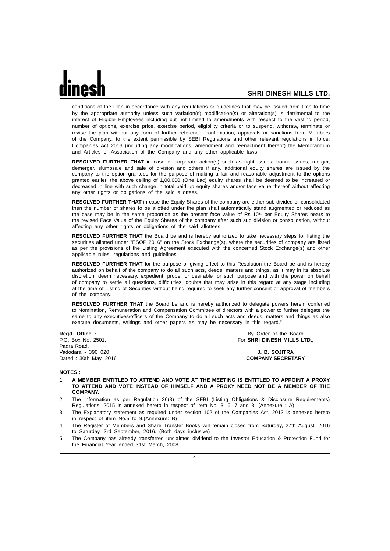conditions of the Plan in accordance with any regulations or guidelines that may be issued from time to time by the appropriate authority unless such variation(s) modification(s) or alteration(s) is detrimental to the interest of Eligible Employees including but not limited to amendments with respect to the vesting period, number of options, exercise price, exercise period, eligibility criteria or to suspend, withdraw, terminate or revise the plan without any form of further reference, confirmation, approvals or sanctions from Members of the Company, to the extent permissible by SEBI Regulations and other relevant regulations in force, Companies Act 2013 (including any modifications, amendment and reenactment thereof) the Memorandum and Articles of Association of the Company and any other applicable laws

**RESOLVED FURTHER THAT** in case of corporate action(s) such as right issues, bonus issues, merger, demerger, slumpsale and sale of division and others if any, additional equity shares are issued by the company to the option grantees for the purpose of making a fair and reasonable adjustment to the options granted earlier, the above ceiling of 1,00,000 (One Lac) equity shares shall be deemed to be increased or decreased in line with such change in total paid up equity shares and/or face value thereof without affecting any other rights or obligations of the said allottees.

**RESOLVED FURTHER THAT** in case the Equity Shares of the company are either sub divided or consolidated then the number of shares to be allotted under the plan shall automatically stand augmented or reduced as the case may be in the same proportion as the present face value of Rs 10/- per Equity Shares bears to the revised Face Value of the Equity Shares of the company after such sub division or consolidation, without affecting any other rights or obligations of the said allottees.

**RESOLVED FURTHER THAT** the Board be and is hereby authorized to take necessary steps for listing the securities allotted under "ESOP 2016" on the Stock Exchange(s), where the securities of company are listed as per the provisions of the Listing Agreement executed with the concerned Stock Exchange(s) and other applicable rules, regulations and guidelines.

**RESOLVED FURTHER THAT** for the purpose of giving effect to this Resolution the Board be and is hereby authorized on behalf of the company to do all such acts, deeds, matters and things, as it may in its absolute discretion, deem necessary, expedient, proper or desirable for such purpose and with the power on behalf of company to settle all questions, difficulties, doubts that may arise in this regard at any stage including at the time of Listing of Securities without being required to seek any further consent or approval of members of the company.

**RESOLVED FURTHER THAT** the Board be and is hereby authorized to delegate powers herein conferred to Nomination, Remuneration and Compensation Committee of directors with a power to further delegate the same to any executives/officers of the Company to do all such acts and deeds, matters and things as also execute documents, writings and other papers as may be necessary in this regard."

Padra Road, Dated : 30th May, 2016

**Regd. Office :** By Order of the Board<br>
P.O. Box No. 2501, **By Order of the Board**<br> **P.O. Box No. 2501, By Order of the Board** For **SHRI DINESH MILLS LTD.,** 

Vadodara - 390 020 **J. B. SOJITRA**

#### **NOTES :**

- 1. **A MEMBER ENTITLED TO ATTEND AND VOTE AT THE MEETING IS ENTITLED TO APPOINT A PROXY TO ATTEND AND VOTE INSTEAD OF HIMSELF AND A PROXY NEED NOT BE A MEMBER OF THE COMPANY.**
- 2. The information as per Regulation 36(3) of the SEBI (Listing Obligations & Disclosure Requirements) Regulations, 2015 is annexed hereto in respect of item No. 3, 6. 7 and 8. (Annexure : A)
- 3. The Explanatory statement as required under section 102 of the Companies Act, 2013 is annexed hereto in respect of item No.5 to 9.(Annexure: B)
- 4. The Register of Members and Share Transfer Books will remain closed from Saturday, 27th August, 2016 to Saturday, 3rd September, 2016. (Both days inclusive)
- 5. The Company has already transferred unclaimed dividend to the Investor Education & Protection Fund for the Financial Year ended 31st March, 2008.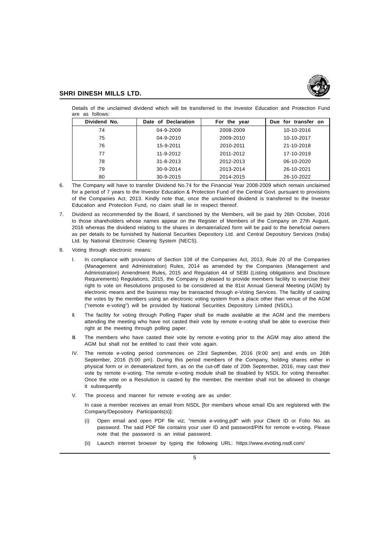

Details of the unclaimed dividend which will be transferred to the Investor Education and Protection Fund are as follows:

| Dividend No. | Date of Declaration | For the year | Due for transfer on |
|--------------|---------------------|--------------|---------------------|
| 74           | 04-9-2009           | 2008-2009    | 10-10-2016          |
| 75           | 04-9-2010           | 2009-2010    | 10-10-2017          |
| 76           | 15-9-2011           | 2010-2011    | 21-10-2018          |
| 77           | 11-9-2012           | 2011-2012    | 17-10-2019          |
| 78           | $31 - 8 - 2013$     | 2012-2013    | 06-10-2020          |
| 79           | 30-9-2014           | 2013-2014    | 26-10-2021          |
| 80           | 30-9-2015           | 2014-2015    | 26-10-2022          |

6. The Company will have to transfer Dividend No.74 for the Financial Year 2008-2009 which remain unclaimed for a period of 7 years to the Investor Education & Protection Fund of the Central Govt. pursuant to provisions of the Companies Act, 2013. Kindly note that, once the unclaimed dividend is transferred to the Investor Education and Protection Fund, no claim shall lie in respect thereof.

- 7. Dividend as recommended by the Board, if sanctioned by the Members, will be paid by 26th October, 2016 to those shareholders whose names appear on the Register of Members of the Company on 27th August, 2016 whereas the dividend relating to the shares in dematerialized form will be paid to the beneficial owners as per details to be furnished by National Securities Depository Ltd. and Central Depository Services (India) Ltd. by National Electronic Clearing System (NECS).
- 8. Voting through electronic means:
	- In compliance with provisions of Section 108 of the Companies Act, 2013, Rule 20 of the Companies (Management and Administration) Rules, 2014 as amended by the Companies (Management and Administration) Amendment Rules, 2015 and Regulation 44 of SEBI (Listing obligations and Discloure Requirements) Regulations, 2015, the Company is pleased to provide members facility to exercise their right to vote on Resolutions proposed to be considered at the 81st Annual General Meeting (AGM) by electronic means and the business may be transacted through e-Voting Services. The facility of casting the votes by the members using an electronic voting system from a place other than venue of the AGM ("remote e-voting") will be provided by National Securities Depository Limited (NSDL).
	- II. The facility for voting through Polling Paper shall be made available at the AGM and the members attending the meeting who have not casted their vote by remote e-voting shall be able to exercise their right at the meeting through polling paper.
	- III. The members who have casted their vote by remote e-voting prior to the AGM may also attend the AGM but shall not be entitled to cast their vote again.
	- IV. The remote e-voting period commences on 23rd September, 2016 (9:00 am) and ends on 26th September, 2016 (5:00 pm). During this period members of the Company, holding shares either in physical form or in dematerialized form, as on the cut-off date of 20th September, 2016, may cast their vote by remote e-voting. The remote e-voting module shall be disabled by NSDL for voting thereafter. Once the vote on a Resolution is casted by the member, the member shall not be allowed to change it subsequently.
	- V. The process and manner for remote e-voting are as under:

In case a member receives an email from NSDL [for members whose email IDs are registered with the Company/Depository Participants(s)]:

- (i) Open email and open PDF file viz; "remote e-voting.pdf" with your Client ID or Folio No. as password. The said PDF file contains your user ID and password/PIN for remote e-voting. Please note that the password is an initial password.
- (ii) Launch internet browser by typing the following URL: https://www.evoting.nsdl.com/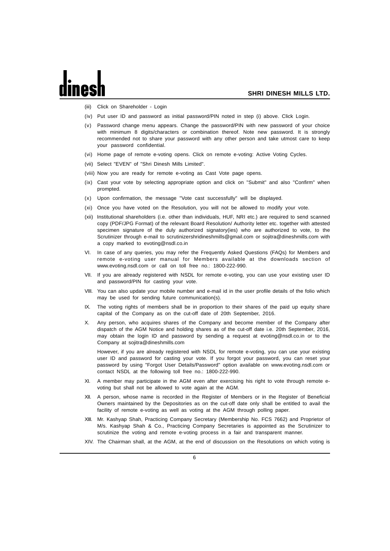- (iii) Click on Shareholder Login
- (iv) Put user ID and password as initial password/PIN noted in step (i) above. Click Login.
- (v) Password change menu appears. Change the password/PIN with new password of your choice with minimum 8 digits/characters or combination thereof. Note new password. It is strongly recommended not to share your password with any other person and take utmost care to keep your password confidential.
- (vi) Home page of remote e-voting opens. Click on remote e-voting: Active Voting Cycles.
- (vii) Select "EVEN" of "Shri Dinesh Mills Limited".
- (viii) Now you are ready for remote e-voting as Cast Vote page opens.
- (ix) Cast your vote by selecting appropriate option and click on "Submit" and also "Confirm" when prompted.
- (x) Upon confirmation, the message "Vote cast successfully" will be displayed.
- (xi) Once you have voted on the Resolution, you will not be allowed to modify your vote.
- (xii) Institutional shareholders (i.e. other than individuals, HUF, NRI etc.) are required to send scanned copy (PDF/JPG Format) of the relevant Board Resolution/ Authority letter etc. together with attested specimen signature of the duly authorized signatory(ies) who are authorized to vote, to the Scrutinizer through e-mail to scrutinizershridineshmills@gmail.com or sojitra@dineshmills.com with a copy marked to evoting@nsdl.co.in
- VI. In case of any queries, you may refer the Frequently Asked Questions (FAQs) for Members and remote e-voting user manual for Members available at the downloads section of www.evoting.nsdl.com or call on toll free no.: 1800-222-990.
- VII. If you are already registered with NSDL for remote e-voting, you can use your existing user ID and password/PIN for casting your vote.
- VIII. You can also update your mobile number and e-mail id in the user profile details of the folio which may be used for sending future communication(s).
- IX. The voting rights of members shall be in proportion to their shares of the paid up equity share capital of the Company as on the cut-off date of 20th September, 2016.
- X. Any person, who acquires shares of the Company and become member of the Company after dispatch of the AGM Notice and holding shares as of the cut-off date i.e. 20th September, 2016, may obtain the login ID and password by sending a request at evoting@nsdl.co.in or to the Company at sojitra@dineshmills.com

However, if you are already registered with NSDL for remote e-voting, you can use your existing user ID and password for casting your vote. If you forgot your password, you can reset your password by using "Forgot User Details/Password" option available on www.evoting.nsdl.com or contact NSDL at the following toll free no.: 1800-222-990.

- XI. A member may participate in the AGM even after exercising his right to vote through remote evoting but shall not be allowed to vote again at the AGM.
- XII. A person, whose name is recorded in the Register of Members or in the Register of Beneficial Owners maintained by the Depositories as on the cut-off date only shall be entitled to avail the facility of remote e-voting as well as voting at the AGM through polling paper.
- XIII. Mr. Kashyap Shah, Practicing Company Secretary (Membership No. FCS 7662) and Proprietor of M/s. Kashyap Shah & Co., Practicing Company Secretaries is appointed as the Scrutinizer to scrutinize the voting and remote e-voting process in a fair and transparent manner.
- XIV. The Chairman shall, at the AGM, at the end of discussion on the Resolutions on which voting is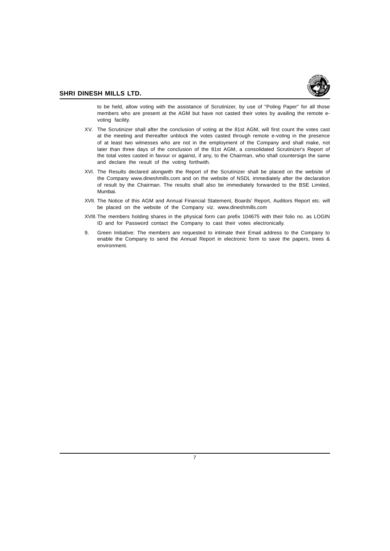

to be held, allow voting with the assistance of Scrutinizer, by use of "Poling Paper" for all those members who are present at the AGM but have not casted their votes by availing the remote evoting facility.

- XV. The Scrutinizer shall after the conclusion of voting at the 81st AGM, will first count the votes cast at the meeting and thereafter unblock the votes casted through remote e-voting in the presence of at least two witnesses who are not in the employment of the Company and shall make, not later than three days of the conclusion of the 81st AGM, a consolidated Scrutinizer's Report of the total votes casted in favour or against, if any, to the Chairman, who shall countersign the same and declare the result of the voting forthwith.
- XVI. The Results declared alongwith the Report of the Scrutinizer shall be placed on the website of the Company www.dineshmills.com and on the website of NSDL immediately after the declaration of result by the Chairman. The results shall also be immediately forwarded to the BSE Limited, Mumbai.
- XVII. The Notice of this AGM and Annual Financial Statement, Boards' Report, Auditors Report etc. will be placed on the website of the Company viz. www.dineshmills.com
- XVIII.The members holding shares in the physical form can prefix 104675 with their folio no. as LOGIN ID and for Password contact the Company to cast their votes electronically.
- 9. Green Initiative: The members are requested to intimate their Email address to the Company to enable the Company to send the Annual Report in electronic form to save the papers, trees & environment.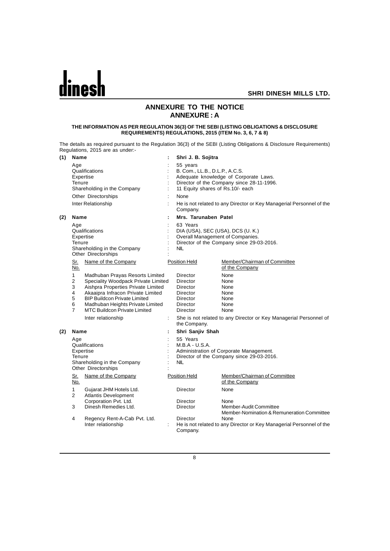## dinesh

#### **SHRI DINESH MILLS LTD.**

### **ANNEXURE TO THE NOTICE ANNEXURE : A**

#### **THE INFORMATION AS PER REGULATION 36(3) OF THE SEBI (LISTING OBLIGATIONS & DISCLOSURE REQUIREMENTS) REGULATIONS, 2015 (ITEM No. 3, 6, 7 & 8)**

The details as required pursuant to the Regulation 36(3) of the SEBI (Listing Obligations & Disclosure Requirements) Regulations, 2015 are as under:-

| (1) | <b>Name</b>                                                                                               |                                                                                                                                                                                                                                                                     | Shri J. B. Sojitra                                                                                                               |                                                                                         |
|-----|-----------------------------------------------------------------------------------------------------------|---------------------------------------------------------------------------------------------------------------------------------------------------------------------------------------------------------------------------------------------------------------------|----------------------------------------------------------------------------------------------------------------------------------|-----------------------------------------------------------------------------------------|
|     | Age<br>Tenure                                                                                             | Qualifications<br>Expertise<br>Shareholding in the Company                                                                                                                                                                                                          | 55 years<br>B. Com., LL.B., D.L.P., A.C.S.<br>11 Equity shares of Rs.10/- each                                                   | Adequate knowledge of Corporate Laws.<br>Director of the Company since 28-11-1996.      |
|     |                                                                                                           | <b>Other Directorships</b>                                                                                                                                                                                                                                          | None                                                                                                                             |                                                                                         |
|     |                                                                                                           | Inter Relationship                                                                                                                                                                                                                                                  | Company.                                                                                                                         | He is not related to any Director or Key Managerial Personnel of the                    |
| (2) | <b>Name</b>                                                                                               |                                                                                                                                                                                                                                                                     | Mrs. Tarunaben Patel                                                                                                             |                                                                                         |
|     | Age<br>Tenure                                                                                             | Qualifications<br>Expertise<br>Shareholding in the Company<br><b>Other Directorships</b>                                                                                                                                                                            | 63 Years<br>DIA (USA), SEC (USA), DCS (U. K.)<br>Overall Management of Companies.<br><b>NIL</b>                                  | Director of the Company since 29-03-2016.                                               |
|     | Sr.<br>No.                                                                                                | Name of the Company                                                                                                                                                                                                                                                 | <b>Position Held</b>                                                                                                             | Member/Chairman of Committee<br>of the Company                                          |
|     | 1<br>$\overline{2}$<br>3<br>$\overline{4}$<br>5<br>6<br>$\overline{7}$                                    | Madhuban Prayas Resorts Limited<br>Speciality Woodpack Private Limited<br>Aishpra Properties Private Limited<br>Akaaipra Infracon Private Limited<br><b>BIP Buildcon Private Limited</b><br>Madhuban Heights Private Limited<br><b>MTC Buildcon Private Limited</b> | Director<br>Director<br>Director<br>Director<br>Director<br>Director<br>Director                                                 | None<br>None<br>None<br>None<br>None<br>None<br>None                                    |
|     |                                                                                                           | Inter relationship                                                                                                                                                                                                                                                  | the Company.                                                                                                                     | She is not related to any Director or Key Managerial Personnel of                       |
| (2) | Name                                                                                                      |                                                                                                                                                                                                                                                                     | Shri Sanjiv Shah                                                                                                                 |                                                                                         |
|     | Age<br>Qualifications<br>Expertise<br>Tenure<br>Shareholding in the Company<br><b>Other Directorships</b> |                                                                                                                                                                                                                                                                     | 55 Years<br>M.B.A - U.S.A.<br>Administration of Corporate Management.<br>Director of the Company since 29-03-2016.<br><b>NIL</b> |                                                                                         |
|     | Sr.<br>No.                                                                                                | Name of the Company                                                                                                                                                                                                                                                 | <b>Position Held</b>                                                                                                             | Member/Chairman of Committee<br>of the Company                                          |
|     | $\mathbf{1}$<br>2                                                                                         | Gujarat JHM Hotels Ltd.<br><b>Atlantis Development</b>                                                                                                                                                                                                              | Director                                                                                                                         | None                                                                                    |
|     | 3                                                                                                         | Corporation Pvt. Ltd.<br>Dinesh Remedies Ltd.                                                                                                                                                                                                                       | Director<br>Director                                                                                                             | None<br>Member-Audit Committee<br><b>Member-Nomination &amp; Remuneration Committee</b> |
|     | 4                                                                                                         | Regency Rent-A-Cab Pvt. Ltd.<br>Inter relationship                                                                                                                                                                                                                  | Director<br>Company.                                                                                                             | None<br>He is not related to any Director or Key Managerial Personnel of the            |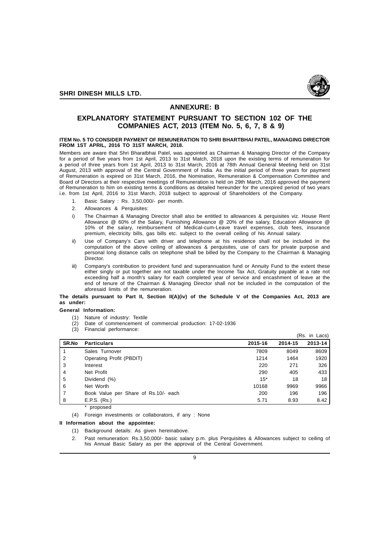

#### **ANNEXURE: B**

#### **EXPLANATORY STATEMENT PURSUANT TO SECTION 102 OF THE COMPANIES ACT, 2013 (ITEM No. 5, 6, 7, 8 & 9)**

#### **ITEM No. 5 TO CONSIDER PAYMENT OF REMUNERATION TO SHRI BHARTBHAI PATEL, MANAGING DIRECTOR FROM 1ST APRIL, 2016 TO 31ST MARCH, 2018.**

Members are aware that Shri Bharatbhai Patel, was appointed as Chairman & Managing Director of the Company for a period of five years from 1st April, 2013 to 31st Match, 2018 upon the existing terms of remuneration for a period of three years from 1st April, 2013 to 31st March, 2016 at 78th Annual General Meeting held on 31st August, 2013 with approval of the Central Government of India. As the initial period of three years for payment of Remuneration is expired on 31st March, 2016, the Nomination, Remuneration & Compensation Committee and Board of Directors at their respective meetings of Remuneration is held on 29th March, 2016 approved the payment of Remuneration to him on existing terms & conditions as detailed hereunder for the unexpired period of two years i.e. from 1st April, 2016 to 31st March, 2018 subject to approval of Shareholders of the Company.

- 1. Basic Salary : Rs. 3,50,000/- per month.
- 2. Allowances & Perquisites:
- i) The Chairman & Managing Director shall also be entitled to allowances & perquisites viz. House Rent Allowance @ 60% of the Salary, Furnishing Allowance @ 20% of the salary, Education Allowance @ 10% of the salary, reimbursement of Medical-cum-Leave travel expenses, club fees, insurance premium, electricity bills, gas bills etc. subject to the overall ceiling of his Annual salary.
- ii) Use of Company's Cars with driver and telephone at his residence shall not be included in the computation of the above ceiling of allowances & perquisites, use of cars for private purpose and personal long distance calls on telephone shall be billed by the Company to the Chairman & Managing Director.
- iii) Company's contribution to provident fund and superannuation fund or Annuity Fund to the extent these either singly or put together are not taxable under the Income Tax Act, Gratuity payable at a rate not exceeding half a month's salary for each completed year of service and encashment of leave at the end of tenure of the Chairman & Managing Director shall not be included in the computation of the aforesaid limits of the remuneration.

#### **The details pursuant to Part II, Section II(A)(iv) of the Schedule V of the Companies Act, 2013 are as under:**

#### **General Information:**

- (1) Nature of industry: Textile
- (2) Date of commencement of commercial production: 17-02-1936
- (3) Financial performance:

|       |                                      |         |         | (Rs. in Lacs) |
|-------|--------------------------------------|---------|---------|---------------|
| SR.No | <b>Particulars</b>                   | 2015-16 | 2014-15 | 2013-14       |
|       | Sales Turnover                       | 7809    | 8049    | 8609          |
| 2     | Operating Profit (PBDIT)             | 1214    | 1464    | 1920          |
| 3     | Interest                             | 220     | 271     | 326           |
| 4     | Net Profit                           | 290     | 405     | 433           |
| 5     | Dividend (%)                         | $15*$   | 18      | 18            |
| 6     | Net Worth                            | 10168   | 9969    | 9966          |
|       | Book Value per Share of Rs.10/- each | 200     | 196     | 196           |
| 8     | E.P.S. (Rs.)                         | 5.71    | 8.93    | 8.42          |
|       | propocod                             |         |         |               |

proposed

(4) Foreign investments or collaborators, if any : None

#### **II Information about the appointee:**

(1) Background details: As given hereinabove.

2. Past remuneration: Rs.3,50,000/- basic salary p.m. plus Perquisites & Allowances subject to ceiling of his Annual Basic Salary as per the approval of the Central Government.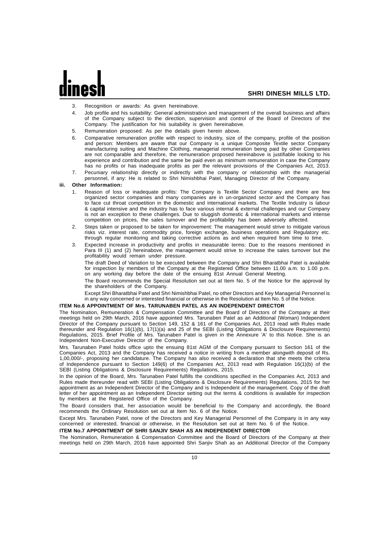- 3. Recognition or awards: As given hereinabove.
- 4. Job profile and his suitability: General administration and management of the overall business and affairs of the Company subject to the direction, supervision and control of the Board of Directors of the Company. The justification for his suitability is given hereinabove.
- 5. Remuneration proposed: As per the details given herein above.
- 6. Comparative remuneration profile with respect to industry, size of the company, profile of the position and person: Members are aware that our Company is a unique Composite Textile sector Company manufacturing suiting and Machine Clothing, managerial remuneration being paid by other Companies are not comparable and therefore, the remuneration proposed hereinabove is justifiable looking to his experience and contribution and the same be paid even as minimum remuneration in case the Company has no profits or has inadequate profits as per the relevant provisions of the Companies Act, 2013.
- 7. Pecuniary relationship directly or indirectly with the company or relationship with the managerial personnel, if any: He is related to Shri Nimishbhai Patel, Managing Director of the Company.
- **iii. Other Information:**
	- 1. Reason of loss or inadequate profits: The Company is Textile Sector Company and there are few organized sector companies and many companies are in un-organized sector and the Company has to face cut throat competition in the domestic and international markets. The Textile Industry is labour & capital intensive and the industry has to face various internal & external challenges and our Company is not an exception to these challenges. Due to sluggish domestic & international markets and intense competition on prices, the sales turnover and the profitability has been adversely affected.
	- 2. Steps taken or proposed to be taken for improvement: The management would strive to mitigate various risks viz. interest rate, commodity price, foreign exchange, business operations and Regulatory etc. through regular monitoring and taking corrective actions as and when required from time to time.
	- 3. Expected increase in productivity and profits in measurable terms: Due to the reasons mentioned in Para III (1) and (2) hereinabove, the management would strive to increase the sales turnover but the profitability would remain under pressure.

The draft Deed of Variation to be executed between the Company and Shri Bharatbhai Patel is available for inspection by members of the Company at the Registered Office between 11.00 a.m. to 1.00 p.m. on any working day before the date of the ensuing 81st Annual General Meeting.

The Board recommends the Special Resolution set out at Item No. 5 of the Notice for the approval by the shareholders of the Company.

Except Shri Bharatbhai Patel and Shri Nimishbhai Patel, no other Directors and Key Managerial Personnel is in any way concerned or interested financial or otherwise in the Resolution at Item No. 5 of the Notice.

#### **ITEM No.6 APPOINTMENT OF Mrs. TARUNABEN PATEL AS AN INDEPENDENT DIRECTOR**

The Nomination, Remuneration & Compensation Committee and the Board of Directors of the Company at their meetings held on 29th March, 2016 have appointed Mrs. Tarunaben Patel as an Additional (Woman) Independent Director of the Company pursuant to Section 149, 152 & 161 of the Companies Act, 2013 read with Rules made thereunder and Regulation 16(1)(b), 17(1)(a) and 25 of the SEBI (Listing Obligations & Disclosure Requirements) Regulations, 2015. Brief Profile of Mrs. Tarunaben Patel is given in the Annexure 'A' to this Notice. She is an Independent Non-Executive Director of the Company.

Mrs. Tarunaben Patel holds office upto the ensuing 81st AGM of the Company pursuant to Section 161 of the Companies Act, 2013 and the Company has received a notice in writing from a member alongwith deposit of Rs. 1,00,000/-, proposing her candidature. The Company has also received a declaration that she meets the criteria of Independence pursuant to Section 149(6) of the Companies Act, 2013 read with Regulation 16(1)(b) of the SEBI (Listing Obligations & Disclosure Requirements) Regulations, 2015.

In the opinion of the Board, Mrs. Tarunaben Patel fulfills the conditions specified in the Companies Act, 2013 and Rules made thereunder read with SEBI (Listing Obligations & Disclosure Requirements) Regulations, 2015 for her appointment as an Independent Director of the Company and is Independent of the management. Copy of the draft letter of her appointment as an Independent Director setting out the terms & conditions is available for inspection by members at the Registered Office of the Company.

The Board considers that, her association would be beneficial to the Company and accordingly, the Board recommends the Ordinary Resolution set out at Item No. 6 of the Notice.

Except Mrs. Tarunaben Patel, none of the Directors and Key Managerial Personnel of the Company is in any way concerned or interested, financial or otherwise, in the Resolution set out at Item No. 6 of the Notice.

#### **ITEM No.7 APPOINTMENT OF SHRI SANJIV SHAH AS AN INDEPENDENT DIRECTOR**

The Nomination, Remuneration & Compensation Committee and the Board of Directors of the Company at their meetings held on 29th March, 2016 have appointed Shri Sanjiv Shah as an Additional Director of the Company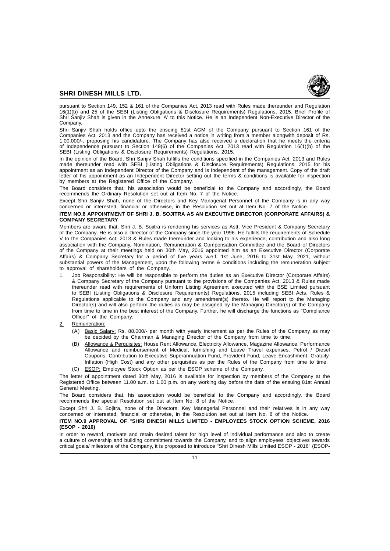

pursuant to Section 149, 152 & 161 of the Companies Act, 2013 read with Rules made thereunder and Regulation 16(1)(b) and 25 of the SEBI (Listing Obligations & Disclosure Requirements) Regulations, 2015. Brief Profile of Shri Sanjiv Shah is given in the Annexure 'A' to this Notice. He is an Independent Non-Executive Director of the Company.

Shri Sanjiv Shah holds office upto the ensuing 81st AGM of the Company pursuant to Section 161 of the Companies Act, 2013 and the Company has received a notice in writing from a member alongwith deposit of Rs. 1,00,000/-, proposing his candidature. The Company has also received a declaration that he meets the criteria of Independence pursuant to Section 149(6) of the Companies Act, 2013 read with Regulation 16(1)(b) of the SEBI (Listing Obligations & Disclosure Requirements) Regulations, 2015.

In the opinion of the Board, Shri Sanjiv Shah fulfills the conditions specified in the Companies Act, 2013 and Rules made thereunder read with SEBI (Listing Obligations & Disclosure Requirements) Regulations, 2015 for his appointment as an Independent Director of the Company and is Independent of the management. Copy of the draft letter of his appointment as an Independent Director setting out the terms & conditions is available for inspection by members at the Registered Office of the Company.

The Board considers that, his association would be beneficial to the Company and accordingly, the Board recommends the Ordinary Resolution set out at Item No. 7 of the Notice.

Except Shri Sanjiv Shah, none of the Directors and Key Managerial Personnel of the Company is in any way concerned or interested, financial or otherwise, in the Resolution set out at Item No. 7 of the Notice.

#### **ITEM NO.8 APPOINTMENT OF SHRI J. B. SOJITRA AS AN EXECUTIVE DIRECTOR (CORPORATE AFFAIRS) & COMPANY SECRETARY**

Members are aware that, Shri J. B. Sojitra is rendering his services as Astt. Vice President & Company Secretary of the Company. He is also a Director of the Company since the year 1996. He fulfills the requirements of Schedule V to the Companies Act, 2013 & Rules made thereunder and looking to his experience, contribution and also long association with the Company, Nomination, Remuneration & Compensation Committee and the Board of Directors of the Company at their meetings held on 30th May, 2016 appointed him as an Executive Director (Corporate Affairs) & Company Secretary for a period of five years w.e.f. 1st June, 2016 to 31st May, 2021, without substantial powers of the Management, upon the following terms & conditions including the remuneration subject to approval of shareholders of the Company.

- 1. Job Responsibility: He will be responsible to perform the duties as an Executive Director (Corporate Affairs) & Company Secretary of the Company pursuant to the provisions of the Companies Act, 2013 & Rules made thereunder read with requirements of Uniform Listing Agreement executed with the BSE Limited pursuant to SEBI (Listing Obligations & Disclosure Requirements) Regulations, 2015 including SEBI Acts, Rules & Regulations applicable to the Company and any amendment(s) thereto. He will report to the Managing Director(s) and will also perform the duties as may be assigned by the Managing Director(s) of the Company from time to time in the best interest of the Company. Further, he will discharge the functions as "Compliance Officer" of the Company.
- 2. Remuneration:
	- (A) Basic Salary: Rs. 88,000/- per month with yearly increment as per the Rules of the Company as may be decided by the Chairman & Managing Director of the Company from time to time.
	- (B) Allowance & Perquisites: House Rent Allowance, Electricity Allowance, Magazine Allowance, Performance Allowance and reimbursement of Medical, furnishing and Leave Travel expenses, Petrol / Diesel Coupons, Contribution to Executive Superannuation Fund, Provident Fund, Leave Encashment, Gratuity, Inflation (High Cost) and any other perquisites as per the Rules of the Company from time to time. (C) ESOP: Employee Stock Option as per the ESOP scheme of the Company.

The letter of appointment dated 30th May, 2016 is available for inspection by members of the Company at the Registered Office between 11.00 a.m. to 1.00 p.m. on any working day before the date of the ensuing 81st Annual General Meeting.

The Board considers that, his association would be beneficial to the Company and accordingly, the Board recommends the special Resolution set out at Item No. 8 of the Notice.

Except Shri J. B. Sojitra, none of the Directors, Key Managerial Personnel and their relatives is in any way concerned or interested, financial or otherwise, in the Resolution set out at Item No. 8 of the Notice.

#### **ITEM NO.9 APPROVAL OF "SHRI DINESH MILLS LIMITED - EMPLOYEES STOCK OPTION SCHEME, 2016 (ESOP - 2016)**

In order to reward, motivate and retain desired talent for high level of individual performance and also to create a culture of ownership and building commitment towards the Company, and to align employees' objectives towards critical goals/ milestone of the Company, it is proposed to introduce "Shri Dinesh Mills Limited ESOP - 2016" (ESOP-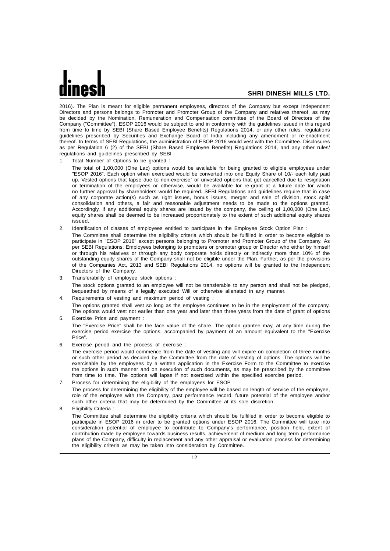2016). The Plan is meant for eligible permanent employees, directors of the Company but except Independent Directors and persons belongs to Promoter and Promoter Group of the Company and relatives thereof, as may be decided by the Nomination, Remuneration and Compensation committee of the Board of Directors of the Company ("Committee"). ESOP 2016 would be subject to and in conformity with the guidelines issued in this regard from time to time by SEBI (Share Based Employee Benefits) Regulations 2014, or any other rules, regulations guidelines prescribed by Securities and Exchange Board of India including any amendment or re-enactment thereof. In terms of SEBI Regulations, the administration of ESOP 2016 would vest with the Committee. Disclosures as per Regulation 6 (2) of the SEBI (Share Based Employee Benefits) Regulations 2014, and any other rules/ regulations and guidelines prescribed by SEBI

1. Total Number of Options to be granted :

The total of 1,00,000 (One Lac) options would be available for being granted to eligible employees under "ESOP 2016". Each option when exercised would be converted into one Equity Share of 10/- each fully paid up. Vested options that lapse due to non-exercise` or unvested options that get cancelled due to resignation or termination of the employees or otherwise, would be available for re-grant at a future date for which no further approval by shareholders would be required. SEBI Regulations and guidelines require that in case of any corporate action(s) such as right issues, bonus issues, merger and sale of division, stock split/ consolidation and others, a fair and reasonable adjustment needs to be made to the options granted. Accordingly, if any additional equity shares are issued by the company, the ceiling of 1,00,000 (One Lac) equity shares shall be deemed to be increased proportionately to the extent of such additional equity shares issued.

2. Identification of classes of employees entitled to participate in the Employee Stock Option Plan :

The Committee shall determine the eligibility criteria which should be fulfilled in order to become eligible to participate in "ESOP 2016" except persons belonging to Promoter and Promoter Group of the Company. As per SEBI Regulations, Employees belonging to promoters or promoter group or Director who either by himself or through his relatives or through any body corporate holds directly or indirectly more than 10% of the outstanding equity shares of the Company shall not be eligible under the Plan. Further, as per the provisions of the Companies Act, 2013 and SEBI Regulations 2014, no options will be granted to the Independent Directors of the Company.

- 3. Transferability of employee stock options : The stock options granted to an employee will not be transferable to any person and shall not be pledged, bequeathed by means of a legally executed Will or otherwise alienated in any manner.
- 4. Requirements of vesting and maximum period of vesting : The options granted shall vest so long as the employee continues to be in the employment of the company. The options would vest not earlier than one year and later than three years from the date of grant of options
- 5. Exercise Price and payment : The "Exercise Price" shall be the face value of the share. The option grantee may, at any time during the exercise period exercise the options, accompanied by payment of an amount equivalent to the "Exercise Price".
- 6. Exercise period and the process of exercise :

The exercise period would commence from the date of vesting and will expire on completion of three months or such other period as decided by the Committee from the date of vesting of options. The options will be exercisable by the employees by a written application in the Exercise Form to the Committee to exercise the options in such manner and on execution of such documents, as may be prescribed by the committee from time to time. The options will lapse if not exercised within the specified exercise period.

- 7. Process for determining the eligibility of the employees for ESOP : The process for determining the eligibility of the employee will be based on length of service of the employee, role of the employee with the Company, past performance record, future potential of the employee and/or such other criteria that may be determined by the Committee at its sole discretion.
- 8. Eligibility Criteria :

The Committee shall determine the eligibility criteria which should be fulfilled in order to become eligible to participate in ESOP 2016 in order to be granted options under ESOP 2016. The Committee will take into consideration potential of employee to contribute to Company's performance, position held, extent of contribution made by employee towards business results, achievement of medium and long term performance plans of the Company, difficulty in replacement and any other appraisal or evaluation process for determining the eligibility criteria as may be taken into consideration by Committee.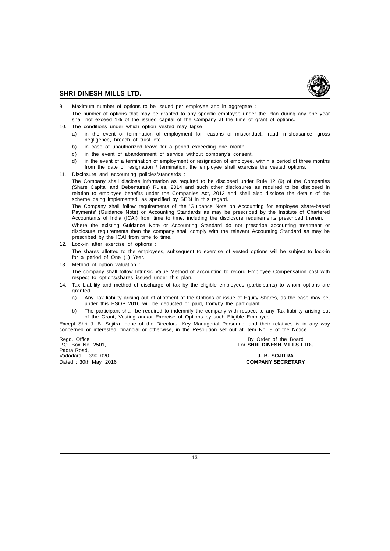

9. Maximum number of options to be issued per employee and in aggregate : The number of options that may be granted to any specific employee under the Plan during any one year shall not exceed 1% of the issued capital of the Company at the time of grant of options.

- 10. The conditions under which option vested may lapse
	- a) in the event of termination of employment for reasons of misconduct, fraud, misfeasance, gross negligence, breach of trust etc
	- b) in case of unauthorized leave for a period exceeding one month
	- c) in the event of abandonment of service without company's consent.
	- d) in the event of a termination of employment or resignation of employee, within a period of three months from the date of resignation / termination, the employee shall exercise the vested options.
- 11. Disclosure and accounting policies/standards :

The Company shall disclose information as required to be disclosed under Rule 12 (9) of the Companies (Share Capital and Debentures) Rules, 2014 and such other disclosures as required to be disclosed in relation to employee benefits under the Companies Act, 2013 and shall also disclose the details of the scheme being implemented, as specified by SEBI in this regard.

The Company shall follow requirements of the 'Guidance Note on Accounting for employee share-based Payments' (Guidance Note) or Accounting Standards as may be prescribed by the Institute of Chartered Accountants of India (ICAI) from time to time, including the disclosure requirements prescribed therein.

Where the existing Guidance Note or Accounting Standard do not prescribe accounting treatment or disclosure requirements then the company shall comply with the relevant Accounting Standard as may be prescribed by the ICAI from time to time.

- 12. Lock-in after exercise of options : The shares allotted to the employees, subsequent to exercise of vested options will be subject to lock-in for a period of One (1) Year.
- 13. Method of option valuation : The company shall follow Intrinsic Value Method of accounting to record Employee Compensation cost with respect to options/shares issued under this plan.
- 14. Tax Liability and method of discharge of tax by the eligible employees (participants) to whom options are granted
	- a) Any Tax liability arising out of allotment of the Options or issue of Equity Shares, as the case may be, under this ESOP 2016 will be deducted or paid, from/by the participant.
	- b) The participant shall be required to indemnify the company with respect to any Tax liability arising out of the Grant, Vesting and/or Exercise of Options by such Eligible Employee.

Except Shri J. B. Sojitra, none of the Directors, Key Managerial Personnel and their relatives is in any way concerned or interested, financial or otherwise, in the Resolution set out at Item No. 9 of the Notice.

Padra Road, Vadodara - 390 020 **J. B. SOJITRA**

Regd. Office : By Order of the Board<br>
R.O. Box No. 2501. The Board C.O. Box No. 2501. For **SHRI DINESH MILLS LTD..** 

 $COMPANY$  SECRETARY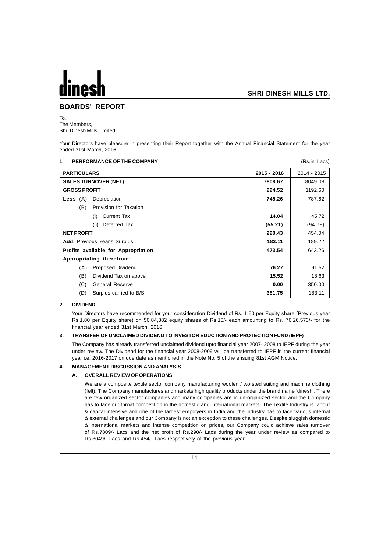### **BOARDS' REPORT**

To, The Members, Shri Dinesh Mills Limited.

Your Directors have pleasure in presenting their Report together with the Annual Financial Statement for the year ended 31st March, 2016

| PERFORMANCE OF THE COMPANY<br>1.             |             | (Rs.in Lacs) |
|----------------------------------------------|-------------|--------------|
| <b>PARTICULARS</b>                           | 2015 - 2016 | 2014 - 2015  |
| <b>SALES TURNOVER (NET)</b>                  | 7808.67     | 8049.08      |
| <b>GROSS PROFIT</b>                          | 994.52      | 1192.60      |
| Depreciation<br>$\textsf{Less:}(\textsf{A})$ | 745.26      | 787.62       |
| (B)<br>Provision for Taxation                |             |              |
| <b>Current Tax</b><br>(i)                    | 14.04       | 45.72        |
| Deferred Tax<br>(ii)                         | (55.21)     | (94.78)      |
| <b>NET PROFIT</b>                            | 290.43      | 454.04       |
| <b>Add: Previous Year's Surplus</b>          | 183.11      | 189.22       |
| Profits available for Appropriation          | 473.54      | 643.26       |
| Appropriating therefrom:                     |             |              |
| <b>Proposed Dividend</b><br>(A)              | 76.27       | 91.52        |
| (B)<br>Dividend Tax on above                 | 15.52       | 18.63        |
| (C)<br><b>General Reserve</b>                | 0.00        | 350.00       |
| (D)<br>Surplus carried to B/S.               | 381.75      | 183.11       |

#### **2. DIVIDEND**

Your Directors have recommended for your consideration Dividend of Rs. 1.50 per Equity share (Previous year Rs.1.80 per Equity share) on 50,84,382 equity shares of Rs.10/- each amounting to Rs. 76,26,573/- for the financial year ended 31st March, 2016.

#### **3. TRANSFER OF UNCLAIMED DIVIDEND TO INVESTOR EDUCTION AND PROTECTION FUND (IEPF)**

The Company has already transferred unclaimed dividend upto financial year 2007- 2008 to IEPF during the year under review. The Dividend for the financial year 2008-2009 will be transferred to IEPF in the current financial year i.e. 2016-2017 on due date as mentioned in the Note No. 5 of the ensuing 81st AGM Notice.

#### **4. MANAGEMENT DISCUSSION AND ANALYSIS**

#### **A. OVERALL REVIEW OF OPERATIONS**

We are a composite textile sector company manufacturing woolen / worsted suiting and machine clothing (felt). The Company manufactures and markets high quality products under the brand name 'dinesh'. There are few organized sector companies and many companies are in un-organized sector and the Company has to face cut throat competition in the domestic and international markets. The Textile Industry is labour & capital intensive and one of the largest employers in India and the industry has to face various internal & external challenges and our Company is not an exception to these challenges. Despite sluggish domestic & international markets and intense competition on prices, our Company could achieve sales turnover of Rs.7809/- Lacs and the net profit of Rs.290/- Lacs during the year under review as compared to Rs.8049/- Lacs and Rs.454/- Lacs respectively of the previous year.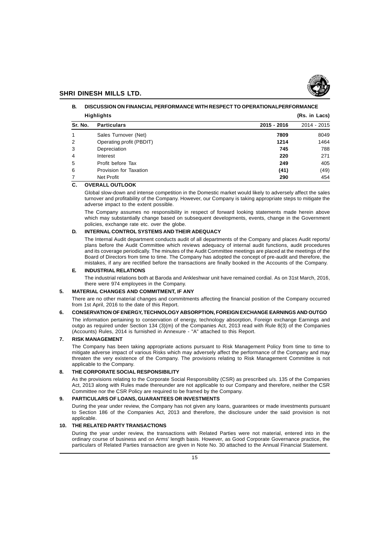

#### **B. DISCUSSION ON FINANCIAL PERFORMANCE WITH RESPECT TO OPERATIONALPERFORMANCE Highlights (Rs. in Lacs)**

|         | . .                      |             |             |
|---------|--------------------------|-------------|-------------|
| Sr. No. | <b>Particulars</b>       | 2015 - 2016 | 2014 - 2015 |
|         | Sales Turnover (Net)     | 7809        | 8049        |
| 2       | Operating profit (PBDIT) | 1214        | 1464        |
| 3       | Depreciation             | 745         | 788         |
| 4       | Interest                 | 220         | 271         |
| 5       | Profit before Tax        | 249         | 405         |
| 6       | Provision for Taxation   | (41)        | (49)        |
|         | Net Profit               | 290         | 454         |

#### **C. OVERALL OUTLOOK**

Global slow-down and intense competition in the Domestic market would likely to adversely affect the sales turnover and profitability of the Company. However, our Company is taking appropriate steps to mitigate the adverse impact to the extent possible.

The Company assumes no responsibility in respect of forward looking statements made herein above which may substantially change based on subsequent developments, events, change in the Government policies, exchange rate etc. over the globe.

#### **D. INTERNAL CONTROL SYSTEMS AND THEIR ADEQUACY**

The Internal Audit department conducts audit of all departments of the Company and places Audit reports/ plans before the Audit Committee which reviews adequacy of internal audit functions, audit procedures and its coverage periodically. The minutes of the Audit Committee meetings are placed at the meetings of the Board of Directors from time to time. The Company has adopted the concept of pre-audit and therefore, the mistakes, if any are rectified before the transactions are finally booked in the Accounts of the Company.

#### **E. INDUSTRIAL RELATIONS**

The industrial relations both at Baroda and Ankleshwar unit have remained cordial. As on 31st March, 2016, there were 974 employees in the Company.

#### **5. MATERIAL CHANGES AND COMMITMENT, IF ANY**

There are no other material changes and commitments affecting the financial position of the Company occurred from 1st April, 2016 to the date of this Report.

#### **6. CONSERVATION OF ENERGY, TECHNOLOGY ABSORPTION, FOREIGN EXCHANGE EARNINGS AND OUTGO**

The information pertaining to conservation of energy, technology absorption, Foreign exchange Earnings and outgo as required under Section 134 (3)(m) of the Companies Act, 2013 read with Rule 8(3) of the Companies (Accounts) Rules, 2014 is furnished in Annexure - "A" attached to this Report.

#### **7. RISK MANAGEMENT**

The Company has been taking appropriate actions pursuant to Risk Management Policy from time to time to mitigate adverse impact of various Risks which may adversely affect the performance of the Company and may threaten the very existence of the Company. The provisions relating to Risk Management Committee is not applicable to the Company.

#### **8. THE CORPORATE SOCIAL RESPONSIBILITY**

As the provisions relating to the Corporate Social Responsibility (CSR) as prescribed u/s. 135 of the Companies Act, 2013 along with Rules made thereunder are not applicable to our Company and therefore, neither the CSR Committee nor the CSR Policy are required to be framed by the Company.

#### **9. PARTICULARS OF LOANS, GUARANTEES OR INVESTMENTS**

During the year under review, the Company has not given any loans, guarantees or made investments pursuant to Section 186 of the Companies Act, 2013 and therefore, the disclosure under the said provision is not applicable.

#### **10. THE RELATED PARTY TRANSACTIONS**

During the year under review, the transactions with Related Parties were not material, entered into in the ordinary course of business and on Arms' length basis. However, as Good Corporate Governance practice, the particulars of Related Parties transaction are given in Note No. 30 attached to the Annual Financial Statement.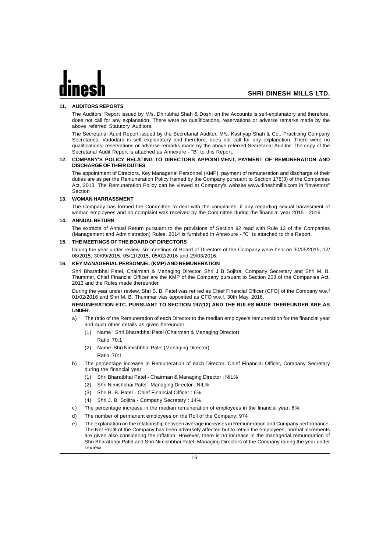#### **11. AUDITORS REPORTS**

The Auditors' Report issued by M/s. Dhirubhai Shah & Doshi on the Accounts is self-explanatory and therefore, does not call for any explanation. There were no qualifications, reservations or adverse remarks made by the above referred Statutory Auditors.

The Secretarial Audit Report issued by the Secretarial Auditor, M/s. Kashyap Shah & Co., Practicing Company Secretaries, Vadodara is self explanatory and therefore, does not call for any explanation. There were no qualifications, reservations or adverse remarks made by the above referred Secretarial Auditor. The copy of the Secretarial Audit Report is attached as Annexure - "B" to this Report.

#### **12. COMPANY'S POLICY RELATING TO DIRECTORS APPOINTMENT, PAYMENT OF REMUNERATION AND DISCHARGE OF THEIR DUTIES**

The appointment of Directors, Key Managerial Personnel (KMP), payment of remuneration and discharge of their duties are as per the Remuneration Policy framed by the Company pursuant to Section 178(3) of the Companies Act, 2013. The Remuneration Policy can be viewed at Company's website www.dineshmills.com in "Investors" Section

#### **13. WOMAN HARRASSMENT**

The Company has formed the Committee to deal with the complaints, if any regarding sexual harassment of woman employees and no complaint was received by the Committee during the financial year 2015 - 2016.

#### **14. ANNUAL RETURN**

The extracts of Annual Return pursuant to the provisions of Section 92 read with Rule 12 of the Companies (Management and Administration) Rules, 2014 is furnished in Annexure - "C" is attached to this Report.

#### **15. THE MEETINGS OF THE BOARD OF DIRECTORS**

During the year under review, six meetings of Board of Directors of the Company were held on 30/05/2015, 12/ 08/2015, 30/09/2015, 05/11/2015, 05/02/2016 and 29/03/2016.

#### **16. KEY MANAGERIAL PERSONNEL (KMP) AND REMUNERATION**

Shri Bharatbhai Patel, Chairman & Managing Director, Shri J B Sojitra, Company Secretary and Shri M. B. Thummar, Chief Financial Officer are the KMP of the Company pursuant to Section 203 of the Companies Act, 2013 and the Rules made thereunder.

During the year under review, Shri B. B. Patel was retired as Chief Financial Officer (CFO) of the Company w.e.f 01/02/2016 and Shri M. B. Thummar was appointed as CFO w.e.f. 30th May, 2016.

#### **REMUNERATION ETC. PURSUANT TO SECTION 197(12) AND THE RULES MADE THEREUNDER ARE AS UNDER:**

- a) The ratio of the Remuneration of each Director to the median employee's remuneration for the financial year and such other details as given hereunder:
	- (1) Name : Shri Bharatbhai Patel (Chairman & Managing Director) Ratio: 70:1
	- (2) Name: Shri Nimishbhai Patel (Managing Director) Ratio: 70:1
- b) The percentage increase in Remuneration of each Director, Chief Financial Officer, Company Secretary during the financial year:
	- (1) Shri Bharatbhai Patel Chairman & Managing Director : NIL%
	- (2) Shri Nimishbhai Patel Managing Director : NIL%
	- (3) Shri B. B. Patel Chief Financial Officer : 6%
	- (4) Shri J. B. Sojitra Company Secretary : 14%
- c) The percentage increase in the median remuneration of employees in the financial year: 6%
- d) The number of permanent employees on the Roll of the Company: 974
- e) The explanation on the relationship between average increases in Remuneration and Company performance: The Net Profit of the Company has been adversely affected but to retain the employees, normal increments are given also considering the inflation. However, there is no increase in the managerial remuneration of Shri Bharatbhai Patel and Shri Nimishbhai Patel, Managing Directors of the Company during the year under review.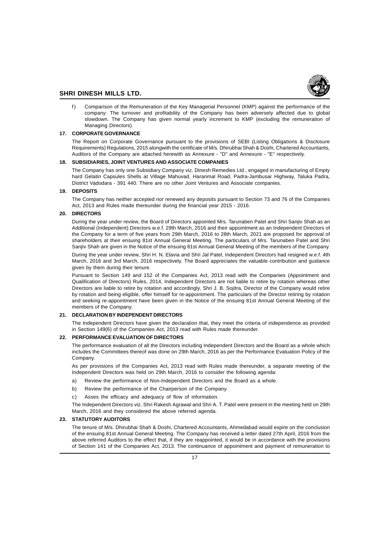

f ) Comparison of the Remuneration of the Key Managerial Personnel (KMP) against the performance of the company: The turnover and profitability of the Company has been adversely affected due to global slowdown. The Company has given normal yearly increment to KMP (excluding the remuneration of Managing Directors).

#### **17. CORPORATE GOVERNANCE**

The Report on Corporate Governance pursuant to the provisions of SEBI (Listing Obligations & Disclosure Requirements) Regulations, 2015 alongwith the certificate of M/s. Dhirubhai Shah & Doshi, Chartered Accountants, Auditors of the Company are attached herewith as Annexure - "D" and Annexure - "E" respectively.

#### **18. SUBSIDIARIES, JOINT VENTURES AND ASSOCIATE COMPANIES**

The Company has only one Subsidiary Company viz. Dinesh Remedies Ltd., engaged in manufacturing of Empty hard Gelatin Capsules Shells at Village Mahuvad, Haranmal Road, Padra-Jambusar Highway, Taluka Padra, District Vadodara - 391 440. There are no other Joint Ventures and Associate companies.

#### **19. DEPOSITS**

The Company has neither accepted nor renewed any deposits pursuant to Section 73 and 76 of the Companies Act, 2013 and Rules made thereunder during the financial year 2015 - 2016.

#### **20. DIRECTORS**

During the year under review, the Board of Directors appointed Mrs. Tarunaben Patel and Shri Sanjiv Shah as an Additional (Independent) Directors w.e.f. 29th March, 2016 and their appointment as an Independent Directors of the Company for a term of five years from 29th March, 2016 to 28th March, 2021 are proposed for approval of shareholders at their ensuing 81st Annual General Meeting. The particulars of Mrs. Tarunaben Patel and Shri Sanjiv Shah are given in the Notice of the ensuing 81st Annual General Meeting of the members of the Company. During the year under review, Shri H. N. Elavia and Shri Jal Patel, Independent Directors had resigned w.e.f. 4th March, 2016 and 3rd March, 2016 respectively. The Board appreciates the valuable contribution and guidance given by them during their tenure.

Pursuant to Section 149 and 152 of the Companies Act, 2013 read with the Companies (Appointment and Qualification of Directors) Rules, 2014, Independent Directors are not liable to retire by rotation whereas other Directors are liable to retire by rotation and accordingly, Shri J. B. Sojitra, Director of the Company would retire by rotation and being eligible, offer himself for re-appointment. The particulars of the Director retiring by rotation and seeking re-appointment have been given in the Notice of the ensuing 81st Annual General Meeting of the members of the Company.

#### **21. DECLARATION BY INDEPENDENT DIRECTORS**

The Independent Directors have given the declaration that, they meet the criteria of independence as provided in Section 149(6) of the Companies Act, 2013 read with Rules made thereunder.

#### **22. PERFORMANCE EVALUATION OF DIRECTORS**

The performance evaluation of all the Directors including Independent Directors and the Board as a whole which includes the Committees thereof was done on 29th March, 2016 as per the Performance Evaluation Policy of the Company.

As per provisions of the Companies Act, 2013 read with Rules made thereunder, a separate meeting of the Independent Directors was held on 29th March, 2016 to consider the following agenda:

- a) Review the performance of Non-Independent Directors and the Board as a whole.
- b) Review the performance of the Chairperson of the Company.
- c) Asses the efficacy and adequacy of flow of information.

The Independent Directors viz. Shri Rakesh Agrawal and Shri A. T. Patel were present in the meeting held on 29th March, 2016 and they considered the above referred agenda.

#### **23. STATUTORY AUDITORS**

The tenure of M/s. Dhirubhai Shah & Doshi, Chartered Accountants, Ahmedabad would expire on the conclusion of the ensuing 81st Annual General Meeting. The Company has received a letter dated 27th April, 2016 from the above referred Auditors to the effect that, if they are reappointed, it would be in accordance with the provisions of Section 141 of the Companies Act, 2013. The continuance of appointment and payment of remuneration to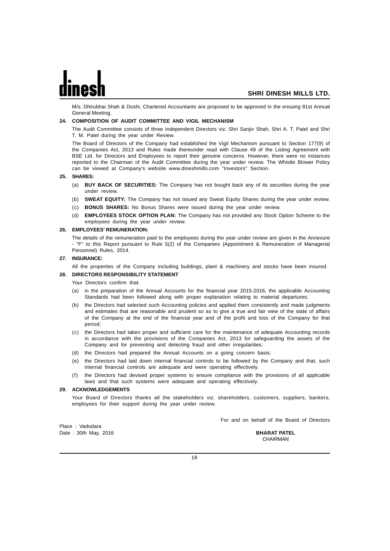M/s. Dhirubhai Shah & Doshi, Chartered Accountants are proposed to be approved in the ensuing 81st Annual General Meeting.

#### **24. COMPOSITION OF AUDIT COMMITTEE AND VIGIL MECHANISM**

The Audit Committee consists of three Independent Directors viz. Shri Sanjiv Shah, Shri A. T. Patel and Shri T. M. Patel during the year under Review.

The Board of Directors of the Company had established the Vigil Mechanism pursuant to Section 177(9) of the Companies Act, 2013 and Rules made thereunder read with Clause 49 of the Listing Agreement with BSE Ltd. for Directors and Employees to report their genuine concerns. However, there were no instances reported to the Chairman of the Audit Committee during the year under review. The Whistle Blower Policy can be viewed at Company's website www.dineshmills.com "Investors" Section.

#### **25. SHARES:**

- (a) **BUY BACK OF SECURITIES:** The Company has not bought back any of its securities during the year under review.
- (b) **SWEAT EQUITY:** The Company has not issued any Sweat Equity Shares during the year under review.
- (c) **BONUS SHARES:** No Bonus Shares were issued during the year under review.
- (d) **EMPLOYEES STOCK OPTION PLAN:** The Company has not provided any Stock Option Scheme to the employees during the year under review.

#### **26. EMPLOYEES' REMUNERATION:**

The details of the remuneration paid to the employees during the year under review are given in the Annexure - "F" to this Report pursuant to Rule 5(2) of the Companies (Appointment & Remuneration of Managerial Personnel) Rules, 2014.

#### **27. INSURANCE:**

All the properties of the Company including buildings, plant & machinery and stocks have been insured.

#### **28. DIRECTORS RESPONSIBILITY STATEMENT**

Your Directors confirm that:

- (a) in the preparation of the Annual Accounts for the financial year 2015-2016, the applicable Accounting Standards had been followed along with proper explanation relating to material departures;
- (b) the Directors had selected such Accounting policies and applied them consistently and made judgments and estimates that are reasonable and prudent so as to give a true and fair view of the state of affairs of the Company at the end of the financial year and of the profit and loss of the Company for that period;
- (c) the Directors had taken proper and sufficient care for the maintenance of adequate Accounting records in accordance with the provisions of the Companies Act, 2013 for safeguarding the assets of the Company and for preventing and detecting fraud and other irregularities;
- (d) the Directors had prepared the Annual Accounts on a going concern basis;
- (e) the Directors had laid down internal financial controls to be followed by the Company and that, such internal financial controls are adequate and were operating effectively.
- (f) the Directors had devised proper systems to ensure compliance with the provisions of all applicable laws and that such systems were adequate and operating effectively.

#### **29. ACKNOWLEDGEMENTS**

Your Board of Directors thanks all the stakeholders viz. shareholders, customers, suppliers, bankers, employees for their support during the year under review.

Place : Vadodara Date : 30th May, 2016 **BHARAT PATEL** 

For and on behalf of the Board of Directors

CHAIRMAN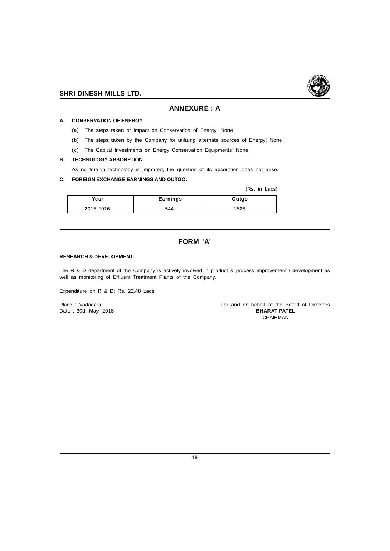

### **ANNEXURE : A**

#### **A. CONSERVATION OF ENERGY:**

- (a) The steps taken or impact on Conservation of Energy: None
- (b) The steps taken by the Company for utilizing alternate sources of Energy: None
- (c) The Capital Investments on Energy Conservation Equipments: None

#### **B. TECHNOLOGY ABSORPTION:**

As no foreign technology is imported, the question of its absorption does not arise.

#### **C. FOREIGN EXCHANGE EARNINGS AND OUTGO:**

(Rs. in Lacs)

| Year      | Earnings | Outgo |
|-----------|----------|-------|
| 2015-2016 | 544      | 1525  |

## **FORM 'A'**

#### **RESEARCH & DEVELOPMENT:**

The R & D department of the Company is actively involved in product & process improvement / development as well as monitoring of Effluent Treatment Plants of the Company.

Expenditure on R & D: Rs. 22.48 Lacs

Date : 30th May, 2016

Place : Vadodara For and on behalf of the Board of Directors<br>Date : 30th May 2016 **For and on behalf of the Board of Directors** CHAIRMAN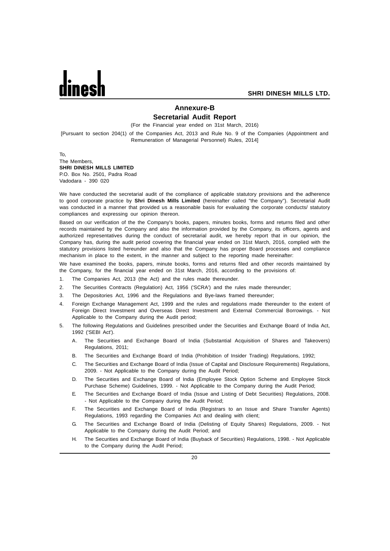## dinesh

#### **SHRI DINESH MILLS LTD.**

## **Annexure-B Secretarial Audit Report**

(For the Financial year ended on 31st March, 2016)

[Pursuant to section 204(1) of the Companies Act, 2013 and Rule No. 9 of the Companies (Appointment and Remuneration of Managerial Personnel) Rules, 2014]

To, The Members, **SHRI DINESH MILLS LIMITED** P.O. Box No. 2501, Padra Road Vadodara - 390 020

We have conducted the secretarial audit of the compliance of applicable statutory provisions and the adherence to good corporate practice by **Shri Dinesh Mills Limited** (hereinafter called "the Company"). Secretarial Audit was conducted in a manner that provided us a reasonable basis for evaluating the corporate conducts/ statutory compliances and expressing our opinion thereon.

Based on our verification of the the Company's books, papers, minutes books, forms and returns filed and other records maintained by the Company and also the information provided by the Company, its officers, agents and authorized representatives during the conduct of secretarial audit, we hereby report that in our opinion, the Company has, during the audit period covering the financial year ended on 31st March, 2016, complied with the statutory provisions listed hereunder and also that the Company has proper Board processes and compliance mechanism in place to the extent, in the manner and subject to the reporting made hereinafter:

We have examined the books, papers, minute books, forms and returns filed and other records maintained by the Company, for the financial year ended on 31st March, 2016, according to the provisions of:

- 1. The Companies Act, 2013 (the Act) and the rules made thereunder.
- 2. The Securities Contracts (Regulation) Act, 1956 ('SCRA') and the rules made thereunder;
- 3. The Depositories Act, 1996 and the Regulations and Bye-laws framed thereunder;
- 4. Foreign Exchange Management Act, 1999 and the rules and regulations made thereunder to the extent of Foreign Direct Investment and Overseas Direct Investment and External Commercial Borrowings. - Not Applicable to the Company during the Audit period;
- 5. The following Regulations and Guidelines prescribed under the Securities and Exchange Board of India Act, 1992 ('SEBI Act').
	- A. The Securities and Exchange Board of India (Substantial Acquisition of Shares and Takeovers) Regulations, 2011;
	- B. The Securities and Exchange Board of India (Prohibition of Insider Trading) Regulations, 1992;
	- C. The Securities and Exchange Board of India (Issue of Capital and Disclosure Requirements) Regulations, 2009. - Not Applicable to the Company during the Audit Period;
	- D. The Securities and Exchange Board of India (Employee Stock Option Scheme and Employee Stock Purchase Scheme) Guidelines, 1999. - Not Applicable to the Company during the Audit Period;
	- E. The Securities and Exchange Board of India (Issue and Listing of Debt Securities) Regulations, 2008. - Not Applicable to the Company during the Audit Period;
	- F. The Securities and Exchange Board of India (Registrars to an Issue and Share Transfer Agents) Regulations, 1993 regarding the Companies Act and dealing with client;
	- G. The Securities and Exchange Board of India (Delisting of Equity Shares) Regulations, 2009. Not Applicable to the Company during the Audit Period; and
	- H. The Securities and Exchange Board of India (Buyback of Securities) Regulations, 1998. Not Applicable to the Company during the Audit Period;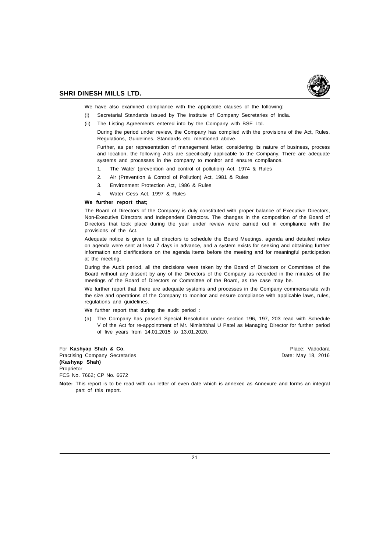

We have also examined compliance with the applicable clauses of the following:

- (i) Secretarial Standards issued by The Institute of Company Secretaries of India.
- (ii) The Listing Agreements entered into by the Company with BSE Ltd.

During the period under review, the Company has complied with the provisions of the Act, Rules, Regulations, Guidelines, Standards etc. mentioned above.

Further, as per representation of management letter, considering its nature of business, process and location, the following Acts are specifically applicable to the Company. There are adequate systems and processes in the company to monitor and ensure compliance.

- 1. The Water (prevention and control of pollution) Act, 1974 & Rules
- 2. Air (Prevention & Control of Pollution) Act, 1981 & Rules
- 3. Environment Protection Act, 1986 & Rules
- 4. Water Cess Act, 1997 & Rules

#### **We further report that;**

The Board of Directors of the Company is duly constituted with proper balance of Executive Directors, Non-Executive Directors and Independent Directors. The changes in the composition of the Board of Directors that took place during the year under review were carried out in compliance with the provisions of the Act.

Adequate notice is given to all directors to schedule the Board Meetings, agenda and detailed notes on agenda were sent at least 7 days in advance, and a system exists for seeking and obtaining further information and clarifications on the agenda items before the meeting and for meaningful participation at the meeting.

During the Audit period, all the decisions were taken by the Board of Directors or Committee of the Board without any dissent by any of the Directors of the Company as recorded in the minutes of the meetings of the Board of Directors or Committee of the Board, as the case may be.

We further report that there are adequate systems and processes in the Company commensurate with the size and operations of the Company to monitor and ensure compliance with applicable laws, rules, regulations and guidelines.

- We further report that during the audit period :
- (a) The Company has passed Special Resolution under section 196, 197, 203 read with Schedule V of the Act for re-appointment of Mr. Nimishbhai U Patel as Managing Director for further period of five years from 14.01.2015 to 13.01.2020.

For Kashyap Shah & Co. **Place: Vadodara** Place: Vadodara Place: Vadodara Place: Vadodara Place: Vadodara Place: Vadodara Place: Vadodara Place: Vadodara Place: Vadodara Place: Vadodara Place: Vadodara Place: Vadodara Place Practising Company Secretaries **Date: May 18, 2016 (Kashyap Shah)** Proprietor FCS No. 7662; CP No. 6672

part of this report.

**Note:** This report is to be read with our letter of even date which is annexed as Annexure and forms an integral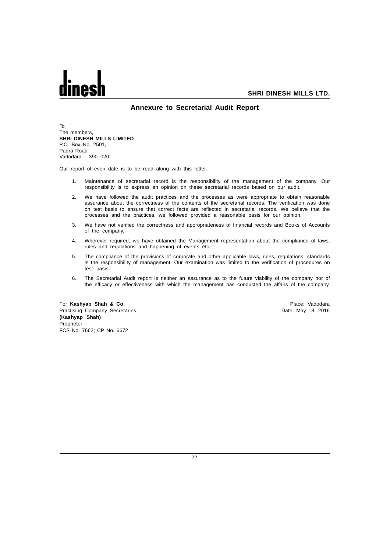## l:<br>linesh

**SHRI DINESH MILLS LTD.**

#### **Annexure to Secretarial Audit Report**

To The members, **SHRI DINESH MILLS LIMITED** P.O. Box No. 2501, Padra Road Vadodara - 390 020

Our report of even date is to be read along with this letter.

- 1. Maintenance of secretarial record is the responsibility of the management of the company. Our responsibility is to express an opinion on these secretarial records based on our audit.
- 2. We have followed the audit practices and the processes as were appropriate to obtain reasonable assurance about the correctness of the contents of the secretarial records. The verification was done on test basis to ensure that correct facts are reflected in secretarial records. We believe that the processes and the practices, we followed provided a reasonable basis for our opinion.
- 3. We have not verified the correctness and appropriateness of financial records and Books of Accounts of the company.
- 4. Wherever required, we have obtained the Management representation about the compliance of laws, rules and regulations and happening of events etc.
- 5. The compliance of the provisions of corporate and other applicable laws, rules, regulations, standards is the responsibility of management. Our examination was limited to the verification of procedures on test basis.
- 6. The Secretarial Audit report is neither an assurance as to the future viability of the company nor of the efficacy or effectiveness with which the management has conducted the affairs of the company.

For Kashyap Shah & Co. **Place: Vadodara** Place: Vadodara Place: Vadodara Place: Vadodara Place: Vadodara Place: Vadodara Place: Vadodara Place: Vadodara Place: Vadodara Place: Vadodara Place: Vadodara Place: Vadodara Place Practising Company Secretaries **Date: May 18, 2016** Date: May 18, 2016 **(Kashyap Shah)** Proprietor FCS No. 7662; CP No. 6672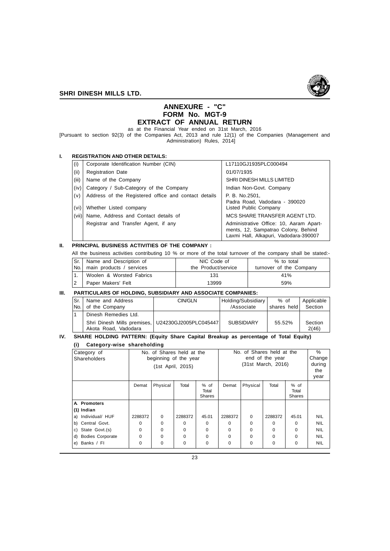

#### **ANNEXURE - "C" FORM No. MGT-9 EXTRACT OF ANNUAL RETURN**

as at the Financial Year ended on 31st March, 2016

[Pursuant to section 92(3) of the Companies Act, 2013 and rule 12(1) of the Companies (Management and Administration) Rules, 2014]

#### **I. REGISTRATION AND OTHER DETAILS:**

| (i)   | Corporate Identification Number (CIN)                | L17110GJ1935PLC000494                                                                                                   |
|-------|------------------------------------------------------|-------------------------------------------------------------------------------------------------------------------------|
| (ii)  | <b>Registration Date</b>                             | 01/07/1935                                                                                                              |
| (iii) | Name of the Company                                  | SHRI DINESH MILLS LIMITED                                                                                               |
| (iv)  | Category / Sub-Category of the Company               | Indian Non-Govt. Company                                                                                                |
| (v)   | Address of the Registered office and contact details | P. B. No.2501,<br>Padra Road, Vadodara - 390020                                                                         |
| (vi)  | Whether Listed company                               | Listed Public Company                                                                                                   |
| (vii) | Name, Address and Contact details of                 | MCS SHARE TRANSFER AGENT LTD.                                                                                           |
|       | Registrar and Transfer Agent, if any                 | Administrative Office: 10, Aaram Apart-<br>ments, 12, Sampatrao Colony, Behind<br>Laxmi Hall, Alkapuri, Vadodara-390007 |

#### **II. PRINCIPAL BUSINESS ACTIVITIES OF THE COMPANY :**

All the business activities contributing 10 % or more of the total turnover of the company shall be stated:-

| l Sr.<br>Name and Description of<br>No.<br>main products / services |                          | NIC Code of<br>the Product/service | % to total<br>turnover of the Company |  |  |
|---------------------------------------------------------------------|--------------------------|------------------------------------|---------------------------------------|--|--|
|                                                                     | Woolen & Worsted Fabrics | 131                                | 41%                                   |  |  |
|                                                                     | Paper Makers' Felt       | 13999                              | 59%                                   |  |  |

#### **III. PARTICULARS OF HOLDING, SUBSIDIARY AND ASSOCIATE COMPANIES:**

| Sr.<br>No. | Name and Address<br>of the Company                                          | CIN/GLN | Holding/Subsidiary<br>/Associate | % of<br>shares held | Applicable<br>Section |
|------------|-----------------------------------------------------------------------------|---------|----------------------------------|---------------------|-----------------------|
|            | Dinesh Remedies Ltd.                                                        |         |                                  |                     |                       |
|            | Shri Dinesh Mills premises,   U24230GJ2005PLC045447<br>Akota Road, Vadodara |         | <b>SUBSIDIARY</b>                | 55.52%              | Section<br>2(46)      |

## **IV. SHARE HOLDING PATTERN: (Equity Share Capital Breakup as percentage of Total Equity)**

#### **(i) Category-wise shareholding**

| Category of                   | No. of Shares held at the |                       |                   |                           | No. of Shares held at the |                    |                 |                           | %                     |
|-------------------------------|---------------------------|-----------------------|-------------------|---------------------------|---------------------------|--------------------|-----------------|---------------------------|-----------------------|
| Shareholders                  |                           | beginning of the year |                   |                           |                           |                    | end of the year |                           | Change                |
|                               |                           |                       | (1st April, 2015) |                           |                           | (31st March, 2016) |                 |                           | during<br>the<br>year |
|                               | Demat                     | Physical              | Total             | $%$ of<br>Total<br>Shares | Demat                     | Physical           | Total           | $%$ of<br>Total<br>Shares |                       |
| A Promoters                   |                           |                       |                   |                           |                           |                    |                 |                           |                       |
| (1) Indian                    |                           |                       |                   |                           |                           |                    |                 |                           |                       |
| Individual/ HUF<br>a)         | 2288372                   | $\mathbf 0$           | 2288372           | 45.01                     | 2288372                   | $\Omega$           | 2288372         | 45.01                     | <b>NIL</b>            |
| Central Govt.<br>b)           | $\Omega$                  | 0                     | $\Omega$          | $\Omega$                  | $\Omega$                  | $\Omega$           | $\Omega$        | <sup>0</sup>              | <b>NIL</b>            |
| State Govt.(s)<br>C)          | $\Omega$                  | $\mathbf 0$           | $\Omega$          | $\Omega$                  | $\Omega$                  | $\Omega$           | $\Omega$        | $\Omega$                  | <b>NIL</b>            |
| <b>Bodies Corporate</b><br>d) | 0                         | $\mathbf 0$           | $\Omega$          | $\Omega$                  | $\Omega$                  | $\Omega$           | 0               | $\Omega$                  | <b>NIL</b>            |
| Banks / FI<br>e)              | 0                         | 0                     | 0                 | $\mathbf 0$               | $\Omega$                  | 0                  | 0               | $\Omega$                  | <b>NIL</b>            |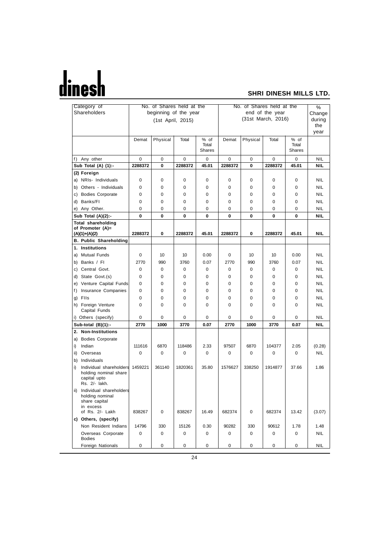# dinesh

#### **SHRI DINESH MILLS LTD.**

| Category of<br>No. of Shares held at the                                     |         |             |                                          | No. of Shares held at the<br>% |         |                    |         |        |            |
|------------------------------------------------------------------------------|---------|-------------|------------------------------------------|--------------------------------|---------|--------------------|---------|--------|------------|
| Shareholders                                                                 |         |             | beginning of the year<br>end of the year |                                |         | Change             |         |        |            |
|                                                                              |         |             | (1st April, 2015)                        |                                |         | (31st March, 2016) |         |        | during     |
|                                                                              |         |             |                                          |                                |         |                    |         |        | the        |
|                                                                              |         |             |                                          |                                |         |                    |         |        | year       |
|                                                                              | Demat   | Physical    | Total                                    | % of                           | Demat   | Physical           | Total   | % of   |            |
|                                                                              |         |             |                                          | Total                          |         |                    |         | Total  |            |
|                                                                              |         |             |                                          | Shares                         |         |                    |         | Shares |            |
| f) Any other                                                                 | 0       | 0           | 0                                        | 0                              | 0       | 0                  | 0       | 0      | <b>NIL</b> |
| Sub Total (A) (1):-                                                          | 2288372 | 0           | 2288372                                  | 45.01                          | 2288372 | 0                  | 2288372 | 45.01  | <b>NIL</b> |
| (2) Foreign                                                                  |         |             |                                          |                                |         |                    |         |        |            |
| a) NRIs- Individuals                                                         | 0       | 0           | 0                                        | 0                              | 0       | 0                  | 0       | 0      | <b>NIL</b> |
| b) Others - Individuals                                                      | 0       | 0           | 0                                        | 0                              | 0       | 0                  | 0       | 0      | <b>NIL</b> |
| c) Bodies Corporate                                                          | 0       | 0           | 0                                        | 0                              | 0       | 0                  | 0       | 0      | <b>NIL</b> |
| d) Banks/FI                                                                  | 0       | 0           | 0                                        | 0                              | 0       | 0                  | 0       | 0      | <b>NIL</b> |
| e) Any Other.                                                                | 0       | 0           | 0                                        | 0                              | 0       | 0                  | 0       | 0      | <b>NIL</b> |
| Sub Total (A)(2):-                                                           | 0       | 0           | 0                                        | 0                              | 0       | 0                  | 0       | 0      | <b>NIL</b> |
| <b>Total shareholding</b>                                                    |         |             |                                          |                                |         |                    |         |        |            |
| of Promoter (A)=<br>$(A)(1)+(A)(2)$                                          | 2288372 | 0           | 2288372                                  | 45.01                          | 2288372 | 0                  | 2288372 | 45.01  | <b>NIL</b> |
| <b>B. Public Shareholding</b>                                                |         |             |                                          |                                |         |                    |         |        |            |
| 1. Institutions                                                              |         |             |                                          |                                |         |                    |         |        |            |
| a) Mutual Funds                                                              | 0       | 10          | 10                                       | 0.00                           | 0       | 10                 | 10      | 0.00   | NIL        |
| b) Banks / Fl                                                                | 2770    | 990         | 3760                                     | 0.07                           | 2770    | 990                | 3760    | 0.07   | <b>NIL</b> |
| c) Central Govt.                                                             | 0       | $\mathbf 0$ | 0                                        | 0                              | 0       | 0                  | 0       | 0      | <b>NIL</b> |
| State Govt.(s)<br>d)                                                         | 0       | 0           | 0                                        | 0                              | 0       | 0                  | 0       | 0      | NIL        |
| e) Venture Capital Funds                                                     | 0       | 0           | 0                                        | 0                              | 0       | 0                  | 0       | 0      | <b>NIL</b> |
| Insurance Companies<br>f)                                                    | 0       | 0           | 0                                        | 0                              | 0       | 0                  | 0       | 0      | <b>NIL</b> |
| g) Flls                                                                      | 0       | 0           | 0                                        | 0                              | 0       | 0                  | 0       | 0      | NIL        |
| h) Foreign Venture                                                           | 0       | 0           | 0                                        | 0                              | 0       | 0                  | 0       | 0      | <b>NIL</b> |
| Capital Funds                                                                |         |             |                                          |                                |         |                    |         |        |            |
| i) Others (specify)                                                          | 0       | 0           | 0                                        | 0                              | 0       | 0                  | 0       | 0      | <b>NIL</b> |
| Sub-total (B)(1):-                                                           | 2770    | 1000        | 3770                                     | 0.07                           | 2770    | 1000               | 3770    | 0.07   | NIL        |
| 2. Non-Institutions                                                          |         |             |                                          |                                |         |                    |         |        |            |
| <b>Bodies Corporate</b><br>a)                                                |         |             |                                          |                                |         |                    |         |        |            |
| i)<br>Indian                                                                 | 111616  | 6870        | 118486                                   | 2.33                           | 97507   | 6870               | 104377  | 2.05   | (0.28)     |
| Overseas<br>ii)                                                              | 0       | 0           | 0                                        | 0                              | 0       | 0                  | 0       | 0      | NIL        |
| b) Individuals                                                               |         |             |                                          |                                |         |                    |         |        |            |
| Individual shareholders<br>i)<br>holding nominal share                       | 1459221 | 361140      | 1820361                                  | 35.80                          | 1576627 | 338250             | 1914877 | 37.66  | 1.86       |
| capital upto<br>Rs. 2/- lakh.                                                |         |             |                                          |                                |         |                    |         |        |            |
| ii) Individual shareholders<br>holding nominal<br>share capital<br>in excess |         |             |                                          |                                |         |                    |         |        |            |
| of Rs. 2/- Lakh                                                              | 838267  | $\mathsf 0$ | 838267                                   | 16.49                          | 682374  | 0                  | 682374  | 13.42  | (3.07)     |
| c) Others, (specify)                                                         |         |             |                                          |                                |         |                    |         |        |            |
| Non Resident Indians                                                         | 14796   | 330         | 15126                                    | 0.30                           | 90282   | 330                | 90612   | 1.78   | 1.48       |
| Overseas Corporate<br><b>Bodies</b>                                          | 0       | 0           | 0                                        | 0                              | 0       | 0                  | 0       | 0      | NIL        |
| Foreign Nationals                                                            | 0       | 0           | 0                                        | 0                              | 0       | 0                  | 0       | 0      | NIL        |

24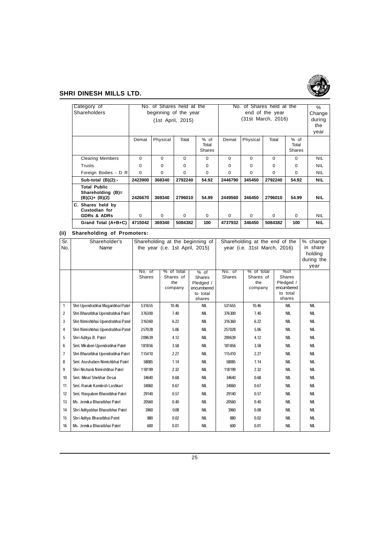

| Category of                                                  |             | No. of Shares held at the |                       |                                  | No. of Shares held at the |                 |                    |                                  | $\%$       |
|--------------------------------------------------------------|-------------|---------------------------|-----------------------|----------------------------------|---------------------------|-----------------|--------------------|----------------------------------|------------|
| Shareholders                                                 |             |                           | beginning of the year |                                  |                           | end of the year |                    |                                  |            |
|                                                              |             | (1st April, 2015)         |                       |                                  |                           |                 | (31st March, 2016) |                                  | during     |
|                                                              |             |                           |                       |                                  |                           |                 |                    |                                  | the        |
|                                                              |             |                           |                       |                                  |                           |                 |                    |                                  | year       |
|                                                              | Demat       | Physical                  | Total                 | $%$ of<br>Total<br><b>Shares</b> | Demat                     | Physical        | Total              | $%$ of<br>Total<br><b>Shares</b> |            |
| <b>Clearing Members</b>                                      | $\Omega$    | $\Omega$                  | $\Omega$              | $\Omega$                         | $\Omega$                  | $\Omega$        | $\Omega$           | $\Omega$                         | <b>NIL</b> |
| <b>Trusts</b>                                                | 0           | 0                         | $\Omega$              | $\Omega$                         | 0                         | $\Omega$        | 0                  | 0                                | <b>NIL</b> |
| Foreign Bodies - D R                                         | $\mathbf 0$ | 0                         | $\Omega$              | $\Omega$                         | $\Omega$                  | 0               | 0                  | 0                                | <b>NIL</b> |
| Sub-total $(B)(2)$ :-                                        | 2423900     | 368340                    | 2792240               | 54.92                            | 2446790                   | 345450          | 2792240            | 54.92                            | <b>NIL</b> |
| <b>Total Public</b><br>Shareholding (B)=<br>(B)(1)+ (B)(2)   | 2426670     | 369340                    | 2796010               | 54.99                            | 2449560                   | 346450          | 2796010            | 54.99                            | <b>NIL</b> |
| C. Shares held by<br>Custodian for<br><b>GDRs &amp; ADRs</b> | $\Omega$    | $\Omega$                  | $\Omega$              | $\Omega$                         | $\Omega$                  | $\Omega$        | $\Omega$           | $\Omega$                         | <b>NIL</b> |
| Grand Total (A+B+C)                                          | 4715042     | 369340                    | 5084382               | 100                              | 4737932                   | 346450          | 5084382            | 100                              | <b>NIL</b> |

**(ii) Shareholding of Promoters:**

| Sr.<br>No.     | Shareholder's<br>Name             | Shareholding at the beginning of<br>the year (i.e. 1st April, 2015) |                                           |                                                                          | Shareholding at the end of the<br>year (i.e. 31st March, 2016) |                                           |                                                                | % change<br>in share<br>holding |
|----------------|-----------------------------------|---------------------------------------------------------------------|-------------------------------------------|--------------------------------------------------------------------------|----------------------------------------------------------------|-------------------------------------------|----------------------------------------------------------------|---------------------------------|
|                |                                   |                                                                     |                                           |                                                                          |                                                                |                                           |                                                                | during the<br>year              |
|                |                                   | No. of<br><b>Shares</b>                                             | % of total<br>Shares of<br>the<br>company | $%$ of<br><b>Shares</b><br>Pledged /<br>encumbered<br>to total<br>shares | No. of<br><b>Shares</b>                                        | % of total<br>Shares of<br>the<br>company | %of<br>Shares<br>Pledged /<br>encumbered<br>to total<br>shares |                                 |
| $\mathbf{1}$   | Shri Upendrabhai Maganbhai Patel  | 531655                                                              | 10.46                                     | <b>NIL</b>                                                               | 531655                                                         | 10.46                                     | NIL                                                            | <b>NIL</b>                      |
| $\overline{c}$ | Shri Bharatbhai Upendrabhai Patel | 376300                                                              | 7.40                                      | NIL                                                                      | 376300                                                         | 7.40                                      | <b>NIL</b>                                                     | NIL                             |
| 3              | Shri Nimishbhai Upendrabhai Patel | 316360                                                              | 6.22                                      | <b>NIL</b>                                                               | 316360                                                         | 6.22                                      | <b>NIL</b>                                                     | <b>NIL</b>                      |
| 4              | Shri Nimishbhai Upendrabhai Patel | 257028                                                              | 5.06                                      | <b>NIL</b>                                                               | 257028                                                         | 5.06                                      | NIL                                                            | <b>NIL</b>                      |
| 5              | Shri Aditya B. Patel              | 209639                                                              | 4.12                                      | <b>NIL</b>                                                               | 209639                                                         | 4.12                                      | <b>NIL</b>                                                     | <b>NIL</b>                      |
| 6              | Smt. Miraben Upendrabhai Patel    | 181856                                                              | 3.58                                      | <b>NIL</b>                                                               | 181856                                                         | 3.58                                      | NIL                                                            | <b>NIL</b>                      |
| $\overline{1}$ | Shri Bharatbhai Upendrabhai Patel | 115410                                                              | 2.27                                      | <b>NIL</b>                                                               | 115410                                                         | 2.27                                      | <b>NIL</b>                                                     | <b>NIL</b>                      |
| 8              | Smt. Arushaben Nimishbhai Patel   | 58085                                                               | 1.14                                      | <b>NIL</b>                                                               | 58085                                                          | 1.14                                      | NIL                                                            | <b>NIL</b>                      |
| 9              | Shri Nishank Nimishbhai Patel     | 118199                                                              | 2.32                                      | <b>NIL</b>                                                               | 118199                                                         | 2.32                                      | <b>NIL</b>                                                     | NIL                             |
| 10             | Smt. Minal Shekhar Desai          | 34640                                                               | 0.68                                      | <b>NIL</b>                                                               | 34640                                                          | 0.68                                      | NIL                                                            | <b>NIL</b>                      |
| 11             | Smt. Ranak Kamlesh Lashkari       | 34060                                                               | 0.67                                      | <b>NIL</b>                                                               | 34060                                                          | 0.67                                      | <b>NIL</b>                                                     | <b>NIL</b>                      |
| 12             | Smt. Roopaben Bharatbhai Patel    | 29140                                                               | 0.57                                      | <b>NIL</b>                                                               | 29140                                                          | 0.57                                      | NIL                                                            | <b>NIL</b>                      |
| 13             | Ms. Jemika Bharatbhai Patel       | 20560                                                               | 0.40                                      | <b>NIL</b>                                                               | 20560                                                          | 0.40                                      | NIL                                                            | <b>NIL</b>                      |
| 14             | Shri Adityabhai Bharatbhai Patel  | 3960                                                                | 0.08                                      | <b>NIL</b>                                                               | 3960                                                           | 0.08                                      | NIL                                                            | <b>NIL</b>                      |
| 15             | Shri Aditya Bharatbhai Patel      | 880                                                                 | 0.02                                      | <b>NIL</b>                                                               | 880                                                            | 0.02                                      | <b>NIL</b>                                                     | <b>NIL</b>                      |
| 16             | Ms. Jemika Bharatbhai Patel       | 600                                                                 | 0.01                                      | <b>NIL</b>                                                               | 600                                                            | 0.01                                      | <b>NIL</b>                                                     | NIL                             |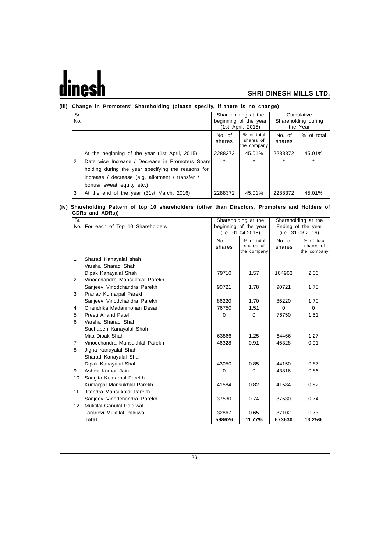## $\mathbf{d}$ ir nesh

#### **SHRI DINESH MILLS LTD.**

#### **(iii) Change in Promoters' Shareholding (please specify, if there is no change)**

| Sr.<br>No.     |                                                    | Shareholding at the<br>beginning of the year<br>(1st April, 2015) |                                        |                  | Cumulative<br>Shareholding during<br>the Year |
|----------------|----------------------------------------------------|-------------------------------------------------------------------|----------------------------------------|------------------|-----------------------------------------------|
|                |                                                    | No. of<br>shares                                                  | % of total<br>shares of<br>the company | No. of<br>shares | % of total                                    |
|                | At the beginning of the year (1st April, 2015)     | 2288372                                                           | 45.01%                                 | 2288372          | 45.01%                                        |
| $\overline{2}$ | Date wise Increase / Decrease in Promoters Share   | $\star$                                                           | $\star$                                | $\star$          | $\star$                                       |
|                | holding during the year specifying the reasons for |                                                                   |                                        |                  |                                               |
|                | increase / decrease (e.g. allotment / transfer /   |                                                                   |                                        |                  |                                               |
|                | bonus/ sweat equity etc.)                          |                                                                   |                                        |                  |                                               |
| 3              | At the end of the year (31st March, 2016)          | 2288372                                                           | 45.01%                                 | 2288372          | 45.01%                                        |

#### **(iv) Shareholding Pattern of top 10 shareholders (other than Directors, Promoters and Holders of GDRs and ADRs))**

| Sr.<br>No.      | For each of Top 10 Shareholders | Shareholding at the<br>beginning of the year<br>(i.e. 01.04.2015) |                                        |                  | Shareholding at the<br>Ending of the year |
|-----------------|---------------------------------|-------------------------------------------------------------------|----------------------------------------|------------------|-------------------------------------------|
|                 |                                 |                                                                   |                                        |                  | (i.e. 31.03.2016)                         |
|                 |                                 | No. of<br>shares                                                  | % of total<br>shares of<br>the company | No. of<br>shares | % of total<br>shares of<br>the company    |
| 1               | Sharad Kanayalal shah           |                                                                   |                                        |                  |                                           |
|                 | Varsha Sharad Shah              |                                                                   |                                        |                  |                                           |
|                 | Dipak Kanayalal Shah            | 79710                                                             | 1.57                                   | 104963           | 2.06                                      |
| $\overline{2}$  | Vinodchandra Mansukhlal Parekh  |                                                                   |                                        |                  |                                           |
|                 | Sanjeev Vinodchandra Parekh     | 90721                                                             | 1.78                                   | 90721            | 1.78                                      |
| 3               | Pranav Kumarpal Parekh          |                                                                   |                                        |                  |                                           |
|                 | Sanjeev Vinodchandra Parekh     | 86220                                                             | 1.70                                   | 86220            | 1.70                                      |
| 4               | Chandrika Madanmohan Desai      | 76750                                                             | 1.51                                   | $\Omega$         | $\Omega$                                  |
| 5               | Preeti Anand Patel              | $\Omega$                                                          | $\Omega$                               | 76750            | 1.51                                      |
| 6               | Varsha Sharad Shah              |                                                                   |                                        |                  |                                           |
|                 | Sudhaben Kanayalal Shah         |                                                                   |                                        |                  |                                           |
|                 | Mita Dipak Shah                 | 63866                                                             | 1.25                                   | 64466            | 1.27                                      |
| 7               | Vinodchandra Mansukhlal Parekh  | 46328                                                             | 0.91                                   | 46328            | 0.91                                      |
| 8               | Jigna Kanayalal Shah            |                                                                   |                                        |                  |                                           |
|                 | Sharad Kanayalal Shah           |                                                                   |                                        |                  |                                           |
|                 | Dipak Kanayalal Shah            | 43050                                                             | 0.85                                   | 44150            | 0.87                                      |
| 9               | Ashok Kumar Jain                | 0                                                                 | 0                                      | 43816            | 0.86                                      |
| 10 <sup>1</sup> | Sangita Kumarpal Parekh         |                                                                   |                                        |                  |                                           |
|                 | Kumarpal Mansukhlal Parekh      | 41584                                                             | 0.82                                   | 41584            | 0.82                                      |
| 11              | Jitendra Mansukhlal Parekh      |                                                                   |                                        |                  |                                           |
|                 | Sanjeev Vinodchandra Parekh     | 37530                                                             | 0.74                                   | 37530            | 0.74                                      |
| 12 <sup>2</sup> | Muktilal Ganulal Paldiwal       |                                                                   |                                        |                  |                                           |
|                 | Taradevi Muktilal Paldiwal      | 32867                                                             | 0.65                                   | 37102            | 0.73                                      |
|                 | Total                           | 598626                                                            | 11.77%                                 | 673630           | 13.25%                                    |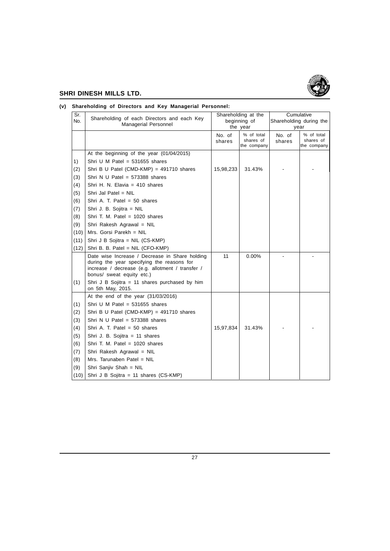

| Sr.  |                                                                                              |           | Shareholding at the     | Cumulative              |                         |  |
|------|----------------------------------------------------------------------------------------------|-----------|-------------------------|-------------------------|-------------------------|--|
| No.  | Shareholding of each Directors and each Key<br><b>Managerial Personnel</b>                   |           | beginning of            | Shareholding during the |                         |  |
|      |                                                                                              |           | the year                | year                    |                         |  |
|      |                                                                                              | No. of    | % of total<br>shares of | No. of                  | % of total<br>shares of |  |
|      |                                                                                              | shares    | the company             | shares                  | the company             |  |
|      | At the beginning of the year (01/04/2015)                                                    |           |                         |                         |                         |  |
| 1)   | Shri U M Patel = $531655$ shares                                                             |           |                         |                         |                         |  |
| (2)  | Shri B U Patel (CMD-KMP) = 491710 shares                                                     | 15,98,233 | 31.43%                  |                         |                         |  |
| (3)  | Shri N U Patel = $573388$ shares                                                             |           |                         |                         |                         |  |
| (4)  | Shri H. N. Elavia = $410$ shares                                                             |           |                         |                         |                         |  |
| (5)  | Shri Jal Patel = NIL                                                                         |           |                         |                         |                         |  |
| (6)  | Shri A. T. Patel = $50$ shares                                                               |           |                         |                         |                         |  |
| (7)  | Shri J. B. Sojitra = NIL                                                                     |           |                         |                         |                         |  |
| (8)  | Shri T. M. Patel = $1020$ shares                                                             |           |                         |                         |                         |  |
| (9)  | Shri Rakesh Agrawal = NIL                                                                    |           |                         |                         |                         |  |
| (10) | Mrs. Gorsi Parekh = NIL                                                                      |           |                         |                         |                         |  |
| (11) | Shri J B Sojitra = NIL (CS-KMP)                                                              |           |                         |                         |                         |  |
| (12) | Shri B. B. Patel = NIL (CFO-KMP)                                                             |           |                         |                         |                         |  |
|      | Date wise Increase / Decrease in Share holding<br>during the year specifying the reasons for | 11        | 0.00%                   |                         |                         |  |
|      | increase / decrease (e.g. allotment / transfer /                                             |           |                         |                         |                         |  |
|      | bonus/ sweat equity etc.)                                                                    |           |                         |                         |                         |  |
| (1)  | Shri J B Sojitra = 11 shares purchased by him<br>on 5th May, 2015.                           |           |                         |                         |                         |  |
|      | At the end of the year $(31/03/2016)$                                                        |           |                         |                         |                         |  |
| (1)  | Shri U M Patel = $531655$ shares                                                             |           |                         |                         |                         |  |
| (2)  | Shri B U Patel (CMD-KMP) = 491710 shares                                                     |           |                         |                         |                         |  |
| (3)  | Shri N U Patel = $573388$ shares                                                             |           |                         |                         |                         |  |
| (4)  | Shri A. T. Patel $=$ 50 shares                                                               | 15,97,834 | 31.43%                  |                         |                         |  |
| (5)  | Shri J. B. Sojitra = 11 shares                                                               |           |                         |                         |                         |  |
| (6)  | Shri T. M. Patel = $1020$ shares                                                             |           |                         |                         |                         |  |
| (7)  | Shri Rakesh Agrawal = NIL                                                                    |           |                         |                         |                         |  |
| (8)  | Mrs. Tarunaben Patel = NIL                                                                   |           |                         |                         |                         |  |
| (9)  | Shri Sanjiv Shah = NIL                                                                       |           |                         |                         |                         |  |
| (10) | Shri J B Sojitra = 11 shares (CS-KMP)                                                        |           |                         |                         |                         |  |

#### **(v) Shareholding of Directors and Key Managerial Personnel:**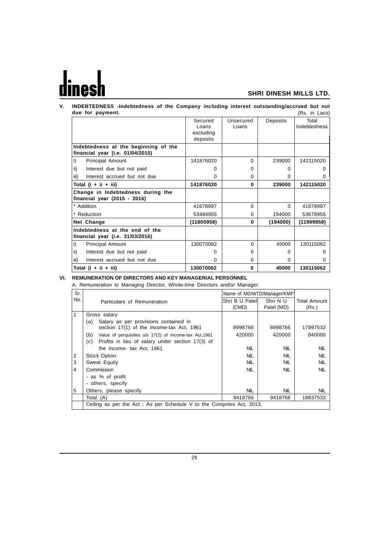# nesl

#### **SHRI DINESH MILLS LTD.**

| que foi payment.                                                         |                       |                    |          | (RS. IN LACS)         |
|--------------------------------------------------------------------------|-----------------------|--------------------|----------|-----------------------|
|                                                                          | Secured<br>Loans      | Unsecured<br>Loans | Deposits | Total<br>Indebtedness |
|                                                                          | excluding<br>deposits |                    |          |                       |
| Indebtedness at the beginning of the<br>financial year (i.e. 01/04/2015) |                       |                    |          |                       |
| Principal Amount<br>i)                                                   | 141876020             | $\Omega$           | 239000   | 142115020             |
| ii)<br>Interest due but not paid                                         | 0                     | $\Omega$           | O        |                       |
| iii)<br>Interest accrued but not due                                     | $\Omega$              | $\Omega$           | 0        | 0                     |
| Total $(i + ii + iii)$                                                   | 141876020             | $\bf{0}$           | 239000   | 142115020             |
| Change in Indebtedness during the<br>financial year (2015 - 2016)        |                       |                    |          |                       |
| * Addition                                                               | 41678997              | $\Omega$           | $\Omega$ | 41678997              |
| * Reduction                                                              | 53484955              | $\Omega$           | 194000   | 53678955              |
| Net Change                                                               | (11805958)            | $\bf{0}$           | (194000) | (11999958)            |
| Indebtedness at the end of the<br>financial year (i.e. 31/03/2016)       |                       |                    |          |                       |
| i)<br><b>Principal Amount</b>                                            | 130070062             | $\Omega$           | 45000    | 130115062             |
| ii)<br>Interest due but not paid                                         | 0                     | $\Omega$           | O        | 0                     |
| iii)<br>Interest accrued but not due                                     | $\Omega$              | $\Omega$           | $\Omega$ | <sup>0</sup>          |
| Total $(i + ii + iii)$                                                   | 130070062             | 0                  | 45000    | 130115062             |

#### **V. INDEBTEDNESS -Indebtedness of the Company including interest outstanding/accrued but not due for payment.** (Rs. in Lacs)

#### **VI. REMUNERATION OF DIRECTORS AND KEY MANAGERIAL PERSONNEL**

A. Remuneration to Managing Director, Whole-time Directors and/or Manager:

| Sr.            |                                                                      | Name of MD/WTD/Manager/KMP |            |              |  |  |
|----------------|----------------------------------------------------------------------|----------------------------|------------|--------------|--|--|
| No.            | Particulars of Remuneration                                          | Shri B U Patell            | Shri N U   | Total Amount |  |  |
|                |                                                                      | (CMD)                      | Patel (MD) | (Rs.)        |  |  |
| $\mathbf{1}$   | Gross salary                                                         |                            |            |              |  |  |
|                | Salary as per provisions contained in<br>(a)                         |                            |            |              |  |  |
|                | section 17(1) of the Income-tax Act, 1961                            | 8998766                    | 8998766    | 17997532     |  |  |
|                | (b)<br>Value of perquisites u/s 17(2) of Income-tax Act, 1961        | 420000                     | 420000     | 840000       |  |  |
|                | Profits in lieu of salary under section 17(3) of<br>(c) =            |                            |            |              |  |  |
|                | the Income- tax Act, 1961                                            | <b>NIL</b>                 | <b>NIL</b> | <b>NIL</b>   |  |  |
| 2              | <b>Stock Option</b>                                                  | <b>NIL</b>                 | <b>NIL</b> | <b>NIL</b>   |  |  |
| 3              | Sweat Equity                                                         | <b>NIL</b>                 | <b>NIL</b> | <b>NIL</b>   |  |  |
| $\overline{4}$ | Commission                                                           | <b>NIL</b>                 | <b>NIL</b> | <b>NIL</b>   |  |  |
|                | - as % of profit                                                     |                            |            |              |  |  |
|                | - others, specify                                                    |                            |            |              |  |  |
| 5              | Others, please specify                                               | NIL                        | <b>NIL</b> | <b>NIL</b>   |  |  |
|                | Total (A)                                                            | 9418766                    | 9418766    | 18837532     |  |  |
|                | Ceiling as per the Act: As per Schedule V to the Compnies Act, 2013. |                            |            |              |  |  |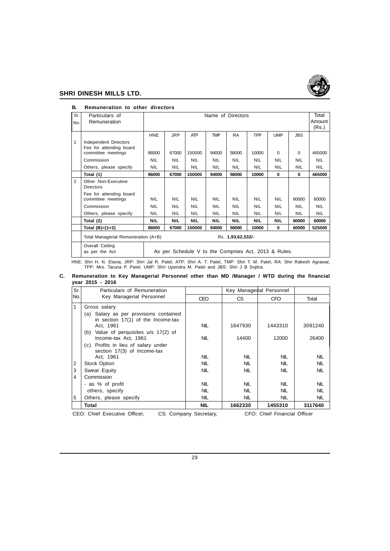

#### **B. Remuneration to other directors**

| Sr.<br>No. | Particulars of<br>Remuneration                                         |                   | Name of Directors                                    |            |            |            |            | Total<br>Amount<br>(Rs.) |            |            |
|------------|------------------------------------------------------------------------|-------------------|------------------------------------------------------|------------|------------|------------|------------|--------------------------|------------|------------|
|            |                                                                        | <b>HNE</b>        | <b>JRP</b>                                           | <b>ATP</b> | <b>TMP</b> | <b>RA</b>  | <b>TPP</b> | <b>UMP</b>               | <b>JBS</b> |            |
| 1          | Independent Directors<br>Fee for attending board<br>committee meetings | 86000             | 67000                                                | 150000     | 94000      | 58000      | 10000      | $\Omega$                 | $\Omega$   | 465000     |
|            | Commission                                                             | <b>NIL</b>        | <b>NIL</b>                                           | <b>NIL</b> | <b>NIL</b> | <b>NIL</b> | <b>NIL</b> | <b>NIL</b>               | <b>NIL</b> | <b>NIL</b> |
|            | Others, please specify                                                 | <b>NIL</b>        | <b>NIL</b>                                           | <b>NIL</b> | <b>NIL</b> | <b>NIL</b> | <b>NIL</b> | <b>NIL</b>               | <b>NIL</b> | <b>NIL</b> |
|            | Total (1)                                                              | 86000             | 67000                                                | 150000     | 94000      | 58000      | 10000      | 0                        | 0          | 465000     |
| 2          | Other Non-Executive<br><b>Directors</b>                                |                   |                                                      |            |            |            |            |                          |            |            |
|            | Fee for attending board<br>committee meetings                          | <b>NIL</b>        | <b>NIL</b>                                           | <b>NIL</b> | <b>NIL</b> | <b>NIL</b> | <b>NIL</b> | <b>NIL</b>               | 60000      | 60000      |
|            | Commission                                                             | <b>NIL</b>        | <b>NIL</b>                                           | <b>NIL</b> | <b>NIL</b> | <b>NIL</b> | <b>NIL</b> | <b>NIL</b>               | <b>NIL</b> | <b>NIL</b> |
|            | Others, please specify                                                 | <b>NIL</b>        | <b>NIL</b>                                           | <b>NIL</b> | <b>NIL</b> | <b>NIL</b> | <b>NIL</b> | <b>NIL</b>               | NIL        | <b>NIL</b> |
|            | Total (2)                                                              | <b>NIL</b>        | <b>NIL</b>                                           | <b>NIL</b> | <b>NIL</b> | <b>NIL</b> | <b>NIL</b> | <b>NIL</b>               | 60000      | 60000      |
|            | Total $(B)=(1+2)$                                                      | 86000             | 67000                                                | 150000     | 94000      | 58000      | 10000      | 0                        | 60000      | 525000     |
|            | Total Managerial Remuneration (A+B)                                    | Rs. 1,93,62,532/- |                                                      |            |            |            |            |                          |            |            |
|            | Overall Ceiling<br>as per the Act                                      |                   | As per Schedule V to the Compnies Act, 2013 & Rules. |            |            |            |            |                          |            |            |

HNE: Shri H. N. Elavia, JRP: Shri Jal R. Patel, ATP: Shri A. T. Patel, TMP: Shri T. M. Patel, RA: Shri Rakesh Agrawal, TPP: Mrs. Taruna P. Patel, UMP: Shri Upendra M. Patel and JBS: Shri J B Sojitra.

#### **C. Remuneration to Key Managerial Personnel other than MD /Manager / WTD during the financial year 2015 - 2016**

| Sr.<br>No. | Particulars of Remuneration<br>Key Managerial Personnel            |            |            | Key Managerial Personnel |         |
|------------|--------------------------------------------------------------------|------------|------------|--------------------------|---------|
|            |                                                                    | <b>CEO</b> | CS.        | <b>CFO</b>               | Total   |
| 1          | Gross salary                                                       |            |            |                          |         |
|            | Salary as per provisions contained<br>(a)                          |            |            |                          |         |
|            | in section 17(1) of the Income-tax                                 |            |            |                          |         |
|            | Act, 1961                                                          | NIL        | 1647930    | 1443310                  | 3091240 |
|            | (b) Value of perquisites u/s 17(2) of                              | <b>NIL</b> |            |                          | 26400   |
|            | Income-tax Act, 1961                                               |            | 14400      | 12000                    |         |
|            | (c) Profits in lieu of salary under<br>section 17(3) of Income-tax |            |            |                          |         |
|            | Act. 1961                                                          | <b>NIL</b> | <b>NIL</b> | <b>NIL</b>               | NIL     |
| 2          | Stock Option                                                       | NIL        | NIL        | <b>NIL</b>               | NIL     |
|            |                                                                    |            |            |                          |         |
| 3          | Sweat Equity                                                       | <b>NIL</b> | <b>NIL</b> | <b>NIL</b>               | NIL     |
| 4          | Commission                                                         |            |            |                          |         |
|            | - as % of profit                                                   | NIL        | NIL        | NIL                      | NIL     |
|            | others, specify                                                    | NIL        | NIL        | <b>NIL</b>               | NIL     |
| 5          | Others, please specify                                             | NIL        | NIL        | <b>NIL</b>               | NIL     |
|            | Total                                                              | <b>NIL</b> | 1662330    | 1455310                  | 3117640 |

CEO: Chief Executive Officer, CS: Company Secretary, CFO: Chief Financial Officer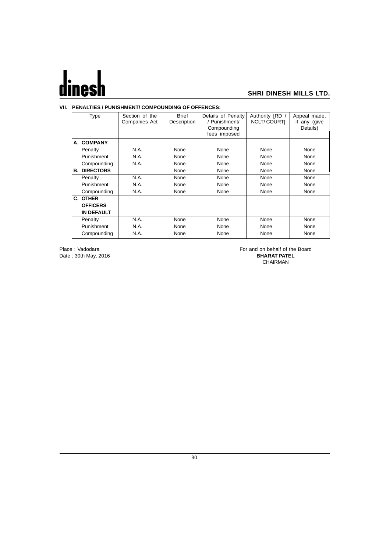## $\overline{\mathbf{d}}$ ies h

### **SHRI DINESH MILLS LTD.**

#### **VII. PENALTIES / PUNISHMENT/ COMPOUNDING OF OFFENCES:**

| <b>Type</b>         | Section of the<br>Companies Act | <b>Brief</b><br>Description | Details of Penalty<br>/ Punishment/<br>Compounding<br>fees imposed | Authority [RD /<br>NCLT/COURT] | Appeal made,<br>if any (give<br>Details) |
|---------------------|---------------------------------|-----------------------------|--------------------------------------------------------------------|--------------------------------|------------------------------------------|
| A. COMPANY          |                                 |                             |                                                                    |                                |                                          |
| Penalty             | N.A.                            | None                        | None                                                               | None                           | None                                     |
| Punishment          | N.A.                            | None                        | None                                                               | None                           | None                                     |
| Compounding         | N.A.                            | None                        | None                                                               | None                           | None                                     |
| <b>B. DIRECTORS</b> |                                 | None                        | None                                                               | None                           | None                                     |
| Penalty             | N.A.                            | None                        | None                                                               | None                           | None                                     |
| Punishment          | N.A.                            | None                        | None                                                               | None                           | None                                     |
| Compounding         | N.A.                            | None                        | None                                                               | None                           | None                                     |
| C. OTHER            |                                 |                             |                                                                    |                                |                                          |
| <b>OFFICERS</b>     |                                 |                             |                                                                    |                                |                                          |
| <b>IN DEFAULT</b>   |                                 |                             |                                                                    |                                |                                          |
| Penalty             | N.A.                            | None                        | None                                                               | None                           | None                                     |
| Punishment          | N.A.                            | None                        | None                                                               | None                           | None                                     |
| Compounding         | N.A.                            | None                        | None                                                               | None                           | None                                     |

Place : Vadodara<br>Date : 30th May, 2016

For and on behalf of the Board<br>**BHARAT PATEL** CHAIRMAN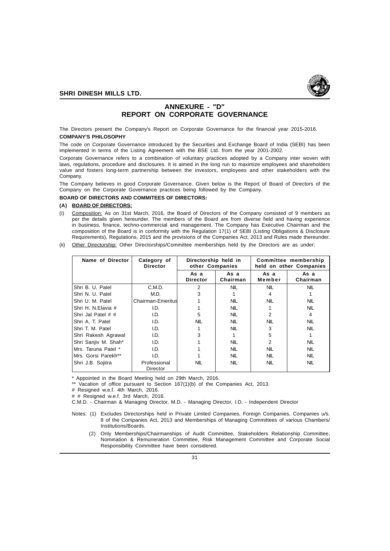

#### **ANNEXURE - "D" REPORT ON CORPORATE GOVERNANCE**

The Directors present the Company's Report on Corporate Governance for the financial year 2015-2016. **COMPANY'S PHILOSOPHY**

The code on Corporate Governance introduced by the Securities and Exchange Board of India (SEBI) has been implemented in terms of the Listing Agreement with the BSE Ltd. from the year 2001-2002.

Corporate Governance refers to a combination of voluntary practices adopted by a Company inter woven with laws, regulations, procedure and disclosures. It is aimed in the long run to maximize employees and shareholders value and fosters long-term partnership between the investors, employees and other stakeholders with the Company.

The Company believes in good Corporate Governance. Given below is the Report of Board of Directors of the Company on the Corporate Governance practices being followed by the Company.

#### **BOARD OF DIRECTORS AND COMMITEES OF DIRECTORS:**

#### **(A) BOARD OF DIRECTORS:**

- (i) Composition: As on 31st March, 2016, the Board of Directors of the Company consisted of 9 members as per the details given hereunder. The members of the Board are from diverse field and having experience in business, finance, techno-commercial and management. The Company has Executive Chairman and the composition of the Board is in conformity with the Regulation 17(1) of SEBI (Listing Obligations & Disclosure Requirements), Regulations, 2015 and the provisions of the Companies Act, 2013 and Rules made thereunder.
- (ii) Other Directorship: Other Directorships/Committee memberships held by the Directors are as under:

| Name of Director     | Category of<br><b>Director</b> | Directorship held in<br>other Companies |                  |                | Committee membership<br>held on other Companies |
|----------------------|--------------------------------|-----------------------------------------|------------------|----------------|-------------------------------------------------|
|                      |                                | As a<br><b>Director</b>                 | As a<br>Chairman | As a<br>Member | As a<br>Chairman                                |
| Shri B. U. Patel     | C.M.D.                         | 2                                       | NIL              | <b>NIL</b>     | NIL                                             |
| Shri N. U. Patel     | M.D.                           | 3                                       |                  | 4              |                                                 |
| Shri U. M. Patel     | Chairman-Emeritus              |                                         | NIL              | <b>NIL</b>     | NIL                                             |
| Shri H. N.Elavia #   | I.D.                           |                                         | NIL              |                | NIL                                             |
| Shri Jal Patel # #   | I.D.                           | 5                                       | NIL              | $\mathcal{P}$  | 4                                               |
| Shri A. T. Patel     | I.D.                           | NIL                                     | NIL              | <b>NIL</b>     | NIL                                             |
| Shri T. M. Patel     | I.D.                           |                                         | NIL              | 3              | NIL                                             |
| Shri Rakesh Agrawal  | I.D.                           | 3                                       |                  | 5              |                                                 |
| Shri Sanjiv M. Shah* | I.D.                           |                                         | NIL              | 2              | NIL                                             |
| Mrs. Taruna Patel *  | I.D.                           |                                         | NIL              | <b>NIL</b>     | NIL                                             |
| Mrs. Gorsi Parekh**  | I.D.                           |                                         | NIL              | <b>NIL</b>     | <b>NIL</b>                                      |
| Shri J.B. Sojitra    | Professional<br>Director       | <b>NIL</b>                              | <b>NIL</b>       | <b>NIL</b>     | NIL                                             |

Appointed in the Board Meeting held on 29th March, 2016.

\*\* Vacation of office pursuant to Section 167(1)(b) of the Companies Act, 2013.

# Resigned w.e.f. 4th March, 2016.

# # Resigned w.e.f. 3rd March, 2016.

C.M.D. - Chairman & Managing Director, M.D. - Managing Director, I.D. - Independent Director

- Notes: (1) Excludes Directorships held in Private Limited Companies, Foreign Companies, Companies u/s. 8 of the Companies Act, 2013 and Memberships of Managing Committees of various Chambers/ Institutions/Boards.
	- (2) Only Memberships/Chairmanships of Audit Committee, Stakeholders Relationship Committee, Nomination & Remuneration Committee, Risk Management Committee and Corporate Social Responsibility Committee have been considered.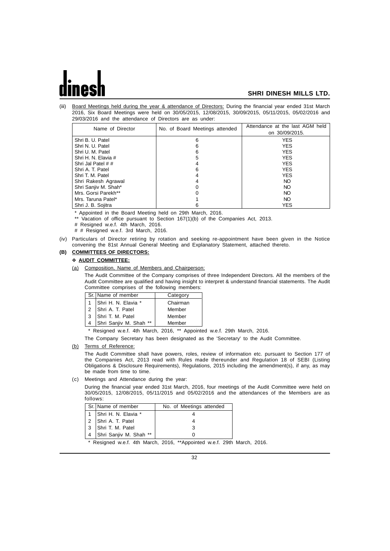(iii) Board Meetings held during the year & attendance of Directors: During the financial year ended 31st March 2016, Six Board Meetings were held on 30/05/2015, 12/08/2015, 30/09/2015, 05/11/2015, 05/02/2016 and 29/03/2016 and the attendance of Directors are as under:

| Name of Director     | No. of Board Meetings attended | Attendance at the last AGM held<br>on 30/09/2015. |
|----------------------|--------------------------------|---------------------------------------------------|
| Shri B. U. Patel     | 6                              | <b>YES</b>                                        |
| Shri N. U. Patel     |                                | <b>YES</b>                                        |
| Shri U. M. Patel     | 6                              | <b>YES</b>                                        |
| Shri H. N. Elavia #  |                                | <b>YES</b>                                        |
| Shri Jal Patel # #   |                                | <b>YES</b>                                        |
| Shri A. T. Patel     | 6                              | <b>YES</b>                                        |
| Shri T. M. Patel     |                                | <b>YES</b>                                        |
| Shri Rakesh Agrawal  |                                | NO.                                               |
| Shri Sanjiv M. Shah* |                                | NO.                                               |
| Mrs. Gorsi Parekh**  |                                | NO.                                               |
| Mrs. Taruna Patel*   |                                | NO.                                               |
| Shri J. B. Sojitra   |                                | <b>YES</b>                                        |

\* Appointed in the Board Meeting held on 29th March, 2016.

\*\* Vacation of office pursuant to Section 167(1)(b) of the Companies Act, 2013.

# Resigned w.e.f. 4th March, 2016.

# # Resigned w.e.f. 3rd March, 2016.

(iv) Particulars of Director retiring by rotation and seeking re-appointment have been given in the Notice convening the 81st Annual General Meeting and Explanatory Statement, attached thereto.

#### **(B) COMMITTEES OF DIRECTORS:**

#### **AUDIT COMMITTEE:**

(a) Composition, Name of Members and Chairperson:

The Audit Committee of the Company comprises of three Independent Directors. All the members of the Audit Committee are qualified and having insight to interpret & understand financial statements. The Audit Committee comprises of the following members:

|              | Sr. Name of member     | Category |
|--------------|------------------------|----------|
|              | Shri H. N. Elavia *    | Chairman |
| $\mathbf{2}$ | Shri A. T. Patel       | Member   |
| 3            | Shri T. M. Patel       | Member   |
|              | Shri Sanjiv M. Shah ** | Member   |

Resigned w.e.f. 4th March, 2016, \*\* Appointed w.e.f. 29th March, 2016.

The Company Secretary has been designated as the 'Secretary' to the Audit Committee.

(b) Terms of Reference:

The Audit Committee shall have powers, roles, review of information etc. pursuant to Section 177 of the Companies Act, 2013 read with Rules made thereunder and Regulation 18 of SEBI (Listing Obligations & Disclosure Requirements), Regulations, 2015 including the amendment(s), if any, as may be made from time to time.

(c) Meetings and Attendance during the year:

During the financial year ended 31st March, 2016, four meetings of the Audit Committee were held on 30/05/2015, 12/08/2015, 05/11/2015 and 05/02/2016 and the attendances of the Members are as follows:

| Sr. Name of member       | No. of Meetings attended |
|--------------------------|--------------------------|
| 1   Shri H. N. Elavia *  |                          |
| 2 Shri A. T. Patel       |                          |
| 3 Shri T. M. Patel       |                          |
| 4 Shri Sanjiv M. Shah ** |                          |

\* Resigned w.e.f. 4th March, 2016, \*\*Appointed w.e.f. 29th March, 2016.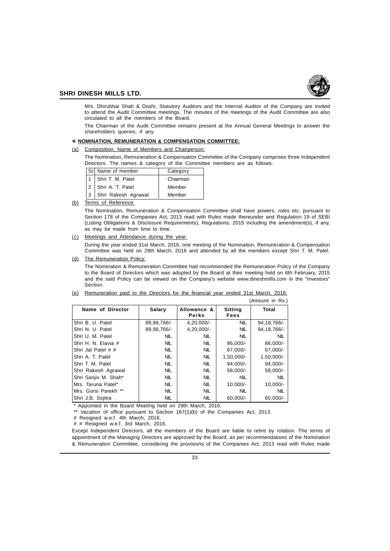

M/s. Dhirubhai Shah & Doshi, Statutory Auditors and the Internal Auditor of the Company are invited to attend the Audit Committee meetings. The minutes of the meetings of the Audit Committee are also circulated to all the members of the Board.

The Chairman of the Audit Committee remains present at the Annual General Meetings to answer the shareholders queries, if any.

#### **NOMINATION, REMUNERATION & COMPENSATION COMMITTEE:**

(a) Composition, Name of Members and Chairperson:

The Nomination, Remuneration & Compensation Committee of the Company comprises three Independent Directors. The names & category of the Committee members are as follows:

| Sr. Name of member    | Category |  |
|-----------------------|----------|--|
| 1   Shri T. M. Patel  | Chairman |  |
| 2 Shri A. T. Patel    | Member   |  |
| 3 Shri Rakesh Agrawal | Member   |  |

(b) Terms of Reference:

The Nomination, Remuneration & Compensation Committee shall have powers, roles etc. pursuant to Section 178 of the Companies Act, 2013 read with Rules made thereunder and Regulation 19 of SEBI (Listing Obligations & Disclosure Requirements), Regulations, 2015 including the amendment(s), if any, as may be made from time to time.

(c) Meetings and Attendance during the year:

During the year ended 31st March, 2016, one meeting of the Nomination, Remuneration & Compensation Committee was held on 29th March, 2016 and attended by all the members except Shri T. M. Patel.

(d) The Remuneration Policy:

The Nomination & Remuneration Committee had recommended the Remuneration Policy of the Company to the Board of Directors which was adopted by the Board at their meeting held on 6th February, 2015 and the said Policy can be viewed on the Company's website www.dineshmills.com in the "Investors" Section.

(Amount in Rs.)

| Name of Director     | Salary      | Allowance &  | <b>Sitting</b> | 1711110 1111 1111 1110.1<br>Total |
|----------------------|-------------|--------------|----------------|-----------------------------------|
|                      |             | <b>Perks</b> | <b>Fees</b>    |                                   |
| Shri B. U. Patel     | 89,98,766/- | $4,20,000/-$ | <b>NIL</b>     | 94, 18, 766/-                     |
| Shri N. U. Patel     | 89,98,766/- | $4,20,000/-$ | <b>NIL</b>     | 94, 18, 766/-                     |
| Shri U. M. Patel     | <b>NIL</b>  | <b>NIL</b>   | <b>NIL</b>     | <b>NIL</b>                        |
| Shri H. N. Elavia #  | <b>NIL</b>  | <b>NIL</b>   | 86,000/-       | 86,000/-                          |
| Shri Jal Patel # #   | <b>NIL</b>  | <b>NIL</b>   | 67,000/-       | 67,000/-                          |
| Shri A. T. Patel     | <b>NIL</b>  | <b>NIL</b>   | $1,50,000/-$   | $1.50.000/-$                      |
| Shri T. M. Patel     | <b>NIL</b>  | <b>NIL</b>   | 94,000/-       | 94,000/-                          |
| Shri Rakesh Agrawal  | <b>NIL</b>  | <b>NIL</b>   | 58,000/-       | 58,000/-                          |
| Shri Sanjiv M. Shah* | NIL.        | <b>NIL</b>   | <b>NIL</b>     | <b>NIL</b>                        |
| Mrs. Taruna Patel*   | <b>NIL</b>  | <b>NIL</b>   | $10,000/-$     | $10,000/-$                        |
| Mrs. Gorsi Parekh ** | <b>NIL</b>  | <b>NIL</b>   | <b>NIL</b>     | <b>NIL</b>                        |
| Shri J.B. Sojitra    | <b>NIL</b>  | <b>NIL</b>   | 60,000/-       | 60,000/-                          |

#### (e) Remuneration paid to the Directors for the financial year ended 31st March, 2016:

\* Appointed in the Board Meeting held on 29th March, 2016.

Vacation of office pursuant to Section 167(1)(b) of the Companies Act, 2013.

# Resigned w.e.f. 4th March, 2016.

# # Resigned w.e.f. 3rd March, 2016.

Except Independent Directors, all the members of the Board are liable to retire by rotation. The terms of appointment of the Managing Directors are approved by the Board, as per recommendations of the Nomination & Remuneration Committee, considering the provisions of the Companies Act, 2013 read with Rules made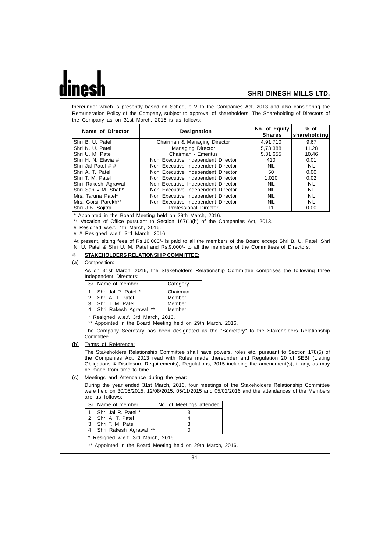thereunder which is presently based on Schedule V to the Companies Act, 2013 and also considering the Remuneration Policy of the Company, subject to approval of shareholders. The Shareholding of Directors of the Company as on 31st March, 2016 is as follows:

| Name of Director     | <b>Designation</b>                 | No. of Equity<br><b>Shares</b> | $%$ of<br>shareholding |
|----------------------|------------------------------------|--------------------------------|------------------------|
| Shri B. U. Patel     | Chairman & Managing Director       | 4,91,710                       | 9.67                   |
| Shri N. U. Patel     | <b>Managing Director</b>           | 5,73,388                       | 11.28                  |
| Shri U. M. Patel     | Chairman - Emeritus                | 5,31,655                       | 10.46                  |
| Shri H. N. Elavia #  | Non Executive Independent Director | 410                            | 0.01                   |
| Shri Jal Patel # #   | Non Executive Independent Director | NIL.                           | <b>NIL</b>             |
| Shri A. T. Patel     | Non Executive Independent Director | 50                             | 0.00                   |
| Shri T. M. Patel     | Non Executive Independent Director | 1.020                          | 0.02                   |
| Shri Rakesh Agrawal  | Non Executive Independent Director | NIL.                           | NIL.                   |
| Shri Sanjiv M. Shah* | Non Executive Independent Director | <b>NIL</b>                     | <b>NIL</b>             |
| Mrs. Taruna Patel*   | Non Executive Independent Director | NIL.                           | <b>NIL</b>             |
| Mrs. Gorsi Parekh**  | Non Executive Independent Director | NIL.                           | NIL.                   |
| Shri J.B. Soiitra    | Professional Director              | 11                             | 0.00                   |

\* Appointed in the Board Meeting held on 29th March, 2016.

\*\* Vacation of Office pursuant to Section 167(1)(b) of the Companies Act, 2013.

# Resigned w.e.f. 4th March, 2016.

# # Resigned w.e.f. 3rd March, 2016.

At present, sitting fees of Rs.10,000/- is paid to all the members of the Board except Shri B. U. Patel, Shri N. U. Patel & Shri U. M. Patel and Rs.9,000/- to all the members of the Committees of Directors.

#### **STAKEHOLDERS RELATIONSHIP COMMITTEE:**

#### (a) Composition:

As on 31st March, 2016, the Stakeholders Relationship Committee comprises the following three Independent Directors:

|                | Sr. Name of member     | Category |  |
|----------------|------------------------|----------|--|
|                | Shri Jal R. Patel *    | Chairman |  |
|                | 2   Shri A. T. Patel   | Member   |  |
| 3 <sup>1</sup> | Shri T. M. Patel       | Member   |  |
|                | Shri Rakesh Agrawal ** | Member   |  |

\* Resigned w.e.f. 3rd March, 2016.

\*\* Appointed in the Board Meeting held on 29th March, 2016.

The Company Secretary has been designated as the "Secretary" to the Stakeholders Relationship Committee.

(b) Terms of Reference:

The Stakeholders Relationship Committee shall have powers, roles etc. pursuant to Section 178(5) of the Companies Act, 2013 read with Rules made thereunder and Regulation 20 of SEBI (Listing Obligations & Disclosure Requirements), Regulations, 2015 including the amendment(s), if any, as may be made from time to time.

(c) Meetings and Attendance during the year:

During the year ended 31st March, 2016, four meetings of the Stakeholders Relationship Committee were held on 30/05/2015, 12/08/2015, 05/11/2015 and 05/02/2016 and the attendances of the Members are as follows:

| Sr. Name of member       | No. of Meetings attended |
|--------------------------|--------------------------|
| 1   Shri Jal R. Patel *  |                          |
| 2 Shri A. T. Patel       |                          |
| 3   Shri T. M. Patel     |                          |
| 4 Shri Rakesh Agrawal ** |                          |

\* Resigned w.e.f. 3rd March, 2016.

\*\* Appointed in the Board Meeting held on 29th March, 2016.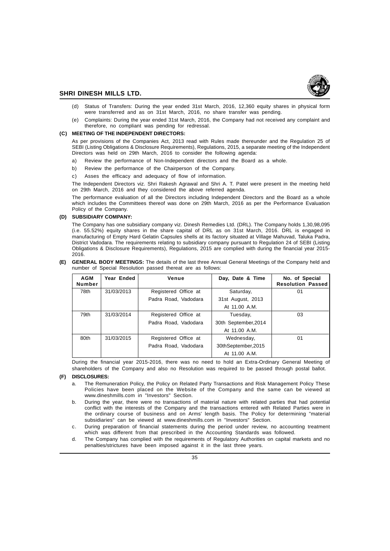

- (d) Status of Transfers: During the year ended 31st March, 2016, 12,360 equity shares in physical form were transferred and as on 31st March, 2016, no share transfer was pending.
- (e) Complaints: During the year ended 31st March, 2016, the Company had not received any complaint and therefore, no compliant was pending for redressal.

#### **(C) MEETING OF THE INDEPENDENT DIRECTORS:**

As per provisions of the Companies Act, 2013 read with Rules made thereunder and the Regulation 25 of SEBI (Listing Obligations & Disclosure Requirements), Regulations, 2015, a separate meeting of the Independent Directors was held on 29th March, 2016 to consider the following agenda:

- a) Review the performance of Non-Independent directors and the Board as a whole.
- b) Review the performance of the Chairperson of the Company.
- c) Asses the efficacy and adequacy of flow of information.

The Independent Directors viz. Shri Rakesh Agrawal and Shri A. T. Patel were present in the meeting held on 29th March, 2016 and they considered the above referred agenda.

The performance evaluation of all the Directors including Independent Directors and the Board as a whole which includes the Committees thereof was done on 29th March, 2016 as per the Performance Evaluation Policy of the Company.

#### **(D) SUBSIDIARY COMPANY:**

The Company has one subsidiary company viz. Dinesh Remedies Ltd. (DRL). The Company holds 1,30,98,095 (i.e. 55.52%) equity shares in the share capital of DRL as on 31st March, 2016. DRL is engaged in manufacturing of Empty Hard Gelatin Capsules shells at its factory situated at Village Mahuvad, Taluka Padra, District Vadodara. The requirements relating to subsidiary company pursuant to Regulation 24 of SEBI (Listing Obligations & Disclosure Requirements), Regulations, 2015 are complied with during the financial year 2015- 2016.

**(E) GENERAL BODY MEETINGS:** The details of the last three Annual General Meetings of the Company held and number of Special Resolution passed thereat are as follows:

| <b>AGM</b><br><b>Number</b> | Year Ended | Venue                | Day, Date & Time     | No. of Special<br><b>Resolution Passed</b> |
|-----------------------------|------------|----------------------|----------------------|--------------------------------------------|
| 78th                        | 31/03/2013 | Registered Office at | Saturday,            | 01                                         |
|                             |            | Padra Road, Vadodara | 31st August, 2013    |                                            |
|                             |            |                      | At 11.00 A.M.        |                                            |
| 79th                        | 31/03/2014 | Registered Office at | Tuesday,             | 03                                         |
|                             |            | Padra Road, Vadodara | 30th September, 2014 |                                            |
|                             |            |                      | At 11.00 A.M.        |                                            |
| 80th                        | 31/03/2015 | Registered Office at | Wednesday,           | 01                                         |
|                             |            | Padra Road, Vadodara | 30thSeptember,2015   |                                            |
|                             |            |                      | At 11.00 A.M.        |                                            |

During the financial year 2015-2016, there was no need to hold an Extra-Ordinary General Meeting of shareholders of the Company and also no Resolution was required to be passed through postal ballot.

#### **(F) DISCLOSURES:**

- a. The Remuneration Policy, the Policy on Related Party Transactions and Risk Management Policy These Policies have been placed on the Website of the Company and the same can be viewed at www.dineshmills.com in "Investors" Section.
- b. During the year, there were no transactions of material nature with related parties that had potential conflict with the interests of the Company and the transactions entered with Related Parties were in the ordinary course of business and on Arms' length basis. The Policy for determining "material subsidiaries" can be viewed at www.dineshmills.com in "Investors" Section.
- c. During preparation of financial statements during the period under review, no accounting treatment which was different from that prescribed in the Accounting Standards was followed.
- d. The Company has complied with the requirements of Regulatory Authorities on capital markets and no penalties/strictures have been imposed against it in the last three years.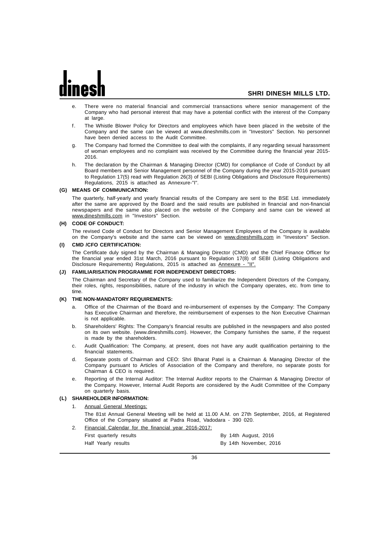- e. There were no material financial and commercial transactions where senior management of the Company who had personal interest that may have a potential conflict with the interest of the Company at large.
- f. The Whistle Blower Policy for Directors and employees which have been placed in the website of the Company and the same can be viewed at www.dineshmills.com in "Investors" Section. No personnel have been denied access to the Audit Committee.
- g. The Company had formed the Committee to deal with the complaints, if any regarding sexual harassment of woman employees and no complaint was received by the Committee during the financial year 2015- 2016.
- h. The declaration by the Chairman & Managing Director (CMD) for compliance of Code of Conduct by all Board members and Senior Management personnel of the Company during the year 2015-2016 pursuant to Regulation 17(5) read with Regulation 26(3) of SEBI (Listing Obligations and Disclosure Requirements) Regulations, 2015 is attached as Annexure-"I".

#### **(G) MEANS OF COMMUNICATION:**

The quarterly, half-yearly and yearly financial results of the Company are sent to the BSE Ltd. immediately after the same are approved by the Board and the said results are published in financial and non-financial newspapers and the same also placed on the website of the Company and same can be viewed at www.dineshmills.com in "Investors" Section.

#### **(H) CODE OF CONDUCT:**

The revised Code of Conduct for Directors and Senior Management Employees of the Company is available on the Company's website and the same can be viewed on www.dineshmills.com in "Investors" Section.

#### **(I) CMD /CFO CERTIFICATION:**

The Certificate duly signed by the Chairman & Managing Director (CMD) and the Chief Finance Officer for the financial year ended 31st March, 2016 pursuant to Regulation 17(8) of SEBI (Listing Obligations and Disclosure Requirements) Regulations, 2015 is attached as Annexure -

#### **(J) FAMILIARISATION PROGRAMME FOR INDEPENDENT DIRECTORS:**

The Chairman and Secretary of the Company used to familiarize the Independent Directors of the Company, their roles, rights, responsibilities, nature of the industry in which the Company operates, etc. from time to time.

#### **(K) THE NON-MANDATORY REQUIREMENTS:**

- a. Office of the Chairman of the Board and re-imbursement of expenses by the Company: The Company has Executive Chairman and therefore, the reimbursement of expenses to the Non Executive Chairman is not applicable.
- b. Shareholders' Rights: The Company's financial results are published in the newspapers and also posted on its own website. (www.dineshmills.com). However, the Company furnishes the same, if the request is made by the shareholders.
- c. Audit Qualification: The Company, at present, does not have any audit qualification pertaining to the financial statements.
- d. Separate posts of Chairman and CEO: Shri Bharat Patel is a Chairman & Managing Director of the Company pursuant to Articles of Association of the Company and therefore, no separate posts for Chairman & CEO is required.
- e. Reporting of the Internal Auditor: The Internal Auditor reports to the Chairman & Managing Director of the Company. However, Internal Audit Reports are considered by the Audit Committee of the Company on quarterly basis.

#### **(L) SHAREHOLDER INFORMATION:**

- 1. Annual General Meetings: The 81st Annual General Meeting will be held at 11.00 A.M. on 27th September, 2016, at Registered Office of the Company situated at Padra Road, Vadodara - 390 020.
- 2. Financial Calendar for the financial year 2016-2017:

| First quarterly results | By 14th August, 2016   |
|-------------------------|------------------------|
| Half Yearly results     | By 14th November, 2016 |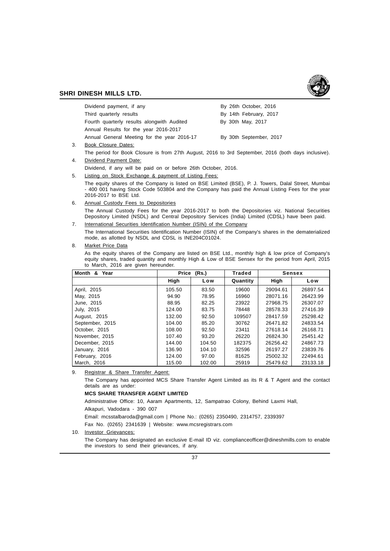

|    | Dividend payment, if any                                                                            | By 26th October, 2016   |
|----|-----------------------------------------------------------------------------------------------------|-------------------------|
|    | Third quarterly results                                                                             | By 14th February, 2017  |
|    | Fourth quarterly results alongwith Audited                                                          | By 30th May, 2017       |
|    | Annual Results for the year 2016-2017                                                               |                         |
|    | Annual General Meeting for the year 2016-17                                                         | By 30th September, 2017 |
| 3. | Book Closure Dates:                                                                                 |                         |
|    | The period for Book Closure is from 27th August, 2016 to 3rd September, 2016 (both days inclusive). |                         |
|    |                                                                                                     |                         |

- 4. Dividend Payment Date:
- Dividend, if any will be paid on or before 26th October, 2016.
- 5. Listing on Stock Exchange & payment of Listing Fees:

The equity shares of the Company is listed on BSE Limited (BSE), P. J. Towers, Dalal Street, Mumbai - 400 001 having Stock Code 503804 and the Company has paid the Annual Listing Fees for the year 2016-2017 to BSE Ltd.

# 6. Annual Custody Fees to Depositories

The Annual Custody Fees for the year 2016-2017 to both the Depositories viz. National Securities Depository Limited (NSDL) and Central Depository Services (India) Limited (CDSL) have been paid.

7. International Securities Identification Number (ISIN) of the Company The International Securities Identification Number (ISIN) of the Company's shares in the dematerialized mode, as allotted by NSDL and CDSL is INE204C01024.

#### 8. Market Price Data

As the equity shares of the Company are listed on BSE Ltd., monthly high & low price of Company's equity shares, traded quantity and monthly High & Low of BSE Sensex for the period from April, 2015 to March, 2016 are given hereunder.

| Month<br>&<br>Year | (Rs.)<br><b>Price</b> |        | Traded   | <b>Sensex</b> |          |
|--------------------|-----------------------|--------|----------|---------------|----------|
|                    | High                  | Low    | Quantity | High          | Low      |
| April, 2015        | 105.50                | 83.50  | 19600    | 29094.61      | 26897.54 |
| May, 2015          | 94.90                 | 78.95  | 16960    | 28071.16      | 26423.99 |
| June, 2015         | 88.95                 | 82.25  | 23922    | 27968.75      | 26307.07 |
| July, 2015         | 124.00                | 83.75  | 78448    | 28578.33      | 27416.39 |
| August, 2015       | 132.00                | 92.50  | 109507   | 28417.59      | 25298.42 |
| September, 2015    | 104.00                | 85.20  | 30762    | 26471.82      | 24833.54 |
| October, 2015      | 108.00                | 92.50  | 23411    | 27618.14      | 26168.71 |
| November, 2015     | 107.40                | 93.20  | 26220    | 26824.30      | 25451.42 |
| December, 2015     | 144.00                | 104.50 | 182375   | 26256.42      | 24867.73 |
| January, 2016      | 136.90                | 104.10 | 32596    | 26197.27      | 23839.76 |
| February, 2016     | 124.00                | 97.00  | 81625    | 25002.32      | 22494.61 |
| March, 2016        | 115.00                | 102.00 | 25919    | 25479.62      | 23133.18 |

9. Registrar & Share Transfer Agent:

The Company has appointed MCS Share Transfer Agent Limited as its R & T Agent and the contact details are as under:

#### **MCS SHARE TRANSFER AGENT LIMITED**

Administrative Office: 10, Aaram Apartments, 12, Sampatrao Colony, Behind Laxmi Hall,

Alkapuri, Vadodara - 390 007

Email: mcsstalbaroda@gmail.com | Phone No.: (0265) 2350490, 2314757, 2339397

Fax No. (0265) 2341639 | Website: www.mcsregistrars.com

#### 10. Investor Grievances:

The Company has designated an exclusive E-mail ID viz. complianceofficer@dineshmills.com to enable the investors to send their grievances, if any.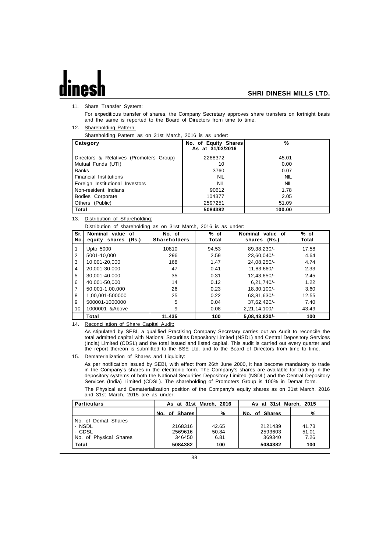#### 11. Share Transfer System:

For expeditious transfer of shares, the Company Secretary approves share transfers on fortnight basis and the same is reported to the Board of Directors from time to time.

#### 12. Shareholding Pattern:

Shareholding Pattern as on 31st March, 2016 is as under:

| Category                                | No. of Equity Shares<br>As at 31/03/2016 | $\%$       |
|-----------------------------------------|------------------------------------------|------------|
| Directors & Relatives (Promoters Group) | 2288372                                  | 45.01      |
| Mutual Funds (UTI)                      | 10                                       | 0.00       |
| <b>Banks</b>                            | 3760                                     | 0.07       |
| <b>Financial Institutions</b>           | <b>NIL</b>                               | <b>NIL</b> |
| Foreign Institutional Investors         | <b>NIL</b>                               | <b>NIL</b> |
| Non-resident Indians                    | 90612                                    | 1.78       |
| Bodies Corporate                        | 104377                                   | 2.05       |
| Others (Public)                         | 2597251                                  | 51.09      |
| Total                                   | 5084382                                  | 100.00     |

#### 13. Distribution of Shareholding:

Distribution of shareholding as on 31st March, 2016 is as under:

| Sr.<br>No.     | Nominal value of<br>equity shares<br>(Rs.) | No. of<br><b>Shareholders</b> | $%$ of<br>Total | Nominal value of<br>shares<br>(Rs.) | $%$ of<br>Total |
|----------------|--------------------------------------------|-------------------------------|-----------------|-------------------------------------|-----------------|
|                | Upto 5000                                  | 10810                         | 94.53           | 89, 38, 230/-                       | 17.58           |
| 2              | 5001-10.000                                | 296                           | 2.59            | 23,60,040/-                         | 4.64            |
| 3              | 10.001-20.000                              | 168                           | 1.47            | 24,08,250/-                         | 4.74            |
| $\overline{4}$ | 20.001-30.000                              | 47                            | 0.41            | 11,83,660/-                         | 2.33            |
| 5              | 30,001-40,000                              | 35                            | 0.31            | 12.43.650/-                         | 2.45            |
| 6              | 40.001-50.000                              | 14                            | 0.12            | $6.21.740/-$                        | 1.22            |
| $\overline{7}$ | 50,001-1,00,000                            | 26                            | 0.23            | 18,30,100/-                         | 3.60            |
| 8              | 1,00,001-500000                            | 25                            | 0.22            | 63,81,630/-                         | 12.55           |
| 9              | 500001-1000000                             | 5                             | 0.04            | 37,62,420/-                         | 7.40            |
| 10             | 1000001 & Above                            | 9                             | 0.08            | 2,21,14,100/-                       | 43.49           |
|                | Total                                      | 11,435                        | 100             | 5,08,43,820/-                       | 100             |

14. Reconciliation of Share Capital Audit:

As stipulated by SEBI, a qualified Practising Company Secretary carries out an Audit to reconcile the total admitted capital with National Securities Depository Limited (NSDL) and Central Depository Services (India) Limited (CDSL) and the total issued and listed capital. This audit is carried out every quarter and the report thereon is submitted to the BSE Ltd. and to the Board of Directors from time to time.

#### 15. Dematerialization of Shares and Liquidity:

As per notification issued by SEBI, with effect from 26th June 2000, it has become mandatory to trade in the Company's shares in the electronic form. The Company's shares are available for trading in the depository systems of both the National Securities Depository Limited (NSDL) and the Central Depository Services (India) Limited (CDSL). The shareholding of Promoters Group is 100% in Demat form.

The Physical and Dematerialization position of the Company's equity shares as on 31st March, 2016 and 31st March, 2015 are as under:

| <b>Particulars</b>     |               | As at 31st March, 2016 | As at 31st March, 2015 |       |
|------------------------|---------------|------------------------|------------------------|-------|
|                        | No. of Shares | %                      | No. of Shares          | %     |
| No. of Demat Shares    |               |                        |                        |       |
| - NSDL                 | 2168316       | 42.65                  | 2121439                | 41.73 |
| - CDSL                 | 2569616       | 50.84                  | 2593603                | 51.01 |
| No. of Physical Shares | 346450        | 6.81                   | 369340                 | 7.26  |
| Total                  | 5084382       | 100                    | 5084382                | 100   |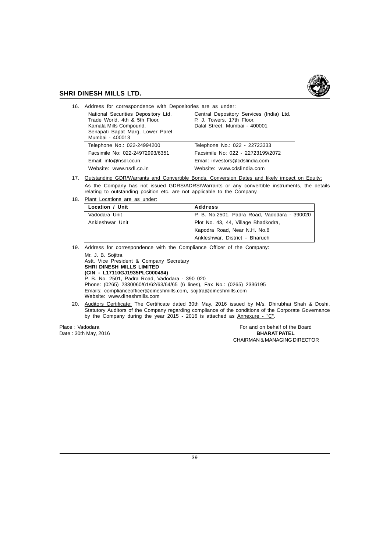

#### 16. Address for correspondence with Depositories are as under:

| Central Depository Services (India) Ltd.<br>P. J. Towers, 17th Floor,<br>Dalal Street, Mumbai - 400001 |
|--------------------------------------------------------------------------------------------------------|
|                                                                                                        |
| Telephone No.: 022 - 22723333                                                                          |
| Facsimile No: 022 - 22723199/2072                                                                      |
| Email: investors@cdslindia.com                                                                         |
| Website: www.cdslindia.com                                                                             |
|                                                                                                        |

- 17. Outstanding GDR/Warrants and Convertible Bonds, Conversion Dates and likely impact on Equity: As the Company has not issued GDRS/ADRS/Warrants or any convertible instruments, the details relating to outstanding position etc. are not applicable to the Company.
- 18. Plant Locations are as under:

| Location / Unit | <b>Address</b>                               |
|-----------------|----------------------------------------------|
| Vadodara Unit   | P. B. No.2501, Padra Road, Vadodara - 390020 |
| Ankleshwar Unit | Plot No. 43, 44, Village Bhadkodra,          |
|                 | Kapodra Road, Near N.H. No.8                 |
|                 | Ankleshwar, District - Bharuch               |

19. Address for correspondence with the Compliance Officer of the Company:

Mr. J. B. Sojitra Astt. Vice President & Company Secretary **SHRI DINESH MILLS LIMITED (CIN - L17110GJ1935PLC000494)** P. B. No. 2501, Padra Road, Vadodara - 390 020 Phone: (0265) 2330060/61/62/63/64/65 (6 lines), Fax No.: (0265) 2336195 Emails: complianceofficer@dineshmills.com, sojitra@dineshmills.com Website: www.dineshmills.com

20. Auditors Certificate: The Certificate dated 30th May, 2016 issued by M/s. Dhirubhai Shah & Doshi, Statutory Auditors of the Company regarding compliance of the conditions of the Corporate Governance by the Company during the year 2015 - 2016 is attached as Annexure - "C".

Date: 30th May, 2016

Place : Vadodara **For and on behalf of the Board**<br> **Place : Vadodara For and on behalf of the Board**<br> **For and on behalf of the Board** CHAIRMAN & MANAGING DIRECTOR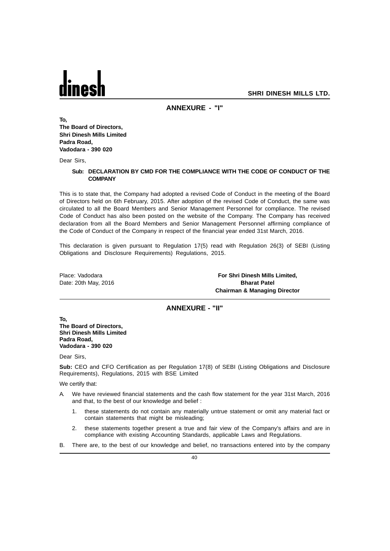#### **ANNEXURE - "I"**

**To, The Board of Directors, Shri Dinesh Mills Limited Padra Road, Vadodara - 390 020**

Dear Sirs,

#### **Sub: DECLARATION BY CMD FOR THE COMPLIANCE WITH THE CODE OF CONDUCT OF THE COMPANY**

This is to state that, the Company had adopted a revised Code of Conduct in the meeting of the Board of Directors held on 6th February, 2015. After adoption of the revised Code of Conduct, the same was circulated to all the Board Members and Senior Management Personnel for compliance. The revised Code of Conduct has also been posted on the website of the Company. The Company has received declaration from all the Board Members and Senior Management Personnel affirming compliance of the Code of Conduct of the Company in respect of the financial year ended 31st March, 2016.

This declaration is given pursuant to Regulation 17(5) read with Regulation 26(3) of SEBI (Listing Obligations and Disclosure Requirements) Regulations, 2015.

Place: Vadodara **For Shri Dinesh Mills Limited,** Date: 20th May, 2016 **Bharat Patel Chairman & Managing Director**

#### **ANNEXURE - "II"**

**To, The Board of Directors, Shri Dinesh Mills Limited Padra Road, Vadodara - 390 020**

Dear Sirs,

**Sub:** CEO and CFO Certification as per Regulation 17(8) of SEBI (Listing Obligations and Disclosure Requirements), Regulations, 2015 with BSE Limited

We certify that:

- A. We have reviewed financial statements and the cash flow statement for the year 31st March, 2016 and that, to the best of our knowledge and belief :
	- 1. these statements do not contain any materially untrue statement or omit any material fact or contain statements that might be misleading;
	- 2. these statements together present a true and fair view of the Company's affairs and are in compliance with existing Accounting Standards, applicable Laws and Regulations.

B. There are, to the best of our knowledge and belief, no transactions entered into by the company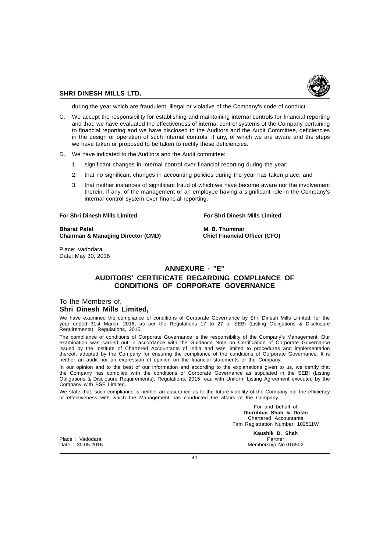

during the year which are fraudulent, illegal or violative of the Company's code of conduct.

- C. We accept the responsibility for establishing and maintaining internal controls for financial reporting and that, we have evaluated the effectiveness of internal control systems of the Company pertaining to financial reporting and we have disclosed to the Auditors and the Audit Committee, deficiencies in the design or operation of such internal controls, if any, of which we are aware and the steps we have taken or proposed to be taken to rectify these deficiencies.
- D. We have indicated to the Auditors and the Audit committee:
	- 1. significant changes in internal control over financial reporting during the year;
	- 2. that no significant changes in accounting policies during the year has taken place; and
	- 3. that neither instances of significant fraud of which we have become aware nor the involvement therein, if any, of the management or an employee having a significant role in the Company's internal control system over financial reporting.

#### **For Shri Dinesh Mills Limited For Shri Dinesh Mills Limited**

**Bharat Patel M. B. Thummar Chairman & Managing Director (CMD)** 

Place: Vadodara Date: May 30, 2016

#### **ANNEXURE - "E"**

### **AUDITORS' CERTIFICATE REGARDING COMPLIANCE OF CONDITIONS OF CORPORATE GOVERNANCE**

#### To the Members of, **Shri Dinesh Mills Limited,**

We have examined the compliance of conditions of Corporate Governance by Shri Dinesh Mills Limited, for the year ended 31st March, 2016, as per the Regulations 17 to 27 of SEBI (Listing Obligations & Disclosure Requirements), Regulations, 2015.

The compliance of conditions of Corporate Governance is the responsibility of the Company's Management. Our examination was carried out in accordance with the Guidance Note on Certification of Corporate Governance issued by the Institute of Chartered Accountants of India and was limited to procedures and implementation thereof, adopted by the Company for ensuring the compliance of the conditions of Corporate Governance. It is neither an audit nor an expression of opinion on the financial statements of the Company.

In our opinion and to the best of our information and according to the explanations given to us, we certify that the Company has complied with the conditions of Corporate Governance as stipulated in the SEBI (Listing Obligations & Disclosure Requirements), Regulations, 2015 read with Uniform Listing Agreement executed by the Company with BSE Limited.

We state that, such compliance is neither an assurance as to the future viability of the Company nor the efficiency or effectiveness with which the Management has conducted the affairs of the Company.

> For and behalf of **Dhirubhai Shah & Doshi** Chartered Accountants Firm Registration Number: 102511W

Place : Vadodara<br>Date : 30.05.2016

**Kaushik D. Shah** Membership No.016502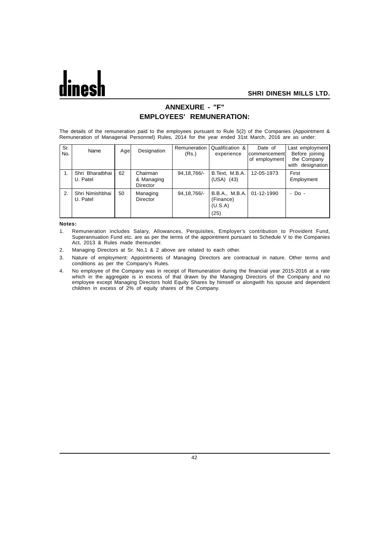# l.<br>linesh

#### **SHRI DINESH MILLS LTD.**

## **ANNEXURE - "F" EMPLOYEES' REMUNERATION:**

The details of the remuneration paid to the employees pursuant to Rule 5(2) of the Companies (Appointment & Remuneration of Managerial Personnel) Rules, 2014 for the year ended 31st March, 2016 are as under:

| Sr.<br>No. | Name                        | Agel | Designation                               | Remuneration<br>(Rs.) | Qualification &<br>experience                  | Date of<br>Icommencement<br>of employment | Last employment<br>Before joining<br>the Company<br>with designation |
|------------|-----------------------------|------|-------------------------------------------|-----------------------|------------------------------------------------|-------------------------------------------|----------------------------------------------------------------------|
|            | Shri Bharatbhai<br>U. Patel | 62   | Chairman<br>& Managing<br><b>Director</b> | 94, 18, 766/-         | B.Text, M.B.A.<br>$(USA)$ $(43)$               | 12-05-1973                                | First<br>Employment                                                  |
| 2.         | Shri Nimishbhai<br>U. Patel | 50   | Managing<br><b>Director</b>               | 94, 18, 766/-         | B.B.A., M.B.A.<br>(Finance)<br>(U.S.A)<br>(25) | 01-12-1990                                | - Do -                                                               |

#### **Notes:**

- 1. Remuneration includes Salary, Allowances, Perquisites, Employer's contribution to Provident Fund, Superannuation Fund etc. are as per the terms of the appointment pursuant to Schedule V to the Companies Act, 2013 & Rules made thereunder.
- 2. Managing Directors at Sr. No.1 & 2 above are related to each other.
- 3. Nature of employment: Appointments of Managing Directors are contractual in nature. Other terms and conditions as per the Company's Rules.
- 4. No employee of the Company was in receipt of Remuneration during the financial year 2015-2016 at a rate which in the aggregate is in excess of that drawn by the Managing Directors of the Company and no employee except Managing Directors hold Equity Shares by himself or alongwith his spouse and dependent children in excess of 2% of equity shares of the Company.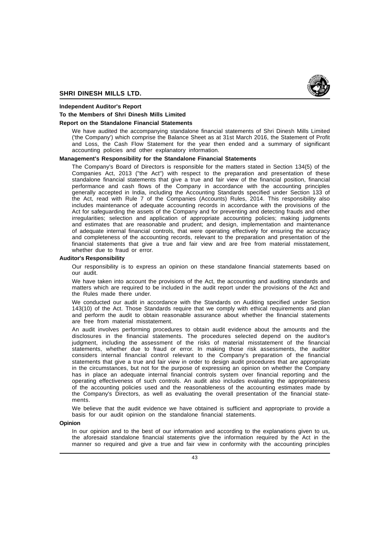

#### **Independent Auditor's Report**

#### **To the Members of Shri Dinesh Mills Limited**

#### **Report on the Standalone Financial Statements**

We have audited the accompanying standalone financial statements of Shri Dinesh Mills Limited ('the Company') which comprise the Balance Sheet as at 31st March 2016, the Statement of Profit and Loss, the Cash Flow Statement for the year then ended and a summary of significant accounting policies and other explanatory information.

#### **Management's Responsibility for the Standalone Financial Statements**

The Company's Board of Directors is responsible for the matters stated in Section 134(5) of the Companies Act, 2013 ("the Act") with respect to the preparation and presentation of these standalone financial statements that give a true and fair view of the financial position, financial performance and cash flows of the Company in accordance with the accounting principles generally accepted in India, including the Accounting Standards specified under Section 133 of the Act, read with Rule 7 of the Companies (Accounts) Rules, 2014. This responsibility also includes maintenance of adequate accounting records in accordance with the provisions of the Act for safeguarding the assets of the Company and for preventing and detecting frauds and other irregularities; selection and application of appropriate accounting policies; making judgments and estimates that are reasonable and prudent; and design, implementation and maintenance of adequate internal financial controls, that were operating effectively for ensuring the accuracy and completeness of the accounting records, relevant to the preparation and presentation of the financial statements that give a true and fair view and are free from material misstatement, whether due to fraud or error.

#### **Auditor's Responsibility**

Our responsibility is to express an opinion on these standalone financial statements based on our audit.

We have taken into account the provisions of the Act, the accounting and auditing standards and matters which are required to be included in the audit report under the provisions of the Act and the Rules made there under.

We conducted our audit in accordance with the Standards on Auditing specified under Section 143(10) of the Act. Those Standards require that we comply with ethical requirements and plan and perform the audit to obtain reasonable assurance about whether the financial statements are free from material misstatement.

An audit involves performing procedures to obtain audit evidence about the amounts and the disclosures in the financial statements. The procedures selected depend on the auditor's judgment, including the assessment of the risks of material misstatement of the financial statements, whether due to fraud or error. In making those risk assessments, the auditor considers internal financial control relevant to the Company's preparation of the financial statements that give a true and fair view in order to design audit procedures that are appropriate in the circumstances, but not for the purpose of expressing an opinion on whether the Company has in place an adequate internal financial controls system over financial reporting and the operating effectiveness of such controls. An audit also includes evaluating the appropriateness of the accounting policies used and the reasonableness of the accounting estimates made by the Company's Directors, as well as evaluating the overall presentation of the financial statements.

We believe that the audit evidence we have obtained is sufficient and appropriate to provide a basis for our audit opinion on the standalone financial statements.

#### **Opinion**

In our opinion and to the best of our information and according to the explanations given to us, the aforesaid standalone financial statements give the information required by the Act in the manner so required and give a true and fair view in conformity with the accounting principles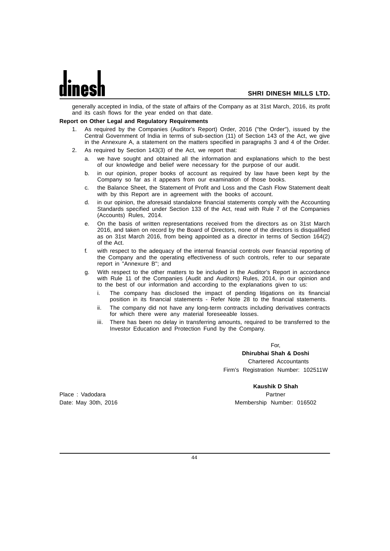generally accepted in India, of the state of affairs of the Company as at 31st March, 2016, its profit and its cash flows for the year ended on that date.

#### **Report on Other Legal and Regulatory Requirements**

- 1. As required by the Companies (Auditor's Report) Order, 2016 ("the Order"), issued by the Central Government of India in terms of sub-section (11) of Section 143 of the Act, we give in the Annexure A, a statement on the matters specified in paragraphs 3 and 4 of the Order.
- 2. As required by Section 143(3) of the Act, we report that:
	- a. we have sought and obtained all the information and explanations which to the best of our knowledge and belief were necessary for the purpose of our audit.
	- b. in our opinion, proper books of account as required by law have been kept by the Company so far as it appears from our examination of those books.
	- c. the Balance Sheet, the Statement of Profit and Loss and the Cash Flow Statement dealt with by this Report are in agreement with the books of account.
	- d. in our opinion, the aforesaid standalone financial statements comply with the Accounting Standards specified under Section 133 of the Act, read with Rule 7 of the Companies (Accounts) Rules, 2014.
	- e. On the basis of written representations received from the directors as on 31st March 2016, and taken on record by the Board of Directors, none of the directors is disqualified as on 31st March 2016, from being appointed as a director in terms of Section 164(2) of the Act.
	- f. with respect to the adequacy of the internal financial controls over financial reporting of the Company and the operating effectiveness of such controls, refer to our separate report in "Annexure B"; and
	- g. With respect to the other matters to be included in the Auditor's Report in accordance with Rule 11 of the Companies (Audit and Auditors) Rules, 2014, in our opinion and to the best of our information and according to the explanations given to us:
		- i. The company has disclosed the impact of pending litigations on its financial position in its financial statements - Refer Note 28 to the financial statements.
		- ii. The company did not have any long-term contracts including derivatives contracts for which there were any material foreseeable losses.
		- iii. There has been no delay in transferring amounts, required to be transferred to the Investor Education and Protection Fund by the Company.

For,

**Dhirubhai Shah & Doshi** Chartered Accountants Firm's Registration Number: 102511W

**Kaushik D Shah**

Date: May 30th, 2016 Membership Number: 016502

Place : Vadodara Partner Partner Partner Partner Partner Partner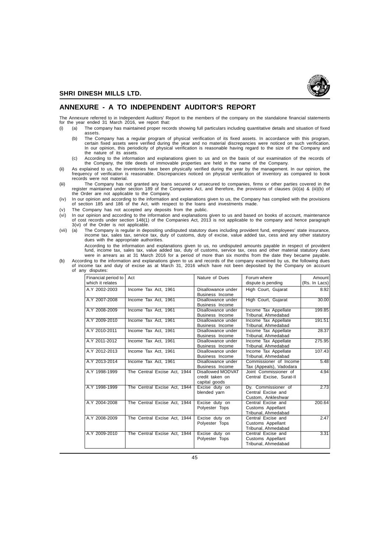

#### **ANNEXURE - A TO INDEPENDENT AUDITOR'S REPORT**

The Annexure referred to in Independent Auditors' Report to the members of the company on the standalone financial statements for the year ended 31 March 2016, we report that:

- (i) (a) The company has maintained proper records showing full particulars including quantitative details and situation of fixed assets.
	- (b) The Company has a regular program of physical verification of its fixed assets. In accordance with this program,<br>certain fixed assets were verified during the year and no material discrepancies were noticed on such ver the nature of its assets.
	- (c) According to the information and explanations given to us and on the basis of our examination of the records of the Company, the title deeds of immovable properties are held in the name of the Company.
- (ii) As explained to us, the inventories have been physically verified during the year by the management. In our opinion, the frequency of verification is reasonable. Discrepancies noticed on physical verification of inventory as compared to book records were not material.
- (iii) The Company has not granted any loans secured or unsecured to companies, firms or other parties covered in the register maintained under section 189 of the Companies Act, and therefore, the provisions of clauses (iii)(a) & (iii)(b) of the Order are not applicable to the Company.
- (iv) In our opinion and according to the information and explanations given to us, the Company has complied with the provisions of section 185 and 186 of the Act, with respect to the loans and investments made.
- (v) The Company has not accepted any deposits from the public.
- (vi) In our opinion and according to the information and explanations given to us and based on books of account, maintenance cost records under section 148(1) of the Companies Act, 2013 is not applicable to the company and hence paragraph 3(vi) of the Order is not applicable.
- (vii) (a) The Company is regular in depositing undisputed statutory dues including provident fund, employees' state insurance,<br>income tax, sales tax, service tax, duty of customs, duty of excise, value added tax, cess and dues with the appropriate authorities. According to the information and explanations given to us, no undisputed amounts payable in respect of provident
- fund, income tax, sales tax, value added tax, duty of customs, service tax, cess and other material statutory dues were in arrears as at 31 March 2016 for a period of more than six months from the date they became payable. (b) According to the information and explanations given to us and records of the company examined by us, the following dues of income tax and duty of excise as at March 31, 2016 which have not been deposited by the Company

| 111Y UISPULES.                          |                              |                                                       |                                                                       |                         |
|-----------------------------------------|------------------------------|-------------------------------------------------------|-----------------------------------------------------------------------|-------------------------|
| Financial period to<br>which it relates | Act                          | Nature of Dues                                        | Forum where<br>dispute is pending                                     | Amount<br>(Rs. In Lacs) |
| A.Y 2002-2003                           | Income Tax Act. 1961         | Disallowance under<br>Business Income                 | High Court, Gujarat                                                   | 8.92                    |
| A.Y 2007-2008                           | Income Tax Act, 1961         | Disallowance under<br>Business Income                 | High Court, Gujarat                                                   | 30.00                   |
| A.Y 2008-2009                           | Income Tax Act. 1961         | Disallowance under<br>Business Income                 | Income Tax Appellate<br>Tribunal, Ahmedabad                           | 199.85                  |
| A.Y 2009-2010                           | Income Tax Act. 1961         | Disallowance under<br>Business Income                 | Income Tax Appellate<br>Tribunal, Ahmedabad                           | 191.51                  |
| A.Y 2010-2011                           | Income Tax Act, 1961         | Disallowance under<br>Business Income                 | Income Tax Appellate<br>Tribunal, Ahmedabad                           | 28.37                   |
| A.Y 2011-2012                           | Income Tax Act, 1961         | Disallowance under<br>Business Income                 | Income Tax Appellate<br>Tribunal, Ahmedabad                           | 275.95                  |
| A.Y 2012-2013                           | Income Tax Act. 1961         | Disallowance under<br>Business Income                 | Income Tax Appellate<br>Tribunal, Ahmedabad                           | 107.43                  |
| A.Y 2013-2014                           | Income Tax Act, 1961         | Disallowance under<br>Business Income                 | Commissioner of Income<br>Tax (Appeals), Vadodara                     | 5.48                    |
| A.Y 1998-1999                           | The Central Excise Act, 1944 | Disallowed MODVAT<br>credit taken on<br>capital goods | Joint Commissioner of<br>Central Excise, Surat-II                     | 4.94                    |
| A.Y 1998-1999                           | The Central Excise Act, 1944 | Excise duty on<br>blended yarn                        | Dy. Commissioner of<br>Central Excise and<br>Custom, Ankleshwar       | 2.73                    |
| A.Y 2004-2008                           | The Central Excise Act, 1944 | Excise duty on<br>Polyester Tops                      | Central Excise and<br><b>Customs Appellant</b><br>Tribunal, Ahmedabad | 200.64                  |
| A.Y 2008-2009                           | The Central Excise Act, 1944 | Excise duty on<br>Polyester Tops                      | Central Excise and<br><b>Customs Appellant</b><br>Tribunal, Ahmedabad | 2.47                    |
| A.Y 2009-2010                           | The Central Excise Act, 1944 | Excise duty on<br>Polyester Tops                      | Central Excise and<br><b>Customs Appellant</b><br>Tribunal, Ahmedabad | 3.31                    |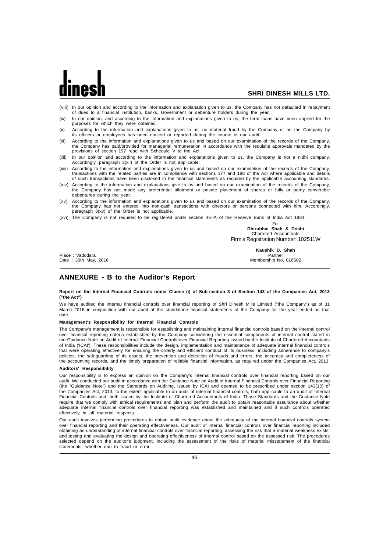- (viii) In our opinion and according to the information and explanation given to us, the Company has not defaulted in repayment of dues to a financial institution, banks, Government or debenture holders during the year.
- (ix) In our opinion, and according to the information and explanations given to us, the term loans have been applied for the purposes for which they were obtained.
- (x) According to the information and explanations given to us, no material fraud by the Company or on the Company by its officers or employees has been noticed or reported during the course of our audit.
- (xi) According to the information and explanations given to us and based on our examination of the records of the Company, the Company has paid/provided for managerial remuneration in accordance with the requisite approvals mandated by the provisions of section 197 read with Schedule V to the Act.
- (xii) In our opinion and according to the information and explanations given to us, the Company is not a nidhi company. Accordingly, paragraph 3(xii) of the Order is not applicable.
- (xiii) According to the information and explanations given to us and based on our examination of the records of the Company, transactions with the related parties are in compliance with sections 177 and 188 of the Act where applicable and details<br>of such transactions have been disclosed in the financial statements as required by the applicable a
- (xiv) According to the information and explanations give to us and based on our examination of the records of the Company,<br>the Company has not made any preferential allotment or private placement of shares or fully or part debentures during the year.
- (xv) According to the information and explanations given to us and based on our examination of the records of the Company, the Company has not entered into non-cash transactions with directors or persons connected with him. Accordingly, paragraph 3(xv) of the Order is not applicable.
- (xvi) The Company is not required to be registered under section 45-IA of the Reserve Bank of India Act 1934.

For **Dhirubhai Shah & Doshi** Chartered Accountants

Firm's Registration Number: 102511W

Place : Vadodara<br>Date : 30th May, 2016

**Kaushik D. Shah** Membership No. 016502

#### **ANNEXURE - B to the Auditor's Report**

#### **Report on the Internal Financial Controls under Clause (i) of Sub-section 3 of Section 143 of the Companies Act, 2013 ("the Act")**

We have audited the internal financial controls over financial reporting of Shri Dinesh Mills Limited ("the Company") as of 31 March 2016 in conjunction with our audit of the standalone financial statements of the Company for the year ended on that date.

#### **Management's Responsibility for Internal Financial Controls**

The Company's management is responsible for establishing and maintaining internal financial controls based on the internal control over financial reporting criteria established by the Company considering the essential components of internal control stated in the Guidance Note on Audit of Internal Financial Controls over Financial Reporting issued by the Institute of Chartered Accountants of India ('ICAI'). These responsibilities include the design, implementation and maintenance of adequate internal financial controls that were operating effectively for ensuring the orderly and efficient conduct of its business, including adherence to company's policies, the safeguarding of its assets, the prevention and detection of frauds and errors, the accuracy and completeness of the accounting records, and the timely preparation of reliable financial information, as required under the Companies Act, 2013.

#### **Auditors' Responsibility**

Our responsibility is to express an opinion on the Company's internal financial controls over financial reporting based on our audit. We conducted our audit in accordance with the Guidance Note on Audit of Internal Financial Controls over Financial Reporting (the "Guidance Note") and the Standards on Auditing, issued by ICAI and deemed to be prescribed under section 143(10) of the Companies Act, 2013, to the extent applicable to an audit of internal financial controls, both applicable to an audit of Internal Financial Controls and, both issued by the Institute of Chartered Accountants of India. Those Standards and the Guidance Note require that we comply with ethical requirements and plan and perform the audit to obtain reasonable assurance about whether adequate internal financial controls over financial reporting was established and maintained and if such controls operated effectively in all material respects.

Our audit involves performing procedures to obtain audit evidence about the adequacy of the internal financial controls system over financial reporting and their operating effectiveness. Our audit of internal financial controls over financial reporting included obtaining an understanding of internal financial controls over financial reporting, assessing the risk that a material weakness exists, and testing and evaluating the design and operating effectiveness of internal control based on the assessed risk. The procedures selected depend on the auditor's judgment, including the assessment of the risks of material misstatement of the financial statements, whether due to fraud or error.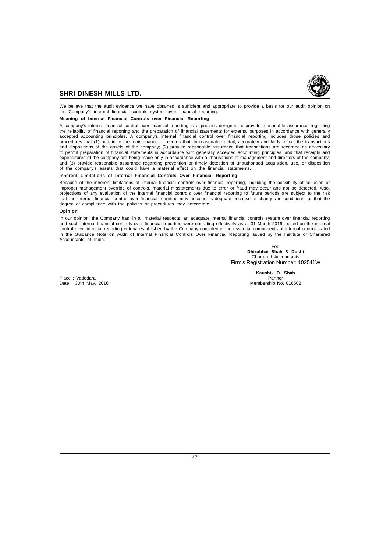

We believe that the audit evidence we have obtained is sufficient and appropriate to provide a basis for our audit opinion on the Company's internal financial controls system over financial reporting.

#### **Meaning of Internal Financial Controls over Financial Reporting**

A company's internal financial control over financial reporting is a process designed to provide reasonable assurance regarding the reliability of financial reporting and the preparation of financial statements for external purposes in accordance with generally accepted accounting principles. A company's internal financial control over financial reporting includes those policies and procedures that (1) pertain to the maintenance of records that, in reasonable detail, accurately and fairly reflect the transactions and dispositions of the assets of the company; (2) provide reasonable assurance that transactions are recorded as necessary to permit preparation of financial statements in accordance with generally accepted accounting principles, and that receipts and expenditures of the company are being made only in accordance with authorisations of management and directors of the company; and (3) provide reasonable assurance regarding prevention or timely detection of unauthorised acquisition, use, or disposition of the company's assets that could have a material effect on the financial statements.

#### **Inherent Limitations of Internal Financial Controls Over Financial Reporting**

Because of the inherent limitations of internal financial controls over financial reporting, including the possibility of collusion or improper management override of controls, material misstatements due to error or fraud may occur and not be detected. Also, projections of any evaluation of the internal financial controls over financial reporting to future periods are subject to the risk that the internal financial control over financial reporting may become inadequate because of changes in conditions, or that the degree of compliance with the policies or procedures may deteriorate.

#### **Opinion**

In our opinion, the Company has, in all material respects, an adequate internal financial controls system over financial reporting and such internal financial controls over financial reporting were operating effectively as at 31 March 2016, based on the internal control over financial reporting criteria established by the Company considering the essential components of internal control stated in the Guidance Note on Audit of Internal Financial Controls Over Financial Reporting issued by the Institute of Chartered Accountants of India.

> For, **Dhirubhai Shah & Doshi** Chartered Accountants Firm's Registration Number: 102511W

Place : Vadodara Partner<br>Date : 30th May, 2016 **Partner**<br>Membership No

**Kaushik D. Shah** Membership No. 016502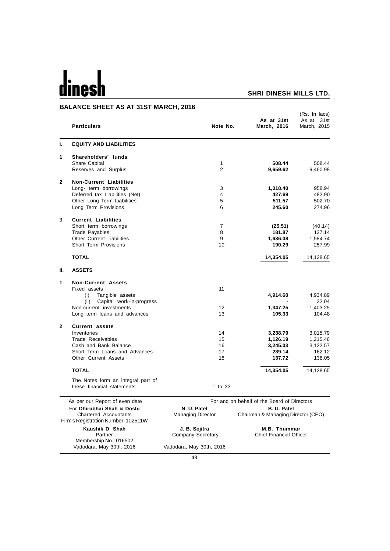# **SHRI DINESH MILLS LTD.**

|                                                              | <b>BALANCE SHEET AS AT 31ST MARCH, 2016</b><br><b>Particulars</b>   | Note No.                 | As at 31st<br>March, 2016                   | (Rs. In lacs)<br>As at<br>31st<br>March, 2015 |
|--------------------------------------------------------------|---------------------------------------------------------------------|--------------------------|---------------------------------------------|-----------------------------------------------|
| Т.                                                           | <b>EQUITY AND LIABILITIES</b>                                       |                          |                                             |                                               |
| 1                                                            | Shareholders' funds                                                 |                          |                                             |                                               |
|                                                              | Share Capital                                                       | 1                        | 508.44                                      | 508.44                                        |
|                                                              | Reserves and Surplus                                                | $\overline{2}$           | 9,659.62                                    | 9,460.98                                      |
| $\mathbf{2}$                                                 | <b>Non-Current Liabilities</b>                                      |                          |                                             |                                               |
|                                                              | Long- term borrowings                                               | 3                        | 1,018.40                                    | 958.94                                        |
|                                                              | Deferred tax Liabilities (Net)                                      | $\overline{4}$           | 427.69                                      | 482.90                                        |
|                                                              | Other Long Term Liabilities                                         | 5                        | 511.57                                      | 502.70                                        |
|                                                              | Long Term Provisions                                                | 6                        | 245.60                                      | 274.96                                        |
| 3                                                            | <b>Current Liabilities</b>                                          |                          |                                             |                                               |
|                                                              | Short term borrowings                                               | $\overline{7}$           | (25.51)                                     | (40.14)                                       |
|                                                              | <b>Trade Payables</b>                                               | 8                        | 181.87                                      | 137.14                                        |
|                                                              | <b>Other Current Liabilities</b>                                    | 9                        | 1,636.08                                    | 1,584.74                                      |
|                                                              | Short Term Provisions                                               | 10                       | 190.29                                      | 257.99                                        |
|                                                              | <b>TOTAL</b>                                                        |                          | 14,354.05                                   | 14,128.65                                     |
| Ш.                                                           | <b>ASSETS</b>                                                       |                          |                                             |                                               |
| 1                                                            | <b>Non-Current Assets</b>                                           |                          |                                             |                                               |
|                                                              | Fixed assets                                                        | 11                       |                                             |                                               |
|                                                              | (i)<br>Tangible assets                                              |                          | 4,914.60                                    | 4,934.89                                      |
|                                                              | (ii)<br>Capital work-in-progress                                    |                          |                                             | 32.04                                         |
|                                                              | Non-current investments                                             | $12 \overline{ }$        | 1,347.25                                    | 1,403.25                                      |
|                                                              | Long term loans and advances                                        | 13                       | 105.33                                      | 104.48                                        |
| $\mathbf{2}$                                                 | <b>Current assets</b>                                               |                          |                                             |                                               |
|                                                              | Inventories                                                         | 14                       | 3,238.79                                    | 3,015.79                                      |
|                                                              | Trade Receivables                                                   | 15                       | 1,126.19                                    | 1,215.46                                      |
|                                                              | Cash and Bank Balance                                               | 16                       | 3,245.03                                    | 3,122.57                                      |
|                                                              | Short Term Loans and Advances                                       | 17                       | 239.14                                      | 162.12                                        |
|                                                              | <b>Other Current Assets</b>                                         | 18                       | 137.72                                      | 138.05                                        |
|                                                              | <b>TOTAL</b>                                                        |                          | 14,354.05                                   | 14,128.65                                     |
|                                                              | The Notes form an integral part of<br>these financial statements    | 1 to 33                  |                                             |                                               |
|                                                              |                                                                     |                          |                                             |                                               |
| As per our Report of even date<br>For Dhirubhai Shah & Doshi |                                                                     |                          | For and on behalf of the Board of Directors |                                               |
|                                                              |                                                                     | N. U. Patel              | <b>B. U. Patel</b>                          |                                               |
|                                                              | <b>Chartered Accountants</b><br>Firm's Registration Number: 102511W | <b>Managing Director</b> | Chairman & Managing Director (CEO)          |                                               |
|                                                              | Kaushik D. Shah                                                     | J. B. Sojitra            | <b>M.B. Thummar</b>                         |                                               |
|                                                              | Partner                                                             | Company Secretary        | <b>Chief Financial Officer</b>              |                                               |
|                                                              | Membership No.: 016502                                              |                          |                                             |                                               |
|                                                              | Vadodara, May 30th, 2016                                            | Vadodara, May 30th, 2016 |                                             |                                               |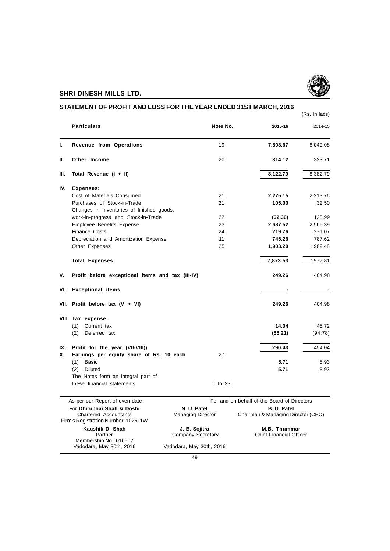

|     |                                                                     |                          |                                             | (Rs. In lacs) |
|-----|---------------------------------------------------------------------|--------------------------|---------------------------------------------|---------------|
|     | <b>Particulars</b>                                                  | Note No.                 | 2015-16                                     | 2014-15       |
| ı.  | <b>Revenue from Operations</b>                                      | 19                       | 7,808.67                                    | 8,049.08      |
| Ш.  | Other Income                                                        | 20                       | 314.12                                      | 333.71        |
| Ш.  | Total Revenue (I + II)                                              |                          | 8,122.79                                    | 8,382.79      |
| IV. | Expenses:                                                           |                          |                                             |               |
|     | Cost of Materials Consumed                                          | 21                       | 2,275.15                                    | 2,213.76      |
|     | Purchases of Stock-in-Trade                                         | 21                       | 105.00                                      | 32.50         |
|     | Changes in Inventories of finished goods,                           |                          |                                             |               |
|     | work-in-progress and Stock-in-Trade                                 | 22                       | (62.36)                                     | 123.99        |
|     | Employee Benefits Expense                                           | 23                       | 2,687.52                                    | 2,566.39      |
|     | <b>Finance Costs</b>                                                | 24                       | 219.76                                      | 271.07        |
|     | Depreciation and Amortization Expense                               | 11                       | 745.26                                      | 787.62        |
|     | Other Expenses                                                      | 25                       | 1,903.20                                    | 1,982.48      |
|     | <b>Total Expenses</b>                                               |                          | 7,873.53                                    | 7,977.81      |
| ۷.  | Profit before exceptional items and tax (III-IV)                    |                          | 249.26                                      | 404.98        |
| VI. | <b>Exceptional items</b>                                            |                          |                                             |               |
|     | VII. Profit before tax $(V + VI)$                                   |                          | 249.26                                      | 404.98        |
|     | VIII. Tax expense:                                                  |                          |                                             |               |
|     | (1)<br>Current tax                                                  |                          | 14.04                                       | 45.72         |
|     | (2)<br>Deferred tax                                                 |                          | (55.21)                                     | (94.78)       |
| IX. | Profit for the year (VII-VIII))                                     |                          | 290.43                                      | 454.04        |
| Χ.  | Earnings per equity share of Rs. 10 each                            | 27                       |                                             |               |
|     | <b>Basic</b><br>(1)                                                 |                          | 5.71                                        | 8.93          |
|     | (2)<br><b>Diluted</b>                                               |                          | 5.71                                        | 8.93          |
|     | The Notes form an integral part of                                  |                          |                                             |               |
|     | these financial statements                                          | 1 to 33                  |                                             |               |
|     | As per our Report of even date                                      |                          | For and on behalf of the Board of Directors |               |
|     | For Dhirubhai Shah & Doshi                                          | N. U. Patel              | <b>B. U. Patel</b>                          |               |
|     | <b>Chartered Accountants</b><br>Firm's Registration Number: 102511W | <b>Managing Director</b> | Chairman & Managing Director (CEO)          |               |
|     | Kaushik D. Shah                                                     | J. B. Sojitra            | M.B. Thummar                                |               |
|     | Partner                                                             | Company Secretary        | <b>Chief Financial Officer</b>              |               |
|     | Membership No.: 016502<br>Vadodara, May 30th, 2016                  | Vadodara, May 30th, 2016 |                                             |               |

### **STATEMENT OF PROFIT AND LOSS FOR THE YEAR ENDED 31ST MARCH, 2016**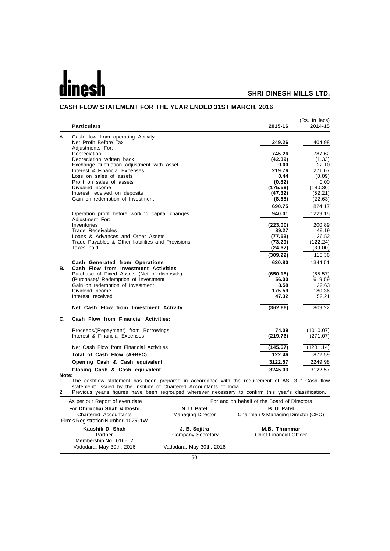## **SHRI DINESH MILLS LTD.**

### **CASH FLOW STATEMENT FOR THE YEAR ENDED 31ST MARCH, 2016**

|             | <b>Particulars</b>                                                                                                                                                        | 2015-16                            | (Rs. In lacs)<br>2014-15 |
|-------------|---------------------------------------------------------------------------------------------------------------------------------------------------------------------------|------------------------------------|--------------------------|
|             |                                                                                                                                                                           |                                    |                          |
| Α.          | Cash flow from operating Activity<br>Net Profit Before Tax                                                                                                                | 249.26                             | 404.98                   |
|             | Adjustments For:                                                                                                                                                          |                                    |                          |
|             | Depreciation                                                                                                                                                              | 745.26                             | 787.62                   |
|             | Depreciation written back                                                                                                                                                 | (42.39)                            | (1.33)                   |
|             | Exchange fluctuation adjustment with asset                                                                                                                                | 0.00                               | 22.10                    |
|             | Interest & Financial Expenses                                                                                                                                             | 219.76                             | 271.07                   |
|             | Loss on sales of assets                                                                                                                                                   | 0.44                               | (0.09)                   |
|             | Profit on sales of assets<br>Dividend Income                                                                                                                              | (0.82)<br>(175.59)                 | 0.00                     |
|             | Interest received on deposits                                                                                                                                             | (47.32)                            | (180.36)<br>(52.21)      |
|             | Gain on redemption of Investment                                                                                                                                          | (8.58)                             | (22.63)                  |
|             |                                                                                                                                                                           | 690.75                             | 824.17                   |
|             | Operation profit before working capital changes                                                                                                                           | 940.01                             | 1229.15                  |
|             | Adjustment For:                                                                                                                                                           |                                    |                          |
|             | Inventories                                                                                                                                                               | (223.00)                           | 200.89                   |
|             | <b>Trade Receivables</b>                                                                                                                                                  | 89.27                              | 49.19                    |
|             | Loans & Advances and Other Assets                                                                                                                                         | (77.53)                            | 26.52                    |
|             | Trade Payables & Other liabilities and Provisions                                                                                                                         | (73.29)                            | (122.24)                 |
|             | Taxes paid                                                                                                                                                                | (24.67)                            | (39.00)                  |
|             |                                                                                                                                                                           | (309.22)                           | 115.36                   |
|             | Cash Generated from Operations                                                                                                                                            | 630.80                             | 1344.51                  |
| В.          | Cash Flow from Investment Activities<br>Purchase of Fixed Assets (Net of disposals)                                                                                       | (650.15)                           |                          |
|             | (Purchase)/ Redemption of Investment                                                                                                                                      | 56.00                              | (65.57)<br>619.59        |
|             | Gain on redemption of Investment                                                                                                                                          | 8.58                               | 22.63                    |
|             | Dividend Income                                                                                                                                                           | 175.59                             | 180.36                   |
|             | Interest received                                                                                                                                                         | 47.32                              | 52.21                    |
|             | Net Cash Flow from Investment Activity                                                                                                                                    | (362.66)                           | 809.22                   |
| C.          | Cash Flow from Financial Activities:                                                                                                                                      |                                    |                          |
|             | Proceeds/(Repayment) from Borrowings                                                                                                                                      | 74.09                              | (1010.07)                |
|             | Interest & Financial Expenses                                                                                                                                             | (219.76)                           | (271.07)                 |
|             |                                                                                                                                                                           |                                    |                          |
|             | Net Cash Flow from Financial Activities                                                                                                                                   | (145.67)                           | (1281.14)                |
|             | Total of Cash Flow (A+B+C)                                                                                                                                                | 122.46                             | 872.59                   |
|             | Opening Cash & Cash equivalent                                                                                                                                            | 3122.57                            | 2249.98                  |
|             | Closing Cash & Cash equivalent                                                                                                                                            | 3245.03                            | 3122.57                  |
| Note:<br>1. | The cashflow statement has been prepared in accordance with the requirement of AS -3 " Cash flow<br>statement" issued by the Institute of Chartered Accountants of India. |                                    |                          |
| 2.          | Previous year's figures have been regrouped wherever necessary to confirm this year's classification.                                                                     |                                    |                          |
|             | For and on behalf of the Board of Directors<br>As per our Report of even date                                                                                             |                                    |                          |
|             | For Dhirubhai Shah & Doshi<br>N. U. Patel                                                                                                                                 | <b>B. U. Patel</b>                 |                          |
|             | <b>Chartered Accountants</b><br><b>Managing Director</b><br>Figure Departmention Number 400544ML                                                                          | Chairman & Managing Director (CEO) |                          |

| Managing Director        | Chairman & Managing Director   |
|--------------------------|--------------------------------|
| J. B. Sojitra            | M.B. Thummar                   |
| Company Secretary        | <b>Chief Financial Officer</b> |
|                          |                                |
| Vadodara, May 30th, 2016 |                                |
|                          |                                |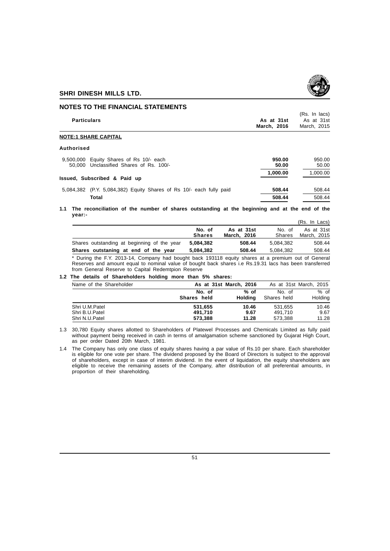

(Rs. In lacs)

**As at 31st** As at 31st<br>**Parch, 2016** March, 2015

**March, 2016** March, 2015

#### **SHRI DINESH MILLS LTD.**

**NOTES TO THE FINANCIAL STATEMENTS**

| <b>Particulars</b>          |  |
|-----------------------------|--|
| <b>NOTE:1 SHARE CAPITAL</b> |  |

#### **Authorised**

| 9,500,000 Equity Shares of Rs 10/- each<br>50,000 Unclassified Shares of Rs. 100/- | 950.00<br>50.00 | 950.00<br>50.00 |
|------------------------------------------------------------------------------------|-----------------|-----------------|
| Issued, Subscribed & Paid up                                                       | 1,000.00        | 1,000.00        |
| 5,084,382 (P.Y. 5,084,382) Equity Shares of Rs 10/- each fully paid                | 508.44          | 508.44          |
| Total                                                                              | 508.44          | 508.44          |

#### **1.1 The reconciliation of the number of shares outstanding at the beginning and at the end of the year:-** (Rs. In Lacs)

|                                             |               |             |           | (Rs. In Lacs) |
|---------------------------------------------|---------------|-------------|-----------|---------------|
|                                             | No. of        | As at 31st  | No. of    | As at 31st    |
|                                             | <b>Shares</b> | March. 2016 | Shares    | March, 2015   |
| Shares outstanding at beginning of the year | 5.084.382     | 508.44      | 5.084.382 | 508.44        |
| Shares outstaning at end of the year        | 5.084.382     | 508.44      | 5.084.382 | 508.44        |
| .                                           | .             |             |           |               |

\* During the F.Y. 2013-14, Company had bought back 193118 equity shares at a premium out of General Reserves and amount equal to nominal value of bought back shares i.e Rs.19.31 lacs has been transferred from General Reserve to Capital Redemtpion Reserve

#### **1.2 The details of Shareholders holding more than 5% shares:**

| Name of the Shareholder |                       | As at 31st March, 2016   |                       | As at 31st March, 2015 |
|-------------------------|-----------------------|--------------------------|-----------------------|------------------------|
|                         | No. of<br>Shares held | $%$ of<br><b>Holdina</b> | No. of<br>Shares held | % of<br>Holding        |
| Shri U.M.Patel          | 531.655               | 10.46                    | 531.655               | 10.46                  |
| Shri B.U.Patel          | 491.710               | 9.67                     | 491.710               | 9.67                   |
| Shri N.U.Patel          | 573.388               | 11.28                    | 573,388               | 11.28                  |

1.3 30,780 Equity shares allotted to Shareholders of Platewel Processes and Chemicals Limited as fully paid without payment being received in cash in terms of amalgamation scheme sanctioned by Gujarat High Court, as per order Dated 20th March, 1981.

1.4 The Company has only one class of equity shares having a par value of Rs.10 per share. Each shareholder is eligible for one vote per share. The dividend proposed by the Board of Directors is subject to the approval of shareholders, except in case of interim dividend. In the event of liquidation, the equity shareholders are eligible to receive the remaining assets of the Company, after distribution of all preferential amounts, in proportion of their shareholding.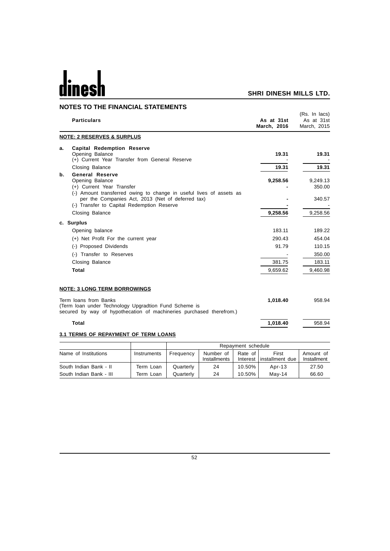# **SHRI DINESH MILLS LTD.**

|    | <b>NOTES TO THE FINANCIAL STATEMENTS</b>                                                                                                                                                                                                         |                           |                                            |
|----|--------------------------------------------------------------------------------------------------------------------------------------------------------------------------------------------------------------------------------------------------|---------------------------|--------------------------------------------|
|    | <b>Particulars</b>                                                                                                                                                                                                                               | As at 31st<br>March, 2016 | (Rs. In lacs)<br>As at 31st<br>March, 2015 |
|    | <b>NOTE: 2 RESERVES &amp; SURPLUS</b>                                                                                                                                                                                                            |                           |                                            |
| а. | <b>Capital Redemption Reserve</b><br>Opening Balance<br>(+) Current Year Transfer from General Reserve                                                                                                                                           | 19.31                     | 19.31                                      |
|    | Closing Balance                                                                                                                                                                                                                                  | 19.31                     | 19.31                                      |
| b. | <b>General Reserve</b><br>Opening Balance<br>(+) Current Year Transfer<br>(-) Amount transferred owing to change in useful lives of assets as<br>per the Companies Act, 2013 (Net of deferred tax)<br>(-) Transfer to Capital Redemption Reserve | 9,258.56                  | 9,249.13<br>350.00<br>340.57               |
|    | Closing Balance                                                                                                                                                                                                                                  | 9,258.56                  | 9,258.56                                   |
|    | c. Surplus                                                                                                                                                                                                                                       |                           |                                            |
|    | Opening balance                                                                                                                                                                                                                                  | 183.11                    | 189.22                                     |
|    | (+) Net Profit For the current year                                                                                                                                                                                                              | 290.43                    | 454.04                                     |
|    | (-) Proposed Dividends                                                                                                                                                                                                                           | 91.79                     | 110.15                                     |
|    | (-) Transfer to Reserves                                                                                                                                                                                                                         |                           | 350.00                                     |
|    | Closing Balance                                                                                                                                                                                                                                  | 381.75                    | 183.11                                     |
|    | <b>Total</b>                                                                                                                                                                                                                                     | 9,659.62                  | 9,460.98                                   |
|    | <b>NOTE: 3 LONG TERM BORROWINGS</b>                                                                                                                                                                                                              |                           |                                            |
|    | Term loans from Banks<br>(Term loan under Technology Upgradtion Fund Scheme is<br>secured by way of hypothecation of machineries purchased therefrom.)                                                                                           | 1,018.40                  | 958.94                                     |
|    | Total                                                                                                                                                                                                                                            | 1,018.40                  | 958.94                                     |
|    | <b>3.1 TERMS OF REPAYMENT OF TERM LOANS</b>                                                                                                                                                                                                      |                           |                                            |

|                         |             | Repayment schedule |                           |                       |                           |                          |  |  |
|-------------------------|-------------|--------------------|---------------------------|-----------------------|---------------------------|--------------------------|--|--|
| Name of Institutions    | Instruments | Frequency          | Number of<br>Installments | Rate of I<br>Interest | First<br>linstallment due | Amount of<br>Installment |  |  |
| South Indian Bank - II  | Term Loan   | Quarterly          | 24                        | 10.50%                | Apr-13                    | 27.50                    |  |  |
| South Indian Bank - III | Term Loan   | Quarterly          | 24                        | 10.50%                | $Mav-14$                  | 66.60                    |  |  |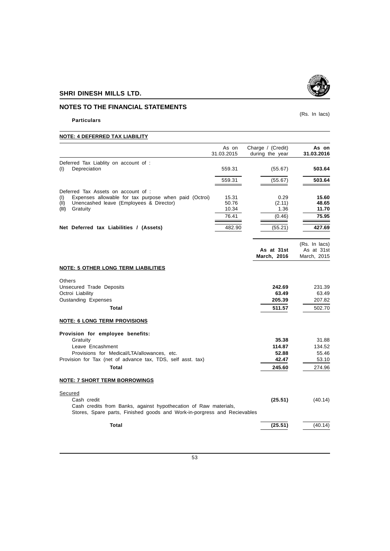

(Rs. In lacs)

## **NOTES TO THE FINANCIAL STATEMENTS**

**Particulars**

#### **NOTE: 4 DEFERRED TAX LIABILITY**

|        |                                                                          | As on<br>31.03.2015 | Charge / (Credit)<br>during the year | As on<br>31.03.2016 |
|--------|--------------------------------------------------------------------------|---------------------|--------------------------------------|---------------------|
|        | Deferred Tax Liablity on account of :                                    |                     |                                      |                     |
| (1)    | Depreciation                                                             | 559.31              | (55.67)                              | 503.64              |
|        |                                                                          | 559.31              | (55.67)                              | 503.64              |
|        | Deferred Tax Assets on account of :                                      |                     |                                      |                     |
| (1)    | Expenses allowable for tax purpose when paid (Octroi)                    | 15.31               | 0.29                                 | 15.60               |
| (II)   | Unencashed leave (Employees & Director)                                  | 50.76               | (2.11)                               | 48.65               |
| (III)  | Gratuity                                                                 | 10.34               | 1.36                                 | 11.70               |
|        |                                                                          | 76.41               | (0.46)                               | 75.95               |
|        | Net Deferred tax Liabilities / (Assets)                                  | 482.90              | (55.21)                              | 427.69              |
|        |                                                                          |                     |                                      | (Rs. In lacs)       |
|        |                                                                          |                     | As at 31st                           | As at 31st          |
|        |                                                                          |                     | March, 2016                          | March, 2015         |
|        | <b>NOTE: 5 OTHER LONG TERM LIABILITIES</b>                               |                     |                                      |                     |
| Others |                                                                          |                     |                                      |                     |
|        | Unsecured Trade Deposits                                                 |                     | 242.69                               | 231.39              |
|        | Octroi Liability                                                         |                     | 63.49                                | 63.49               |
|        | <b>Oustanding Expenses</b>                                               |                     | 205.39                               | 207.82              |
|        | Total                                                                    |                     | 511.57                               | 502.70              |
|        | <b>NOTE: 6 LONG TERM PROVISIONS</b>                                      |                     |                                      |                     |
|        | Provision for employee benefits:                                         |                     |                                      |                     |
|        | Gratuity                                                                 |                     | 35.38                                | 31.88               |
|        | Leave Encashment                                                         |                     | 114.87                               | 134.52              |
|        | Provisions for Medical/LTA/allowances, etc.                              |                     | 52.88                                | 55.46               |
|        | Provision for Tax (net of advance tax, TDS, self asst. tax)              |                     | 42.47                                | 53.10               |
|        | Total                                                                    |                     | 245.60                               | 274.96              |
|        | <b>NOTE: 7 SHORT TERM BORROWINGS</b>                                     |                     |                                      |                     |
|        | Secured                                                                  |                     |                                      |                     |
|        | Cash credit                                                              |                     | (25.51)                              | (40.14)             |
|        | Cash credits from Banks, against hypothecation of Raw materials,         |                     |                                      |                     |
|        | Stores, Spare parts, Finished goods and Work-in-porgress and Recievables |                     |                                      |                     |
|        | Total                                                                    |                     | (25.51)                              | (40.14)             |
|        |                                                                          |                     |                                      |                     |

53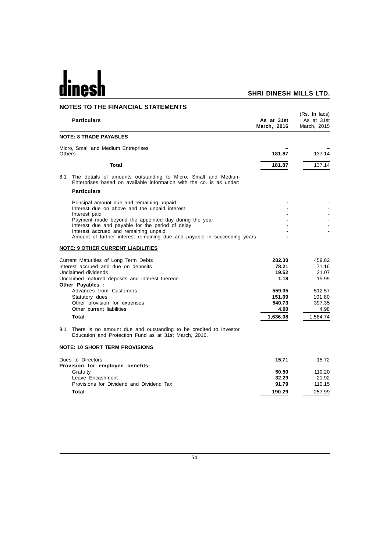### **SHRI DINESH MILLS LTD.**

| <b>NOTES TO THE FINANCIAL STATEMENTS</b>                                                                                                                                                                                                                                                                                                      |                                                                                    |                                                                                     |  |  |  |  |
|-----------------------------------------------------------------------------------------------------------------------------------------------------------------------------------------------------------------------------------------------------------------------------------------------------------------------------------------------|------------------------------------------------------------------------------------|-------------------------------------------------------------------------------------|--|--|--|--|
| <b>Particulars</b>                                                                                                                                                                                                                                                                                                                            | As at 31st<br>March, 2016                                                          | (Rs. In lacs)<br>As at 31st<br>March, 2015                                          |  |  |  |  |
| <b>NOTE: 8 TRADE PAYABLES</b>                                                                                                                                                                                                                                                                                                                 |                                                                                    |                                                                                     |  |  |  |  |
| Micro, Small and Medium Entreprises<br>Others                                                                                                                                                                                                                                                                                                 | 181.87                                                                             | 137.14                                                                              |  |  |  |  |
| <b>Total</b>                                                                                                                                                                                                                                                                                                                                  | 181.87                                                                             | 137.14                                                                              |  |  |  |  |
| The details of amounts outstanding to Micro, Small and Medium<br>8.1<br>Enterprises based on available information with the co. is as under:<br><b>Particulars</b>                                                                                                                                                                            |                                                                                    |                                                                                     |  |  |  |  |
| Principal amount due and remaining unpaid<br>Interest due on above and the unpaid interest<br>Interest paid<br>Payment made beyond the appointed day during the year<br>Interest due and payable for the period of delay<br>Interest accrued and remaining unpaid<br>Amount of further interest remaining due and payable in succeeding years |                                                                                    |                                                                                     |  |  |  |  |
| <b>NOTE: 9 OTHER CURRENT LIABILITIES</b>                                                                                                                                                                                                                                                                                                      |                                                                                    |                                                                                     |  |  |  |  |
| Current Maturities of Long Term Debts<br>Interest accrued and due on deposits<br>Unclaimed dividends<br>Unclaimed matured deposits and interest thereon<br>Other Payables :<br>Advances from Customers<br>Statutory dues<br>Other provision for expenses<br>Other current liabilities<br><b>Total</b>                                         | 282.30<br>78.21<br>19.52<br>1.18<br>559.05<br>151.09<br>540.73<br>4.00<br>1,636.08 | 459.82<br>71.16<br>21.07<br>15.99<br>512.57<br>101.80<br>397.35<br>4.98<br>1,584.74 |  |  |  |  |
| There is no amount due and outstanding to be credited to Investor<br>9.1<br>Education and Protection Fund as at 31st March, 2016.                                                                                                                                                                                                             |                                                                                    |                                                                                     |  |  |  |  |
| <b>NOTE: 10 SHORT TERM PROVISIONS</b>                                                                                                                                                                                                                                                                                                         |                                                                                    |                                                                                     |  |  |  |  |
| Dues to Directors<br>Provision for employee benefits:<br>Gratuity<br>Leave Encashment<br>Provisions for Dividend and Dividend Tax                                                                                                                                                                                                             | 15.71<br>50.50<br>32.29<br>91.79                                                   | 15.72<br>110.20<br>21.92<br>110.15                                                  |  |  |  |  |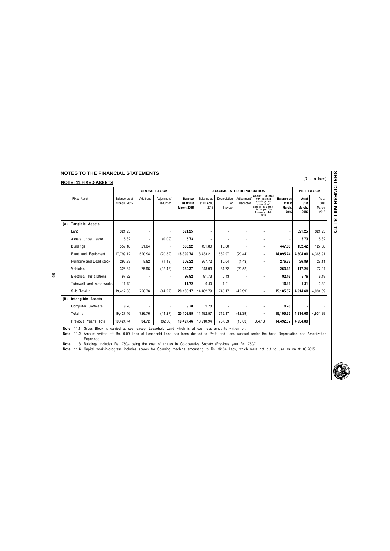#### **NOTES TO THE FINANCIAL STATEMENTS**

|                          |                                  | <b>GROSS BLOCK</b> |                          |                                                    |                                     | <b>ACCUMULATED DEPRECIATION</b> |                          |                                                                                                                               |                                               |                                 | <b>NET BLOCK</b>                |  |
|--------------------------|----------------------------------|--------------------|--------------------------|----------------------------------------------------|-------------------------------------|---------------------------------|--------------------------|-------------------------------------------------------------------------------------------------------------------------------|-----------------------------------------------|---------------------------------|---------------------------------|--|
| <b>Fixed Asset</b>       | Balance as at<br>1st April, 2015 | Additions          | Adjustment/<br>Deduction | <b>Balance</b><br>as at 31st<br><b>March. 2016</b> | Balance as<br>at 1st April,<br>2015 | Depreciation<br>for<br>the year | Adjustment/<br>Deduction | Amount adiusted<br>with retained<br>earni-nos on<br>account of<br>change in Assets<br>life as per The<br>Company Act.<br>2013 | <b>Balance</b> as<br>at31st<br>March.<br>2016 | As at<br>31st<br>March.<br>2016 | As at<br>31st<br>March.<br>2015 |  |
| Tangible Assets<br>(A)   |                                  |                    |                          |                                                    |                                     |                                 |                          |                                                                                                                               |                                               |                                 |                                 |  |
| Land                     | 321.25                           |                    |                          | 321.25                                             |                                     |                                 |                          |                                                                                                                               | $\blacksquare$                                | 321.25                          | 321.25                          |  |
| Assets under lease       | 5.82                             |                    | (0.09)                   | 5.73                                               |                                     |                                 | ۰                        |                                                                                                                               |                                               | 5.73                            | 5.82                            |  |
| <b>Buildings</b>         | 559.18                           | 21.04              |                          | 580.22                                             | 431.80                              | 16.00                           |                          |                                                                                                                               | 447.80                                        | 132.42                          | 127.38                          |  |
| Plant and Equipment      | 17.799.12                        | 620.94             | (20.32)                  | 18.399.74                                          | 13.433.21                           | 682.97                          | (20.44)                  | ٠                                                                                                                             | 14.095.74                                     | 4.304.00                        | 4.365.91                        |  |
| Furniture and Dead stock | 295.83                           | 8.82               | (1.43)                   | 303.22                                             | 267.72                              | 10.04                           | (1.43)                   | ٠                                                                                                                             | 276.33                                        | 26.89                           | 28.11                           |  |
| Vehicles                 | 326.84                           | 75.96              | (22.43)                  | 380.37                                             | 248.93                              | 34.72                           | (20.52)                  |                                                                                                                               | 263.13                                        | 117.24                          | 77.91                           |  |
| Electrical Installations | 97.92                            |                    |                          | 97.92                                              | 91.73                               | 0.43                            |                          |                                                                                                                               | 92.16                                         | 5.76                            | 6.19                            |  |
| Tubewell and waterworks  | 11.72                            |                    |                          | 11.72                                              | 9.40                                | 1.01                            | ۰                        |                                                                                                                               | 10.41                                         | 1.31                            | 2.32                            |  |
| Sub Total :              | 19.417.68                        | 726.76             | (44.27)                  | 20.100.17                                          | 14.482.79                           | 745.17                          | (42.39)                  |                                                                                                                               | 15.185.57                                     | 4.914.60                        | 4.934.89                        |  |
| Intangible Assets<br>(B) |                                  |                    |                          |                                                    |                                     |                                 |                          |                                                                                                                               |                                               |                                 |                                 |  |
| Computer Software        | 9.78                             |                    |                          | 9.78                                               | 9.78                                |                                 |                          |                                                                                                                               | 9.78                                          |                                 |                                 |  |
| Total :                  | 19.427.46                        | 726.76             | (44.27)                  | 20.109.95                                          | 14.492.57                           | 745.17                          | (42.39)                  |                                                                                                                               | 15.195.35                                     | 4.914.60                        | 4.934.89                        |  |
| Previous Year's Total    | 19.424.74                        | 34.72              | (32.00)                  | 19.427.46                                          | 13.210.94                           | 787.53                          | (10.03)                  | 504.13                                                                                                                        | 14.492.57                                     | 4.934.89                        |                                 |  |

Note: 11.2 Amount written off Rs. 0.09 Lacs of Leasehold Land has been debited to Profit and Loss Account under the head Depreciation and Amortization Expenses.<br>Note: 11.3 Buildings includes Rs. 750/- being the cost of shares in Co-operative Society (Previous year Rs. 750/-)<br>Note: 11.4 Capital work-in-progress includes spares for Spinning machine amounting to Rs. 32.04 L



SHRI DINESH MILLS LTD.

(Rs. In lacs)

# 9g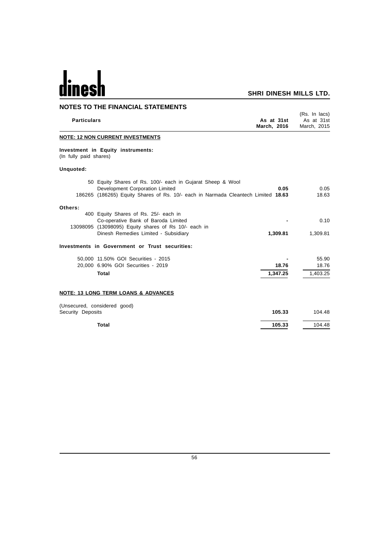### **SHRI DINESH MILLS LTD.**

| <b>NOTES TO THE FINANCIAL STATEMENTS</b>                                                                                                                                           |                           |                                            |
|------------------------------------------------------------------------------------------------------------------------------------------------------------------------------------|---------------------------|--------------------------------------------|
| <b>Particulars</b>                                                                                                                                                                 | As at 31st<br>March, 2016 | (Rs. In lacs)<br>As at 31st<br>March, 2015 |
| <b>NOTE: 12 NON CURRENT INVESTMENTS</b>                                                                                                                                            |                           |                                            |
| Investment in Equity instruments:<br>(In fully paid shares)                                                                                                                        |                           |                                            |
| Unquoted:                                                                                                                                                                          |                           |                                            |
| 50 Equity Shares of Rs. 100/- each in Gujarat Sheep & Wool<br>Development Corporation Limited<br>186265 (186265) Equity Shares of Rs. 10/- each in Narmada Cleantech Limited 18.63 | 0.05                      | 0.05<br>18.63                              |
| Others:                                                                                                                                                                            |                           |                                            |
| 400 Equity Shares of Rs. 25/- each in<br>Co-operative Bank of Baroda Limited<br>13098095 (13098095) Equity shares of Rs 10/- each in                                               |                           | 0.10                                       |
| Dinesh Remedies Limited - Subsidiary                                                                                                                                               | 1,309.81                  | 1,309.81                                   |
| Investments in Government or Trust securities:                                                                                                                                     |                           |                                            |
| 50.000 11.50% GOI Securities - 2015<br>20.000 6.90% GOI Securities - 2019                                                                                                          | 18.76                     | 55.90<br>18.76                             |
| Total                                                                                                                                                                              | 1,347.25                  | 1,403.25                                   |
| <b>NOTE: 13 LONG TERM LOANS &amp; ADVANCES</b>                                                                                                                                     |                           |                                            |
| (Unsecured, considered good)<br>Security Deposits                                                                                                                                  | 105.33                    | 104.48                                     |
| <b>Total</b>                                                                                                                                                                       | 105.33                    | 104.48                                     |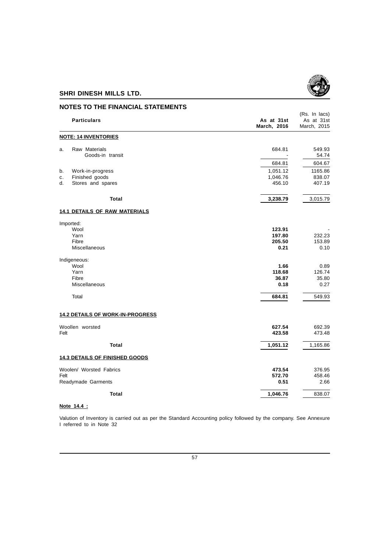

|                | <b>NOTES TO THE FINANCIAL STATEMENTS</b>                |                                |                                            |
|----------------|---------------------------------------------------------|--------------------------------|--------------------------------------------|
|                | <b>Particulars</b>                                      | As at 31st<br>March, 2016      | (Rs. In lacs)<br>As at 31st<br>March, 2015 |
|                | <b>NOTE: 14 INVENTORIES</b>                             |                                |                                            |
| a.             | Raw Materials<br>Goods-in transit                       | 684.81                         | 549.93<br>54.74                            |
|                |                                                         | 684.81                         | 604.67                                     |
| b.<br>c.<br>d. | Work-in-progress<br>Finished goods<br>Stores and spares | 1,051.12<br>1,046.76<br>456.10 | 1165.86<br>838.07<br>407.19                |
|                | <b>Total</b>                                            | 3,238.79                       | 3,015.79                                   |
|                | <b>14.1 DETAILS OF RAW MATERIALS</b>                    |                                |                                            |
| Imported:      | Wool                                                    | 123.91                         |                                            |
|                | Yarn                                                    | 197.80                         | 232.23                                     |
|                | Fibre                                                   | 205.50                         | 153.89                                     |
|                | Miscellaneous                                           | 0.21                           | 0.10                                       |
|                | Indigeneous:                                            |                                |                                            |
|                | Wool                                                    | 1.66                           | 0.89                                       |
|                | Yarn                                                    | 118.68                         | 126.74                                     |
|                | Fibre<br>Miscellaneous                                  | 36.87<br>0.18                  | 35.80<br>0.27                              |
|                | Total                                                   | 684.81                         | 549.93                                     |
|                | <b>14.2 DETAILS OF WORK-IN-PROGRESS</b>                 |                                |                                            |
|                |                                                         |                                |                                            |
| Felt           | Woollen worsted                                         | 627.54<br>423.58               | 692.39<br>473.48                           |
|                | Total                                                   | 1,051.12                       | 1,165.86                                   |
|                | <b>14.3 DETAILS OF FINISHED GOODS</b>                   |                                |                                            |
|                | Woolen/ Worsted Fabrics                                 | 473.54                         | 376.95                                     |
| Felt           |                                                         | 572.70                         | 458.46                                     |
|                | Readymade Garments                                      | 0.51                           | 2.66                                       |
|                | Total                                                   | 1,046.76                       | 838.07                                     |

#### **Note 14.4 :**

Valution of Inventory is carried out as per the Standard Accounting policy followed by the company. See Annexure I referred to in Note 32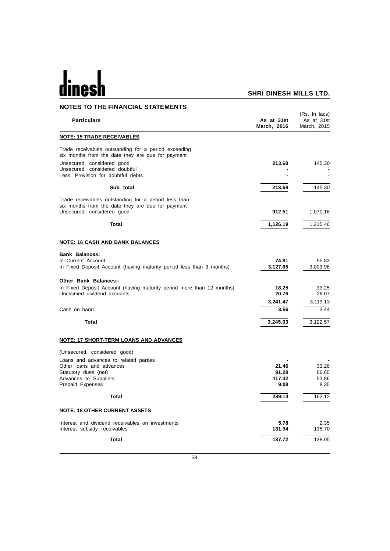### **SHRI DINESH MILLS LTD.**

| <b>Particulars</b>                                                                                                                            | As at 31st<br>March, 2016        | (Rs. In lacs)<br>As at 31st<br>March, 2015 |
|-----------------------------------------------------------------------------------------------------------------------------------------------|----------------------------------|--------------------------------------------|
|                                                                                                                                               |                                  |                                            |
| <b>NOTE: 15 TRADE RECEIVABLES</b>                                                                                                             |                                  |                                            |
| Trade receivables outstanding for a period exceeding<br>six months from the date they are due for payment                                     |                                  |                                            |
| Unsecured, considered good<br>Unsecured, considered doubtful<br>Less: Provision for doubtful debts                                            | 213.68                           | 145.30                                     |
| Sub total                                                                                                                                     | 213.68                           | 145.30                                     |
| Trade receivables outstanding for a period less than<br>six months from the date they are due for payment<br>Unsecured, considered good       | 912.51                           | 1,070.16                                   |
| Total                                                                                                                                         | 1,126.19                         | 1,215.46                                   |
| <b>NOTE: 16 CASH AND BANK BALANCES</b>                                                                                                        |                                  |                                            |
| <b>Bank Balances:</b><br>In Current Account                                                                                                   | 74.81                            | 55.83                                      |
| In Fixed Deposit Account (having maturity period less than 3 months)                                                                          | 3,127.65                         | 3,003.98                                   |
| Other Bank Balances:-<br>In Fixed Deposit Account (having maturity period more than 12 months)<br>Unclaimed dividend accounts                 | 18.25<br>20.76                   | 33.25<br>26.07                             |
| Cash on hand                                                                                                                                  | 3,241.47<br>3.56                 | 3,119.13<br>3.44                           |
| Total                                                                                                                                         | 3,245.03                         | 3,122.57                                   |
| <u>NOTE: 17 SHORT-TERM LOANS AND ADVANCES</u>                                                                                                 |                                  |                                            |
| (Unsecured, considered good)                                                                                                                  |                                  |                                            |
| Loans and advances to related parties<br>Other loans and advances<br>Statutory dues (net)<br>Advances to Suppliers<br><b>Prepaid Expenses</b> | 21.46<br>91.28<br>117.32<br>9.08 | 33.26<br>66.65<br>53.86<br>8.35            |
| Total                                                                                                                                         | 239.14                           | 162.12                                     |
| <b>NOTE: 18 OTHER CURRENT ASSETS</b>                                                                                                          |                                  |                                            |
| Interest and dividend receivables on investments<br>Interest subsidy receivables                                                              | 5.78<br>131.94                   | 2.35<br>135.70                             |
| <b>Total</b>                                                                                                                                  | 137.72                           | 138.05                                     |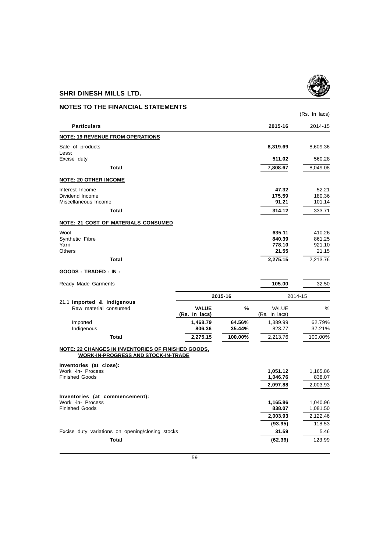

| NOTES TO THE FINANCIAL STATEMENTS                                                                       |                               |                  |                                     | (Rs. In lacs)                       |
|---------------------------------------------------------------------------------------------------------|-------------------------------|------------------|-------------------------------------|-------------------------------------|
| <b>Particulars</b>                                                                                      |                               |                  | 2015-16                             | 2014-15                             |
| <u>NOTE: 19 REVENUE FROM OPERATIONS</u>                                                                 |                               |                  |                                     |                                     |
| Sale of products<br>Less:                                                                               |                               |                  | 8,319.69                            | 8,609.36                            |
| Excise duty                                                                                             |                               |                  | 511.02                              | 560.28                              |
| Total                                                                                                   |                               |                  | 7,808.67                            | 8,049.08                            |
| <u>NOTE: 20 OTHER INCOME</u>                                                                            |                               |                  |                                     |                                     |
| Interest Income<br>Dividend Income<br>Miscellaneous Income                                              |                               |                  | 47.32<br>175.59<br>91.21            | 52.21<br>180.36<br>101.14           |
| <b>Total</b>                                                                                            |                               |                  | 314.12                              | 333.71                              |
| <u>NOTE: 21 COST OF MATERIALS CONSUMED</u>                                                              |                               |                  |                                     |                                     |
| Wool<br>Synthetic Fibre<br>Yarn<br>Others                                                               |                               |                  | 635.11<br>840.39<br>778.10<br>21.55 | 410.26<br>861.25<br>921.10<br>21.15 |
| Total                                                                                                   |                               |                  | 2,275.15                            | 2,213.76                            |
| <b>GOODS - TRADED - IN :</b>                                                                            |                               |                  |                                     |                                     |
| Ready Made Garments                                                                                     |                               |                  | 105.00                              | 32.50                               |
|                                                                                                         |                               | 2015-16          |                                     | 2014-15                             |
| 21.1 Imported & Indigenous<br>Raw material consumed                                                     | <b>VALUE</b><br>(Rs. In lacs) | %                | <b>VALUE</b><br>(Rs. In lacs)       | %                                   |
| Imported<br>Indigenous                                                                                  | 1,468.79<br>806.36            | 64.56%<br>35.44% | 1,389.99<br>823.77                  | 62.79%<br>37.21%                    |
| <b>Total</b>                                                                                            | 2,275.15                      | 100.00%          | 2,213.76                            | 100.00%                             |
| <u>NOTE: 22 CHANGES IN INVENTORIES OF FINISHED GOODS,</u><br><b>WORK-IN-PROGRESS AND STOCK-IN-TRADE</b> |                               |                  |                                     |                                     |
| Inventories (at close):<br>Work -in- Process<br><b>Finished Goods</b>                                   |                               |                  | 1,051.12<br>1,046.76                | 1,165.86<br>838.07                  |
|                                                                                                         |                               |                  | 2,097.88                            | 2,003.93                            |
| Inventories (at commencement):<br>Work -in- Process<br><b>Finished Goods</b>                            |                               |                  | 1,165.86<br>838.07<br>2,003.93      | 1,040.96<br>1,081.50<br>2,122.46    |
|                                                                                                         |                               |                  | (93.95)                             | 118.53                              |
| Excise duty variations on opening/closing stocks                                                        |                               |                  | 31.59                               | 5.46                                |
| Total                                                                                                   |                               |                  | (62.36)                             | 123.99                              |

# **NOTES TO THE FINANCIAL STATEMENTS**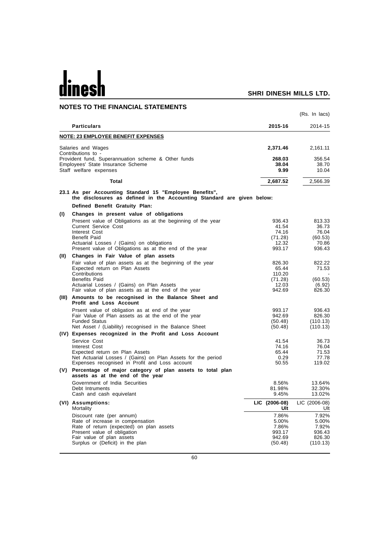#### **SHRI DINESH MILLS LTD.**

### **NOTES TO THE FINANCIAL STATEMENTS**

|      |                                                                                                                                   |                      | (Rs. In lacs)        |
|------|-----------------------------------------------------------------------------------------------------------------------------------|----------------------|----------------------|
|      | <b>Particulars</b>                                                                                                                | 2015-16              | 2014-15              |
|      | <b>NOTE: 23 EMPLOYEE BENEFIT EXPENSES</b>                                                                                         |                      |                      |
|      | Salaries and Wages<br>Contributions to -                                                                                          | 2,371.46             | 2,161.11             |
|      | Provident fund, Superannuation scheme & Other funds                                                                               | 268.03               | 356.54               |
|      | Employees' State Insurance Scheme<br>Staff welfare expenses                                                                       | 38.04<br>9.99        | 38.70<br>10.04       |
|      | Total                                                                                                                             | 2,687.52             | 2,566.39             |
|      | 23.1 As per Accounting Standard 15 "Employee Benefits",<br>the disclosures as defined in the Accounting Standard are given below: |                      |                      |
|      | Defined Benefit Gratuity Plan:                                                                                                    |                      |                      |
| (1)  | Changes in present value of obligations                                                                                           |                      |                      |
|      | Present value of Obligations as at the beginning of the year                                                                      | 936.43               | 813.33               |
|      | <b>Current Service Cost</b>                                                                                                       | 41.54                | 36.73                |
|      | Interest Cost                                                                                                                     | 74.16                | 76.04                |
|      | <b>Benefit Paid</b><br>Actuarial Losses / (Gains) on obligations                                                                  | (71.28)<br>12.32     | (60.53)<br>70.86     |
|      | Present value of Obligations as at the end of the year                                                                            | 993.17               | 936.43               |
| (II) | Changes in Fair Value of plan assets                                                                                              |                      |                      |
|      | Fair value of plan assets as at the beginning of the year                                                                         | 826.30               | 822.22               |
|      | Expected return on Plan Assets                                                                                                    | 65.44                | 71.53                |
|      | Contributions                                                                                                                     | 110.20               |                      |
|      | <b>Benefits Paid</b>                                                                                                              | (71.28)              | (60.53)              |
|      | Actuarial Losses / (Gains) on Plan Assets                                                                                         | 12.03                | (6.92)               |
|      | Fair value of plan assets as at the end of the year                                                                               | 942.69               | 826.30               |
|      | (III) Amounts to be recognised in the Balance Sheet and<br><b>Profit and Loss Account</b>                                         |                      |                      |
|      | Prsent value of obligation as at end of the year                                                                                  | 993.17               | 936.43               |
|      | Fair Value of Plan assets as at the end of the year                                                                               | 942.69               | 826.30               |
|      | <b>Funded Status</b>                                                                                                              | (50.48)              | (110.13)             |
|      | Net Asset / (Liability) recognised in the Balance Sheet                                                                           | (50.48)              | (110.13)             |
|      | (IV) Expenses recognized in the Profit and Loss Account                                                                           |                      |                      |
|      | Service Cost                                                                                                                      | 41.54<br>74.16       | 36.73                |
|      | Interest Cost<br>Expected return on Plan Assets                                                                                   | 65.44                | 76.04<br>71.53       |
|      | Net Actuarial Losses / (Gains) on Plan Assets for the period                                                                      | 0.29                 | 77.78                |
|      | Expenses recognised in Profit and Loss account                                                                                    | 50.55                | 119.02               |
| (V)  | Percentage of major category of plan assets to total plan<br>assets as at the end of the year                                     |                      |                      |
|      | Government of India Securities                                                                                                    | 8.56%                | 13.64%               |
|      | Debt Intruments                                                                                                                   | 81.98%               | 32.30%               |
|      | Cash and cash equivelant                                                                                                          | 9.45%                | 13.02%               |
|      | (VI) Assumptions:<br>Mortality                                                                                                    | LIC (2006-08)<br>Ult | LIC (2006-08)<br>Ult |
|      | Discount rate (per annum)                                                                                                         | 7.86%                | 7.92%                |
|      | Rate of increase in compensation                                                                                                  | 5.00%                | 5.00%                |
|      | Rate of return (expected) on plan assets                                                                                          | 7.86%                | 7.92%                |
|      | Present value of obligation                                                                                                       | 993.17               | 936.43               |
|      | Fair value of plan assets                                                                                                         | 942.69               | 826.30               |
|      | Surplus or (Deficit) in the plan                                                                                                  | (50.48)              | (110.13)             |
|      |                                                                                                                                   |                      |                      |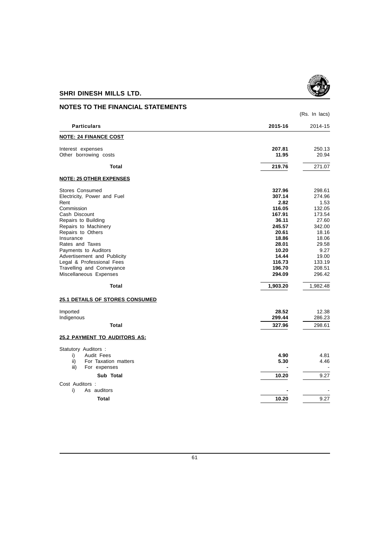

#### **NOTES TO THE FINANCIAL STATEMENTS** (Rs. In lacs) **Particulars 2015-16** 2014-15 **NOTE: 24 FINANCE COST** Interest expenses **207.81** 250.13 Other borrowing costs **Total 219.76** 271.07 **NOTE: 25 OTHER EXPENSES** Stores Consumed<br>
Electricity, Power and Fuel **327.96** 298.61<br>
274.96 274.96 Electricity, Power and Fuel<br>Rent 2.82 1.53 Rent **2.82** 1.53 Commission **116.05** 132.05 Cash Discount **167.91** 173.54<br>Repairs to Building **167.91** 173.54 Repairs to Building 127.60<br>Repairs to Machinery 1245.57 342.00 Repairs to Machinery<br>
Repairs to Machinery<br>
Repairs to Others
20.61
20.61
20.61
20.61
20.61
20.61
20.61
20.61
20.51
20.61
20.51
20.51
20.51
20.51
20.51
20.51
20.51
20.51
20.51
20.51
20.51
20.51
20.51
20.51
20.51
20.51
20.5 Repairs to Others **20.61** 18.16<br>
Insurance 18.86 18.06 Insurance **18.86** 18.06 Rates and Taxes<br>
Payments to Auditors **28.01** 29.58<br>
28.01 29.58<br>
29.27<br>
29.27 Payments to Auditors Advertisement and Publicity **14.44** 19.00 Legal & Professional Fees **116.73** 133.19 Travelling and Conveyance **196.70** 208.51 Miscellaneous Expenses **Total 1,903.20** 1,982.48 **25.1 DETAILS OF STORES CONSUMED** Imported **28.52** 12.38 Indigenous **299.44** 286.23 **Total 327.96** 298.61 **25.2 PAYMENT TO AUDITORS AS:** Statutory Auditors : i) Audit Fees **4.90** 4.81 ii) For Taxation matters **5.30** 4.46 iii) For expenses **Sub Total 10.20** 9.27 Cost Auditors : i) As auditors **-** - **Total 10.20** 9.27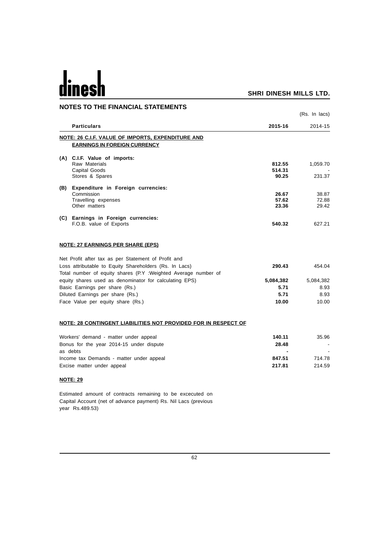## **SHRI DINESH MILLS LTD.**

|     | <b>NOTES TO THE FINANCIAL STATEMENTS</b>                        |                |                |
|-----|-----------------------------------------------------------------|----------------|----------------|
|     |                                                                 |                | (Rs. In lacs)  |
|     | <b>Particulars</b>                                              | 2015-16        | 2014-15        |
|     | NOTE: 26 C.I.F. VALUE OF IMPORTS, EXPENDITURE AND               |                |                |
|     | <b>EARNINGS IN FOREIGN CURRENCY</b>                             |                |                |
|     | (A) C.I.F. Value of imports:                                    |                |                |
|     | Raw Materials                                                   | 812.55         | 1,059.70       |
|     | Capital Goods                                                   | 514.31         |                |
|     | Stores & Spares                                                 | 90.25          | 231.37         |
| (B) | Expenditure in Foreign currencies:                              |                |                |
|     | Commission                                                      | 26.67          | 38.87          |
|     | Travelling expenses<br>Other matters                            | 57.62<br>23.36 | 72.88<br>29.42 |
|     |                                                                 |                |                |
|     | (C) Earnings in Foreign currencies:                             | 540.32         | 627.21         |
|     | F.O.B. value of Exports                                         |                |                |
|     | <b>NOTE: 27 EARNINGS PER SHARE (EPS)</b>                        |                |                |
|     | Net Profit after tax as per Statement of Profit and             |                |                |
|     | Loss attributable to Equity Shareholders (Rs. In Lacs)          | 290.43         | 454.04         |
|     | Total number of equity shares (P.Y : Weighted Average number of |                |                |
|     | equity shares used as denominator for calculating EPS)          | 5,084,382      | 5,084,382      |
|     | Basic Earnings per share (Rs.)                                  | 5.71           | 8.93           |
|     | Diluted Earnings per share (Rs.)                                | 5.71           | 8.93           |
|     | Face Value per equity share (Rs.)                               | 10.00          | 10.00          |
|     |                                                                 |                |                |
|     | NOTE: 28 CONTINGENT LIABILITIES NOT PROVIDED FOR IN RESPECT OF  |                |                |
|     |                                                                 | 140.11         |                |
|     | Workers' demand - matter under appeal                           |                | 35.96          |
|     | Bonus for the year 2014-15 under dispute<br>as debts            | 28.48          |                |
|     | Income tax Demands - matter under appeal                        | 847.51         | 714.78         |
|     | Excise matter under appeal                                      | 217.81         | 214.59         |
|     |                                                                 |                |                |
|     | <b>NOTE: 29</b>                                                 |                |                |

Estimated amount of contracts remaining to be excecuted on Capital Account (net of advance payment) Rs. Nil Lacs (previous year Rs.489.53)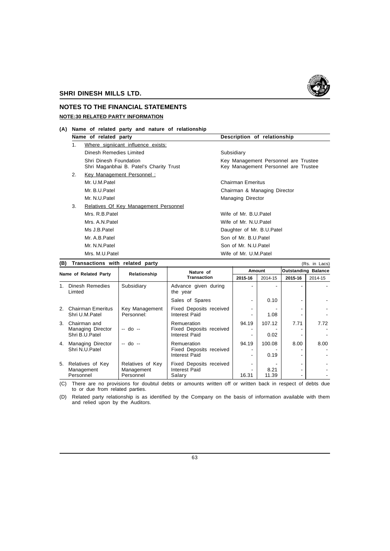

# **NOTES TO THE FINANCIAL STATEMENTS**

# **NOTE:30 RELATED PARTY INFORMATION**

**(A) Name of related party and nature of relationship**

|    | Name of related party                                             | Description of relationship                                                  |
|----|-------------------------------------------------------------------|------------------------------------------------------------------------------|
| 1. | Where signiicant influence exists:                                |                                                                              |
|    | <b>Dinesh Remedies Limited</b>                                    | Subsidiary                                                                   |
|    | Shri Dinesh Foundation<br>Shri Maganbhai B. Patel's Charity Trust | Key Management Personnel are Trustee<br>Key Management Personnel are Trustee |
| 2. | <b>Key Management Personnel:</b>                                  |                                                                              |
|    | Mr. U.M.Patel                                                     | Chairman Emeritus                                                            |
|    | Mr. B.U.Patel                                                     | Chairman & Managing Director                                                 |
|    | Mr. N.U.Patel                                                     | Managing Director                                                            |
| 3. | Relatives Of Key Management Personnel                             |                                                                              |
|    | Mrs. R.B.Patel                                                    | Wife of Mr. B.U.Patel                                                        |
|    | Mrs. A.N.Patel                                                    | Wife of Mr. N.U.Patel                                                        |
|    | Ms J.B.Patel                                                      | Daughter of Mr. B.U.Patel                                                    |
|    | Mr. A.B.Patel                                                     | Son of Mr. B.U.Patel                                                         |
|    | Mr. N.N.Patel                                                     | Son of Mr. N.U. Patel                                                        |
|    | Mrs. M.U.Patel                                                    | Wife of Mr. U.M.Patel                                                        |
|    |                                                                   |                                                                              |

|                                       | (B)<br>Transactions with related party<br>(Rs. in Lacs) |                  |                                  |         |                            |         |         |
|---------------------------------------|---------------------------------------------------------|------------------|----------------------------------|---------|----------------------------|---------|---------|
| Relationship<br>Name of Related Party |                                                         | Nature of        | Amount                           |         | <b>Outstanding Balance</b> |         |         |
|                                       |                                                         |                  | <b>Transaction</b>               | 2015-16 | 2014-15                    | 2015-16 | 2014-15 |
|                                       | Dinesh Remedies<br>Limted                               | Subsidiary       | Advance given during<br>the year |         |                            |         |         |
|                                       |                                                         |                  | Sales of Spares                  |         | 0.10                       |         |         |
| 2.                                    | <b>Chairman Emeritus</b>                                | Key Management   | Fixed Deposits received          |         |                            |         |         |
|                                       | Shri U.M.Patel                                          | Personnel:       | Interest Paid                    |         | 1.08                       |         |         |
| 3.                                    | Chairman and                                            |                  | <b>Remueration</b>               | 94.19   | 107.12                     | 7.71    | 7.72    |
|                                       | Managing Director                                       | -- do --         | Fixed Deposits received          |         |                            |         |         |
|                                       | Shri B.U.Patel                                          |                  | Interest Paid                    |         | 0.02                       |         |         |
| 4.                                    | <b>Managing Director</b>                                | $-$ do $-$       | <b>Remueration</b>               | 94.19   | 100.08                     | 8.00    | 8.00    |
|                                       | Shri N.U.Patel                                          |                  | <b>Fixed Deposits received</b>   |         |                            |         |         |
|                                       |                                                         |                  | Interest Paid                    |         | 0.19                       |         |         |
|                                       | 5. Relatives of Key                                     | Relatives of Key | Fixed Deposits received          |         |                            |         |         |
|                                       | Management                                              | Management       | Interest Paid                    |         | 8.21                       |         |         |
|                                       | Personnel                                               | Personnel        | Salary                           | 16.31   | 11.39                      |         |         |

(C) There are no provisions for doubtul debts or amounts written off or written back in respect of debts due to or due from related parties.

(D) Related party relationship is as identified by the Company on the basis of information available with them and relied upon by the Auditors.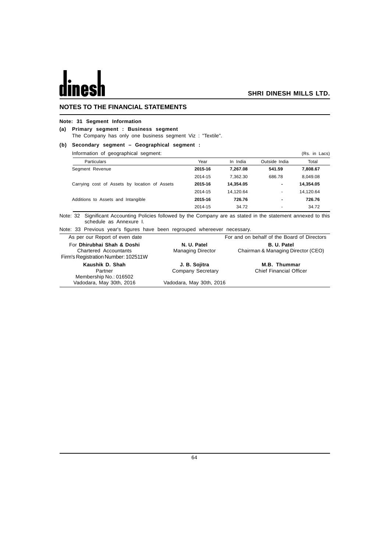# **nes**

#### **SHRI DINESH MILLS LTD.**

#### **NOTES TO THE FINANCIAL STATEMENTS**

#### **Note: 31 Segment Information**

### **(a) Primary segment : Business segment**

The Company has only one business segment Viz : "Textile".

#### **(b) Secondary segment – Geographical segment :**

| Information of geographical segment:          |         |           |                | (Rs. in Lacs) |
|-----------------------------------------------|---------|-----------|----------------|---------------|
| Particulars                                   | Year    | In India  | Outside India  | Total         |
| Segment Revenue                               | 2015-16 | 7.267.08  | 541.59         | 7,808.67      |
|                                               | 2014-15 | 7.362.30  | 686.78         | 8.049.08      |
| Carrying cost of Assets by location of Assets | 2015-16 | 14.354.05 | $\blacksquare$ | 14.354.05     |
|                                               | 2014-15 | 14.120.64 | ۰              | 14.120.64     |
| Additions to Assets and Intangible            | 2015-16 | 726.76    |                | 726.76        |
|                                               | 2014-15 | 34.72     | ۰              | 34.72         |
|                                               |         |           |                |               |

Note: 32 Significant Accounting Policies followed by the Company are as stated in the statement annexed to this schedule as Annexure I.

Note: 33 Previous year's figures have been regrouped whereever necessary.

| As per our Report of even date      |                          | For and on behalf of the Board of Directors |
|-------------------------------------|--------------------------|---------------------------------------------|
| For Dhirubhai Shah & Doshi          | N. U. Patel              | <b>B. U. Patel</b>                          |
| Chartered Accountants               | <b>Managing Director</b> | Chairman & Managing Director (CEO)          |
| Firm's Registration Number: 102511W |                          |                                             |
| Kaushik D. Shah                     | J. B. Sojitra            | <b>M.B. Thummar</b>                         |
| Partner                             | Company Secretary        | <b>Chief Financial Officer</b>              |
| Membership No.: 016502              |                          |                                             |
| Vadodara, May 30th, 2016            | Vadodara, May 30th, 2016 |                                             |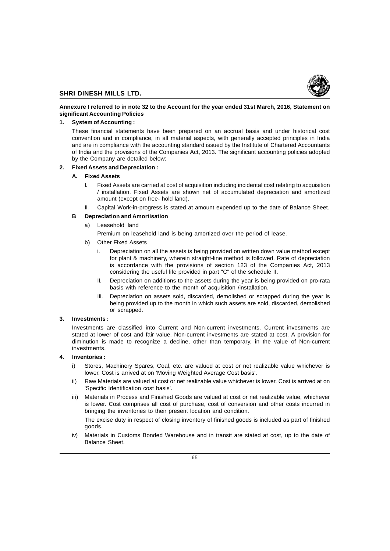

#### **Annexure I referred to in note 32 to the Account for the year ended 31st March, 2016, Statement on significant Accounting Policies**

#### **1. System of Accounting :**

These financial statements have been prepared on an accrual basis and under historical cost convention and in compliance, in all material aspects, with generally accepted principles in India and are in compliance with the accounting standard issued by the Institute of Chartered Accountants of India and the provisions of the Companies Act, 2013. The significant accounting policies adopted by the Company are detailed below:

#### **2. Fixed Assets and Depreciation :**

#### **A. Fixed Assets**

- I. Fixed Assets are carried at cost of acquisition including incidental cost relating to acquisition / installation. Fixed Assets are shown net of accumulated depreciation and amortized amount (except on free- hold land).
- II. Capital Work-in-progress is stated at amount expended up to the date of Balance Sheet.

#### **B Depreciation and Amortisation**

- a) Leasehold land
	- Premium on leasehold land is being amortized over the period of lease.
- b) Other Fixed Assets
	- i. Depreciation on all the assets is being provided on written down value method except for plant & machinery, wherein straight-line method is followed. Rate of depreciation is accordance with the provisions of section 123 of the Companies Act, 2013 considering the useful life provided in part "C" of the schedule II.
	- II. Depreciation on additions to the assets during the year is being provided on pro-rata basis with reference to the month of acquisition /installation.
	- III. Depreciation on assets sold, discarded, demolished or scrapped during the year is being provided up to the month in which such assets are sold, discarded, demolished or scrapped.

#### **3. Investments :**

Investments are classified into Current and Non-current investments. Current investments are stated at lower of cost and fair value. Non-current investments are stated at cost. A provision for diminution is made to recognize a decline, other than temporary, in the value of Non-current investments.

#### **4. Inventories :**

- i) Stores, Machinery Spares, Coal, etc. are valued at cost or net realizable value whichever is lower. Cost is arrived at on 'Moving Weighted Average Cost basis'.
- ii) Raw Materials are valued at cost or net realizable value whichever is lower. Cost is arrived at on 'Specific Identification cost basis'.
- iii) Materials in Process and Finished Goods are valued at cost or net realizable value, whichever is lower. Cost comprises all cost of purchase, cost of conversion and other costs incurred in bringing the inventories to their present location and condition.

The excise duty in respect of closing inventory of finished goods is included as part of finished goods.

iv) Materials in Customs Bonded Warehouse and in transit are stated at cost, up to the date of Balance Sheet.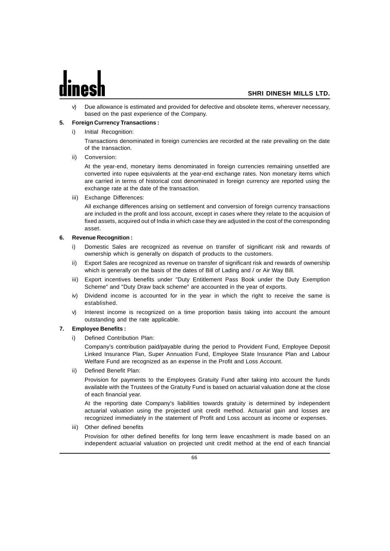v) Due allowance is estimated and provided for defective and obsolete items, wherever necessary, based on the past experience of the Company.

#### **5. Foreign Currency Transactions :**

i) Initial Recognition:

Transactions denominated in foreign currencies are recorded at the rate prevailing on the date of the transaction.

ii) Conversion:

At the year-end, monetary items denominated in foreign currencies remaining unsettled are converted into rupee equivalents at the year-end exchange rates. Non monetary items which are carried in terms of historical cost denominated in foreign currency are reported using the exchange rate at the date of the transaction.

iii) Exchange Differences:

All exchange differences arising on settlement and conversion of foreign currency transactions are included in the profit and loss account, except in cases where they relate to the acquision of fixed assets, acquired out of India in which case they are adjusted in the cost of the corresponding asset.

#### **6. Revenue Recognition :**

- i) Domestic Sales are recognized as revenue on transfer of significant risk and rewards of ownership which is generally on dispatch of products to the customers.
- ii) Export Sales are recognized as revenue on transfer of significant risk and rewards of ownership which is generally on the basis of the dates of Bill of Lading and / or Air Way Bill.
- iii) Export incentives benefits under "Duty Entitlement Pass Book under the Duty Exemption Scheme" and "Duty Draw back scheme" are accounted in the year of exports.
- iv) Dividend income is accounted for in the year in which the right to receive the same is established.
- v) Interest income is recognized on a time proportion basis taking into account the amount outstanding and the rate applicable.

#### **7. Employee Benefits :**

i) Defined Contribution Plan:

Company's contribution paid/payable during the period to Provident Fund, Employee Deposit Linked Insurance Plan, Super Annuation Fund, Employee State Insurance Plan and Labour Welfare Fund are recognized as an expense in the Profit and Loss Account.

ii) Defined Benefit Plan:

Provision for payments to the Employees Gratuity Fund after taking into account the funds available with the Trustees of the Gratuity Fund is based on actuarial valuation done at the close of each financial year.

At the reporting date Company's liabilities towards gratuity is determined by independent actuarial valuation using the projected unit credit method. Actuarial gain and losses are recognized immediately in the statement of Profit and Loss account as income or expenses.

iii) Other defined benefits

Provision for other defined benefits for long term leave encashment is made based on an independent actuarial valuation on projected unit credit method at the end of each financial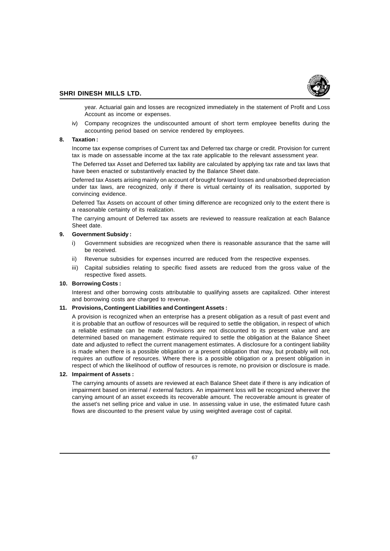

year. Actuarial gain and losses are recognized immediately in the statement of Profit and Loss Account as income or expenses.

iv) Company recognizes the undiscounted amount of short term employee benefits during the accounting period based on service rendered by employees.

#### **8. Taxation :**

Income tax expense comprises of Current tax and Deferred tax charge or credit. Provision for current tax is made on assessable income at the tax rate applicable to the relevant assessment year.

The Deferred tax Asset and Deferred tax liability are calculated by applying tax rate and tax laws that have been enacted or substantively enacted by the Balance Sheet date.

Deferred tax Assets arising mainly on account of brought forward losses and unabsorbed depreciation under tax laws, are recognized, only if there is virtual certainty of its realisation, supported by convincing evidence.

Deferred Tax Assets on account of other timing difference are recognized only to the extent there is a reasonable certainty of its realization.

The carrying amount of Deferred tax assets are reviewed to reassure realization at each Balance Sheet date.

#### **9. Government Subsidy :**

- i) Government subsidies are recognized when there is reasonable assurance that the same will be received.
- ii) Revenue subsidies for expenses incurred are reduced from the respective expenses.
- iii) Capital subsidies relating to specific fixed assets are reduced from the gross value of the respective fixed assets.

#### **10. Borrowing Costs :**

Interest and other borrowing costs attributable to qualifying assets are capitalized. Other interest and borrowing costs are charged to revenue.

#### **11. Provisions, Contingent Liabilities and Contingent Assets :**

A provision is recognized when an enterprise has a present obligation as a result of past event and it is probable that an outflow of resources will be required to settle the obligation, in respect of which a reliable estimate can be made. Provisions are not discounted to its present value and are determined based on management estimate required to settle the obligation at the Balance Sheet date and adjusted to reflect the current management estimates. A disclosure for a contingent liability is made when there is a possible obligation or a present obligation that may, but probably will not, requires an outflow of resources. Where there is a possible obligation or a present obligation in respect of which the likelihood of outflow of resources is remote, no provision or disclosure is made.

#### **12. Impairment of Assets :**

The carrying amounts of assets are reviewed at each Balance Sheet date if there is any indication of impairment based on internal / external factors. An impairment loss will be recognized wherever the carrying amount of an asset exceeds its recoverable amount. The recoverable amount is greater of the asset's net selling price and value in use. In assessing value in use, the estimated future cash flows are discounted to the present value by using weighted average cost of capital.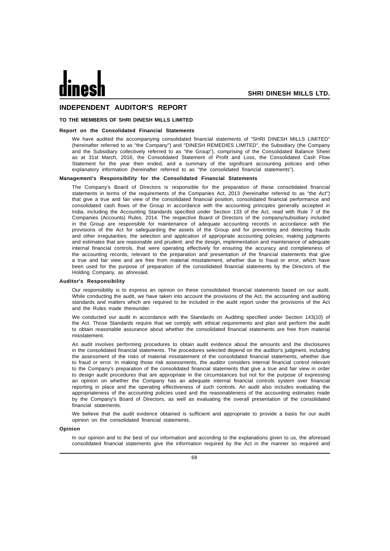#### **INDEPENDENT AUDITOR'S REPORT**

#### **TO THE MEMBERS OF SHRI DINESH MILLS LIMITED**

#### **Report on the Consolidated Financial Statements**

We have audited the accompanying consolidated financial statements of "SHRI DINESH MILLS LIMITED" (hereinafter referred to as "the Company") and "DINESH REMEDIES LIMITED", the Subsidiary (the Company and the Subsidiary collectively referred to as "the Group"), comprising of the Consolidated Balance Sheet as at 31st March, 2016, the Consolidated Statement of Profit and Loss, the Consolidated Cash Flow Statement for the year then ended, and a summary of the significant accounting policies and other explanatory information (hereinafter referred to as "the consolidated financial statements").

#### **Management's Responsibility for the Consolidated Financial Statements**

The Company's Board of Directors is responsible for the preparation of these consolidated financial statements in terms of the requirements of the Companies Act, 2013 (hereinafter referred to as "the Act") that give a true and fair view of the consolidated financial position, consolidated financial performance and consolidated cash flows of the Group in accordance with the accounting principles generally accepted in India, including the Accounting Standards specified under Section 133 of the Act, read with Rule 7 of the Companies (Accounts) Rules, 2014. The respective Board of Directors of the company/subsidiary included in the Group are responsible for maintenance of adequate accounting records in accordance with the provisions of the Act for safeguarding the assets of the Group and for preventing and detecting frauds and other irregularities; the selection and application of appropriate accounting policies; making judgments and estimates that are reasonable and prudent; and the design, implementation and maintenance of adequate internal financial controls, that were operating effectively for ensuring the accuracy and completeness of the accounting records, relevant to the preparation and presentation of the financial statements that give a true and fair view and are free from material misstatement, whether due to fraud or error, which have been used for the purpose of preparation of the consolidated financial statements by the Directors of the Holding Company, as aforesaid.

#### **Auditor's Responsibility**

Our responsibility is to express an opinion on these consolidated financial statements based on our audit. While conducting the audit, we have taken into account the provisions of the Act, the accounting and auditing standards and matters which are required to be included in the audit report under the provisions of the Act and the Rules made thereunder.

We conducted our audit in accordance with the Standards on Auditing specified under Section 143(10) of the Act. Those Standards require that we comply with ethical requirements and plan and perform the audit to obtain reasonable assurance about whether the consolidated financial statements are free from material misstatement.

An audit involves performing procedures to obtain audit evidence about the amounts and the disclosures in the consolidated financial statements. The procedures selected depend on the auditor's judgment, including the assessment of the risks of material misstatement of the consolidated financial statements, whether due to fraud or error. In making those risk assessments, the auditor considers internal financial control relevant to the Company's preparation of the consolidated financial statements that give a true and fair view in order to design audit procedures that are appropriate in the circumstances but not for the purpose of expressing an opinion on whether the Company has an adequate internal financial controls system over financial reporting in place and the operating effectiveness of such controls. An audit also includes evaluating the appropriateness of the accounting policies used and the reasonableness of the accounting estimates made by the Company's Board of Directors, as well as evaluating the overall presentation of the consolidated financial statements.

We believe that the audit evidence obtained is sufficient and appropriate to provide a basis for our audit opinion on the consolidated financial statements.

#### **Opinion**

In our opinion and to the best of our information and according to the explanations given to us, the aforesaid consolidated financial statements give the information required by the Act in the manner so required and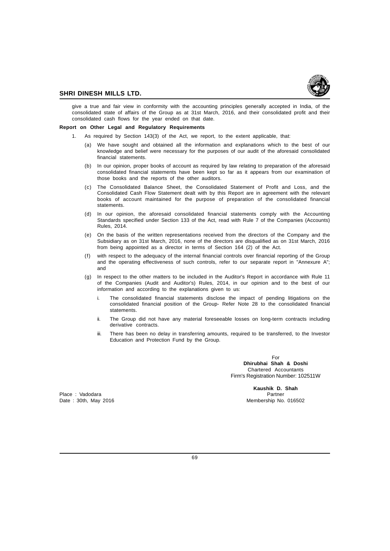

give a true and fair view in conformity with the accounting principles generally accepted in India, of the consolidated state of affairs of the Group as at 31st March, 2016, and their consolidated profit and their consolidated cash flows for the year ended on that date.

#### **Report on Other Legal and Regulatory Requirements**

- 1. As required by Section 143(3) of the Act, we report, to the extent applicable, that:
	- (a) We have sought and obtained all the information and explanations which to the best of our knowledge and belief were necessary for the purposes of our audit of the aforesaid consolidated financial statements.
	- (b) In our opinion, proper books of account as required by law relating to preparation of the aforesaid consolidated financial statements have been kept so far as it appears from our examination of those books and the reports of the other auditors.
	- (c) The Consolidated Balance Sheet, the Consolidated Statement of Profit and Loss, and the Consolidated Cash Flow Statement dealt with by this Report are in agreement with the relevant books of account maintained for the purpose of preparation of the consolidated financial statements.
	- (d) In our opinion, the aforesaid consolidated financial statements comply with the Accounting Standards specified under Section 133 of the Act, read with Rule 7 of the Companies (Accounts) Rules, 2014.
	- (e) On the basis of the written representations received from the directors of the Company and the Subsidiary as on 31st March, 2016, none of the directors are disqualified as on 31st March, 2016 from being appointed as a director in terms of Section 164 (2) of the Act.
	- (f) with respect to the adequacy of the internal financial controls over financial reporting of the Group and the operating effectiveness of such controls, refer to our separate report in "Annexure A"; and
	- (g) In respect to the other matters to be included in the Auditor's Report in accordance with Rule 11 of the Companies (Audit and Auditor's) Rules, 2014, in our opinion and to the best of our information and according to the explanations given to us:
		- i. The consolidated financial statements disclose the impact of pending litigations on the consolidated financial position of the Group- Refer Note 28 to the consolidated financial statements.
		- ii. The Group did not have any material foreseeable losses on long-term contracts including derivative contracts.
		- iii. There has been no delay in transferring amounts, required to be transferred, to the Investor Education and Protection Fund by the Group.

For **Dhirubhai Shah & Doshi** Chartered Accountants Firm's Registration Number: 102511W

**Kaushik D. Shah** Date : 30th, May 2016 Membership No. 016502

Place : Vadodara Partner et al. 2009 and 2009 and 2009 and 2009 and 2009 and 2009 and 2009 and 2009 and 2009 and 2009 and 2009 and 2009 and 2009 and 2009 and 2009 and 2009 and 2009 and 2009 and 2009 and 2009 and 2009 and 2

69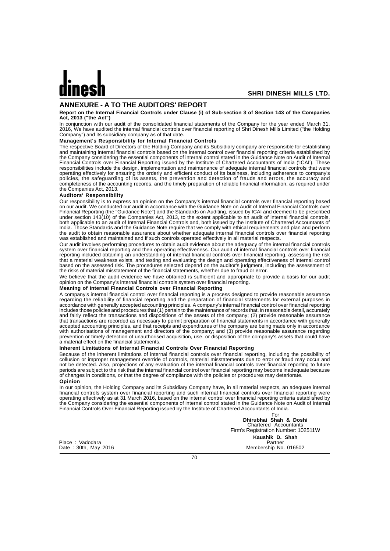### **ANNEXURE - A TO THE AUDITORS' REPORT**

**Report on the Internal Financial Controls under Clause (i) of Sub-section 3 of Section 143 of the Companies Act, 2013 ("the Act")**

In conjunction with our audit of the consolidated financial statements of the Company for the year ended March 31, 2016, We have audited the internal financial controls over financial reporting of Shri Dinesh Mills Limited ("the Holding Company") and its subsidiary company as of that date.

#### **Management's Responsibility for Internal Financial Controls**

The respective Board of Directors of the Holding Company and its Subsidiary company are responsible for establishing and maintaining internal financial controls based on the internal control over financial reporting criteria established by the Company considering the essential components of internal control stated in the Guidance Note on Audit of Internal Financial Controls over Financial Reporting issued by the Institute of Chartered Accountants of India ('ICAI'). These responsibilities include the design, implementation and maintenance of adequate internal financial controls that were operating effectively for ensuring the orderly and efficient conduct of its business, including adherence to company's policies, the safeguarding of its assets, the prevention and detection of frauds and errors, the accuracy and completeness of the accounting records, and the timely preparation of reliable financial information, as required under the Companies Act, 2013.

#### **Auditors' Responsibility**

Our responsibility is to express an opinion on the Company's internal financial controls over financial reporting based on our audit. We conducted our audit in accordance with the Guidance Note on Audit of Internal Financial Controls over Financial Reporting (the "Guidance Note") and the Standards on Auditing, issued by ICAI and deemed to be prescribed under section 143(10) of the Companies Act, 2013, to the extent applicable to an audit of internal financial controls, both applicable to an audit of Internal Financial Controls and, both issued by the Institute of Chartered Accountants of India. Those Standards and the Guidance Note require that we comply with ethical requirements and plan and perform the audit to obtain reasonable assurance about whether adequate internal financial controls over financial reporting was established and maintained and if such controls operated effectively in all material respects.

Our audit involves performing procedures to obtain audit evidence about the adequacy of the internal financial controls system over financial reporting and their operating effectiveness. Our audit of internal financial controls over financial reporting included obtaining an understanding of internal financial controls over financial reporting, assessing the risk that a material weakness exists, and testing and evaluating the design and operating effectiveness of internal control based on the assessed risk. The procedures selected depend on the auditor's judgment, including the assessment of the risks of material misstatement of the financial statements, whether due to fraud or error.

We believe that the audit evidence we have obtained is sufficient and appropriate to provide a basis for our audit opinion on the Company's internal financial controls system over financial reporting.

#### **Meaning of Internal Financial Controls over Financial Reporting**

A company's internal financial control over financial reporting is a process designed to provide reasonable assurance regarding the reliability of financial reporting and the preparation of financial statements for external purposes in accordance with generally accepted accounting principles. A company's internal financial control over financial reporting includes those policies and procedures that (1) pertain to the maintenance of records that, in reasonable detail, accurately and fairly reflect the transactions and dispositions of the assets of the company; (2) provide reasonable assurance that transactions are recorded as necessary to permit preparation of financial statements in accordance with generally accepted accounting principles, and that receipts and expenditures of the company are being made only in accordance with authorisations of management and directors of the company; and (3) provide reasonable assurance regarding prevention or timely detection of unauthorised acquisition, use, or disposition of the company's assets that could have a material effect on the financial statements.

#### **Inherent Limitations of Internal Financial Controls Over Financial Reporting**

Because of the inherent limitations of internal financial controls over financial reporting, including the possibility of collusion or improper management override of controls, material misstatements due to error or fraud may occur and not be detected. Also, projections of any evaluation of the internal financial controls over financial reporting to future periods are subject to the risk that the internal financial control over financial reporting may become inadequate because of changes in conditions, or that the degree of compliance with the policies or procedures may deteriorate. **Opinion**

In our opinion, the Holding Company and its Subsidiary Company have, in all material respects, an adequate internal financial controls system over financial reporting and such internal financial controls over financial reporting were operating effectively as at 31 March 2016, based on the internal control over financial reporting criteria established by the Company considering the essential components of internal control stated in the Guidance Note on Audit of Internal Financial Controls Over Financial Reporting issued by the Institute of Chartered Accountants of India.

> For<br>**Dhirubhai Shah & Doshi**<br>Chartered Accountants<br>Firm's Registration Number: 102511W **Kaushik D. Shah** Membership No. 016502

Place : Vadodara<br>Date : 30th, May 2016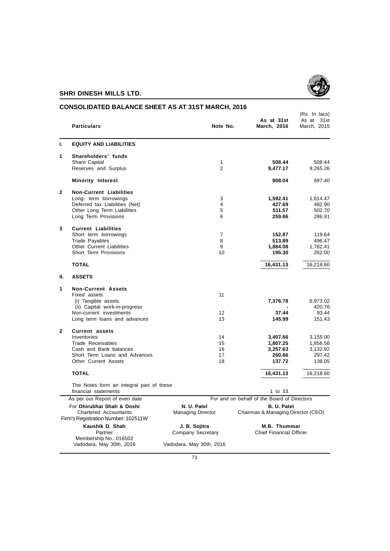

|              | <b>Particulars</b>                                                                                                                                           | Note No.                                                       | As at 31st<br>March, 2016                                | (Rs. In lacs)<br>As at 31st<br>March, 2015           |
|--------------|--------------------------------------------------------------------------------------------------------------------------------------------------------------|----------------------------------------------------------------|----------------------------------------------------------|------------------------------------------------------|
| I.           | <b>EQUITY AND LIABILITIES</b>                                                                                                                                |                                                                |                                                          |                                                      |
| 1            | Shareholders' funds<br>Share Capital<br>Reserves and Surplus                                                                                                 | 1<br>$\overline{2}$                                            | 508.44<br>9,477.17                                       | 508.44<br>9,265.26                                   |
|              | <b>Minority Interest</b>                                                                                                                                     |                                                                | 908.04                                                   | 897.40                                               |
| $\mathbf{2}$ | <b>Non-Current Liabilities</b><br>Long- term borrowings<br>Deferred tax Liabilities (Net)<br>Other Long Term Liabilities<br>Long Term Provisions             | 3<br>4<br>5<br>6                                               | 1,592.41<br>427.69<br>511.57<br>259.66                   | 1,614.47<br>482.90<br>502.70<br>286.91               |
| 3            | <b>Current Liabilities</b><br>Short term borrowings<br><b>Trade Payables</b><br><b>Other Current Liabilities</b><br>Short Term Provisions                    | $\overline{7}$<br>8<br>9<br>10                                 | 152.87<br>513.89<br>1,884.08<br>195.30                   | 119.64<br>496.47<br>1,782.41<br>262.00               |
|              | <b>TOTAL</b>                                                                                                                                                 |                                                                | 16,431.13                                                | 16,218.60                                            |
| Ш.           | <b>ASSETS</b>                                                                                                                                                |                                                                |                                                          |                                                      |
| 1            | <b>Non-Current Assets</b><br>Fixed assets<br>(i) Tangible assets<br>(ii) Capital work-in-progress<br>Non-current investments<br>Long term loans and advances | 11<br>12<br>13                                                 | 7,376.78<br>37.44<br>145.99                              | 6,973.02<br>420.76<br>93.44<br>151.43                |
| $\mathbf{2}$ | <b>Current assets</b><br>Inventories<br><b>Trade Receivables</b><br>Cash and Bank balances<br>Short Term Loans and Advances<br><b>Other Current Assets</b>   | 14<br>15<br>16<br>17<br>18                                     | 3,407.66<br>1,807.25<br>3,257.63<br>260.66<br>137.72     | 3,155.00<br>1,856.56<br>3,132.92<br>297.42<br>138.05 |
|              | <b>TOTAL</b>                                                                                                                                                 |                                                                | 16,431.13                                                | 16,218.60                                            |
|              | The Notes form an integral part of these<br>financial statements                                                                                             |                                                                | 1 to 33                                                  |                                                      |
|              | As per our Report of even date                                                                                                                               |                                                                | For and on behalf of the Board of Directors              |                                                      |
|              | For Dhirubhai Shah & Doshi<br><b>Chartered Accountants</b><br>Firm's Registration Number: 102511W                                                            | N. U. Patel<br><b>Managing Director</b>                        | <b>B. U. Patel</b><br>Chairman & Managing Director (CEO) |                                                      |
|              | Kaushik D. Shah<br>Partner<br>Membership No.: 016502<br>Vadodara, May 30th, 2016                                                                             | J. B. Sojitra<br>Company Secretary<br>Vadodara, May 30th, 2016 | <b>M.B. Thummar</b><br><b>Chief Financial Officer</b>    |                                                      |

## **CONSOLIDATED BALANCE SHEET AS AT 31ST MARCH, 2016**

71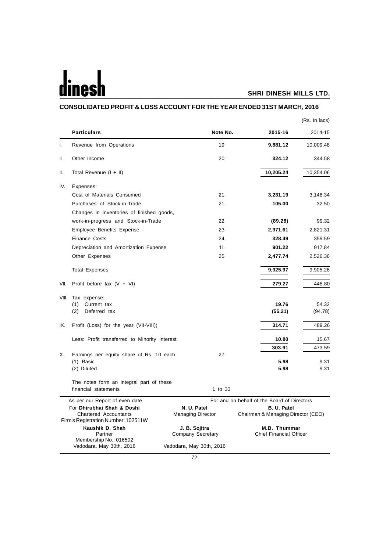# dinesh

# **SHRI DINESH MILLS LTD.**

# **CONSOLIDATED PROFIT & LOSS ACCOUNT FOR THE YEAR ENDED 31ST MARCH, 2016**

|       |                                                                                                   |                                         |                                                          | (Rs. In lacs) |
|-------|---------------------------------------------------------------------------------------------------|-----------------------------------------|----------------------------------------------------------|---------------|
|       | <b>Particulars</b>                                                                                | Note No.                                | 2015-16                                                  | 2014-15       |
| I.    | Revenue from Operations                                                                           | 19                                      | 9,881.12                                                 | 10,009.48     |
| II.   | Other Income                                                                                      | 20                                      | 324.12                                                   | 344.58        |
| III.  | Total Revenue $(I + II)$                                                                          |                                         | 10,205.24                                                | 10,354.06     |
| IV.   | Expenses:                                                                                         |                                         |                                                          |               |
|       | Cost of Materials Consumed                                                                        | 21                                      | 3,231.19                                                 | 3,148.34      |
|       | Purchases of Stock-in-Trade                                                                       | 21                                      | 105.00                                                   | 32.50         |
|       | Changes in Inventories of finished goods,                                                         |                                         |                                                          |               |
|       | work-in-progress and Stock-in-Trade                                                               | 22                                      | (89.28)                                                  | 99.32         |
|       | <b>Employee Benefits Expense</b>                                                                  | 23                                      | 2,971.61                                                 | 2,821.31      |
|       | <b>Finance Costs</b>                                                                              | 24                                      | 328.49                                                   | 359.59        |
|       | Depreciation and Amortization Expense                                                             | 11                                      | 901.22                                                   | 917.84        |
|       | Other Expenses                                                                                    | 25                                      | 2,477.74                                                 | 2,526.36      |
|       | <b>Total Expenses</b>                                                                             |                                         | 9,925.97                                                 | 9,905.26      |
| VII.  | Profit before tax $(V + VI)$                                                                      |                                         | 279.27                                                   | 448.80        |
| VIII. | Tax expense:                                                                                      |                                         |                                                          |               |
|       | (1)<br>Current tax                                                                                |                                         | 19.76                                                    | 54.32         |
|       | Deferred tax<br>(2)                                                                               |                                         | (55.21)                                                  | (94.78)       |
| IX.   | Profit (Loss) for the year (VII-VIII))                                                            |                                         | 314.71                                                   | 489.26        |
|       | Less: Profit transferred to Minority Interest                                                     |                                         | 10.80                                                    | 15.67         |
|       |                                                                                                   |                                         | 303.91                                                   | 473.59        |
| Х.    | Earnings per equity share of Rs. 10 each                                                          | 27                                      |                                                          |               |
|       | $(1)$ Basic                                                                                       |                                         | 5.98                                                     | 9.31          |
|       | (2) Diluted                                                                                       |                                         | 5.98                                                     | 9.31          |
|       | The notes form an integral part of these                                                          |                                         |                                                          |               |
|       | financial statements                                                                              | 1 to 33                                 |                                                          |               |
|       | As per our Report of even date                                                                    |                                         | For and on behalf of the Board of Directors              |               |
|       | For Dhirubhai Shah & Doshi<br><b>Chartered Accountants</b><br>Firm's Registration Number: 102511W | N. U. Patel<br><b>Managing Director</b> | <b>B. U. Patel</b><br>Chairman & Managing Director (CEO) |               |
|       | Kaushik D. Shah<br>Partner                                                                        | J. B. Sojitra<br>Company Secretary      | <b>M.B. Thummar</b><br><b>Chief Financial Officer</b>    |               |
|       | Membership No.: 016502<br>Vadodara, May 30th, 2016                                                | Vadodara, May 30th, 2016                |                                                          |               |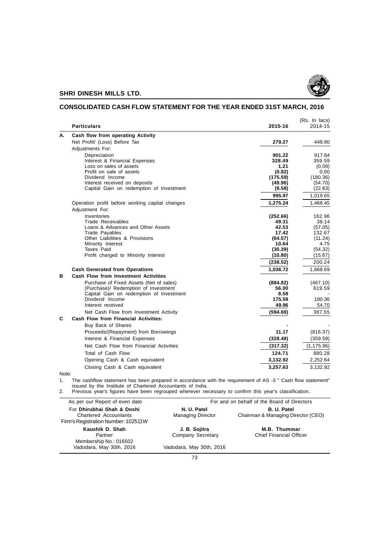

## **CONSOLIDATED CASH FLOW STATEMENT FOR THE YEAR ENDED 31ST MARCH, 2016**

|    | <b>Particulars</b>                                          | 2015-16          | (Rs. In lacs)<br>2014-15 |
|----|-------------------------------------------------------------|------------------|--------------------------|
| А. | Cash flow from operating Activity                           |                  |                          |
|    | Net Profit/ (Loss) Before Tax                               | 279.27           | 448.80                   |
|    | Adjustments For:                                            |                  |                          |
|    | Depreciation                                                | 901.22           | 917.84                   |
|    | Interest & Financial Expenses                               | 328.49           | 359.59                   |
|    | Loss on sales of assets                                     | 1.21             | (0.09)                   |
|    | Profit on sale of assets                                    | (0.82)           | 0.00                     |
|    | Dividend Income                                             | (175.59)         | (180.36)                 |
|    | Interest received on deposits                               | (49.96)          | (54.70)                  |
|    | Capital Gain on redemption of Investment                    | (8.58)           | (22.63)                  |
|    |                                                             | 995.97           | 1,019.65                 |
|    | Operation profit before working capital changes             | 1,275.24         | 1,468.45                 |
|    | Adjustment For:                                             |                  |                          |
|    | Inventories                                                 | (252.66)         | 162.96                   |
|    | Trade Receivables                                           | 49.31            | 38.14                    |
|    | Loans & Advances and Other Assets                           | 42.53            | (57.05)                  |
|    | Trade Payables                                              | 17.42            | 132.67                   |
|    | Other Liabilities & Provisions                              | (64.57)          | (11.24)                  |
|    | Minority Interest<br>Taxes Paid                             | 10.64<br>(30.39) | 4.75<br>(54.32)          |
|    | Profit charged to Minority Interest                         | (10.80)          | (15.67)                  |
|    |                                                             | (238.52)         | 200.24                   |
|    |                                                             |                  |                          |
|    | <b>Cash Generated from Operations</b>                       | 1,036.72         | 1,668.69                 |
| в  | <b>Cash Flow from Investment Activities</b>                 |                  |                          |
|    | Purchase of Fixed Assets (Net of sales)                     | (884.82)         | (467.10)                 |
|    | (Purchase)/ Redemption of Investment                        | 56.00            | 619.59                   |
|    | Capital Gain on redemption of Investment<br>Dividend Income | 8.58<br>175.59   | 180.36                   |
|    | Interest received                                           | 49.96            | 54.70                    |
|    | Net Cash Flow from Investment Activity                      |                  | 387.55                   |
| C  |                                                             | (594.69)         |                          |
|    | <b>Cash Flow from Financial Activities:</b>                 |                  |                          |
|    | <b>Buy Back of Shares</b>                                   |                  |                          |
|    | Proceeds/(Repayment) from Borrowings                        | 11.17            | (816.37)                 |
|    | Interest & Financial Expenses                               | (328.49)         | (359.59)                 |
|    | Net Cash Flow from Financial Activities                     | (317.32)         | (1, 175.96)              |
|    | Total of Cash Flow                                          | 124.71           | 880.28                   |
|    | Opening Cash & Cash equivalent                              | 3,132.92         | 2,252.64                 |
|    | Closing Cash & Cash equivalent                              | 3,257.63         | 3,132.92                 |
|    |                                                             |                  |                          |

Note:

1. The cashflow statement has been prepared in accordance with the requirement of AS -3 " Cash flow statement" issued by the Institute of Chartered Accountants of India.

2. Previous year's figures have been regrouped wherever necessary to confirm this year's classification.

| As per our Report of even date                                                                    |                                         | For and on behalf of the Board of Directors       |
|---------------------------------------------------------------------------------------------------|-----------------------------------------|---------------------------------------------------|
| For Dhirubhai Shah & Doshi<br><b>Chartered Accountants</b><br>Firm's Registration Number: 102511W | N. U. Patel<br><b>Managing Director</b> | B. U. Patel<br>Chairman & Managing Director (CEO) |
| Kaushik D. Shah<br>Partner<br>Membership No.: 016502                                              | J. B. Sojitra<br>Company Secretary      | <b>M.B. Thummar</b><br>Chief Financial Officer    |
| Vadodara, May 30th, 2016                                                                          | Vadodara, May 30th, 2016                |                                                   |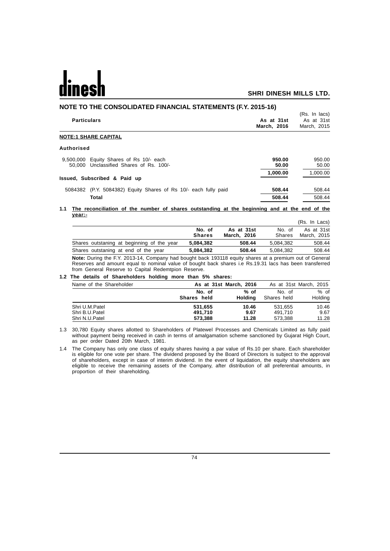| <b>NOTE TO THE CONSOLIDATED FINANCIAL STATEMENTS (F.Y. 2015-16)</b>                |                           |                                            |
|------------------------------------------------------------------------------------|---------------------------|--------------------------------------------|
| <b>Particulars</b>                                                                 | As at 31st<br>March, 2016 | (Rs. In lacs)<br>As at 31st<br>March. 2015 |
| <b>NOTE:1 SHARE CAPITAL</b>                                                        |                           |                                            |
| Authorised                                                                         |                           |                                            |
| 9,500,000 Equity Shares of Rs 10/- each<br>50,000 Unclassified Shares of Rs. 100/- | 950.00<br>50.00           | 950.00<br>50.00                            |
| Issued, Subscribed & Paid up                                                       | 1,000.00                  | 1.000.00                                   |
| 5084382 (P.Y. 5084382) Equity Shares of Rs 10/- each fully paid                    | 508.44                    | 508.44                                     |
| Total                                                                              | 508.44                    | 508.44                                     |

#### **1.1 The reconciliation of the number of shares outstanding at the beginning and at the end of the year:-** (Rs. In Lacs)

|                                                                                                                                                                                                                                                                           |                         |                           |                  | (TS, III, LAGS)           |
|---------------------------------------------------------------------------------------------------------------------------------------------------------------------------------------------------------------------------------------------------------------------------|-------------------------|---------------------------|------------------|---------------------------|
|                                                                                                                                                                                                                                                                           | No. of<br><b>Shares</b> | As at 31st<br>March. 2016 | No. of<br>Shares | As at 31st<br>March, 2015 |
| Shares outstaning at beginning of the year                                                                                                                                                                                                                                | 5,084,382               | 508.44                    | 5.084.382        | 508.44                    |
| Shares outstaning at end of the year                                                                                                                                                                                                                                      | 5.084.382               | 508.44                    | 5.084.382        | 508.44                    |
| Note: During the F.Y. 2013-14, Company had bought back 193118 equity shares at a premium out of General<br>Reserves and amount equal to nominal value of bought back shares i.e Rs.19.31 lacs has been transferred<br>from General Reserve to Capital Redemtpion Reserve. |                         |                           |                  |                           |

#### **1.2 The details of Shareholders holding more than 5% shares:**

| Name of the Shareholder |                       | As at 31st March, 2016 | As at 31st March, 2015 |                 |  |
|-------------------------|-----------------------|------------------------|------------------------|-----------------|--|
|                         | No. of<br>Shares held | % of<br>Holdina        | No. of<br>Shares held  | % of<br>Holding |  |
| Shri U.M.Patel          | 531,655               | 10.46                  | 531.655                | 10.46           |  |
| Shri B.U.Patel          | 491.710               | 9.67                   | 491.710                | 9.67            |  |
| Shri N.U.Patel          | 573,388               | 11.28                  | 573.388                | 11.28           |  |

1.3 30,780 Equity shares allotted to Shareholders of Platewel Processes and Chemicals Limited as fully paid without payment being received in cash in terms of amalgamation scheme sanctioned by Gujarat High Court, as per order Dated 20th March, 1981.

1.4 The Company has only one class of equity shares having a par value of Rs.10 per share. Each shareholder is eligible for one vote per share. The dividend proposed by the Board of Directors is subject to the approval of shareholders, except in case of interim dividend. In the event of liquidation, the equity shareholders are eligible to receive the remaining assets of the Company, after distribution of all preferential amounts, in proportion of their shareholding.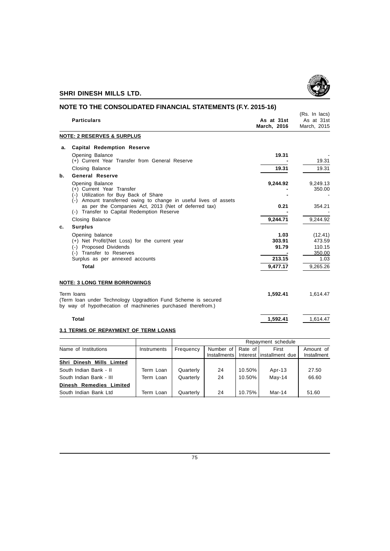

| NOTE TO THE CONSOLIDATED FINANCIAL STATEMENTS (F.Y. 2015-16) |                                                                                                                                                           |                           |                                            |  |  |  |
|--------------------------------------------------------------|-----------------------------------------------------------------------------------------------------------------------------------------------------------|---------------------------|--------------------------------------------|--|--|--|
|                                                              | <b>Particulars</b>                                                                                                                                        | As at 31st<br>March, 2016 | (Rs. In lacs)<br>As at 31st<br>March, 2015 |  |  |  |
|                                                              | <b>NOTE: 2 RESERVES &amp; SURPLUS</b>                                                                                                                     |                           |                                            |  |  |  |
| a.                                                           | <b>Capital Redemption Reserve</b>                                                                                                                         |                           |                                            |  |  |  |
|                                                              | Opening Balance<br>(+) Current Year Transfer from General Reserve                                                                                         | 19.31                     | 19.31                                      |  |  |  |
|                                                              | Closing Balance                                                                                                                                           | 19.31                     | 19.31                                      |  |  |  |
| b.                                                           | <b>General Reserve</b>                                                                                                                                    |                           |                                            |  |  |  |
|                                                              | Opening Balance<br>(+) Current Year Transfer<br>(-) Utilization for Buy Back of Share<br>(-) Amount transferred owing to change in useful lives of assets | 9,244.92                  | 9,249.13<br>350.00                         |  |  |  |
|                                                              | as per the Companies Act, 2013 (Net of deferred tax)<br>(-) Transfer to Capital Redemption Reserve                                                        | 0.21                      | 354.21                                     |  |  |  |
|                                                              | Closing Balance                                                                                                                                           | 9,244.71                  | 9,244.92                                   |  |  |  |
| c.                                                           | <b>Surplus</b>                                                                                                                                            |                           |                                            |  |  |  |
|                                                              | Opening balance                                                                                                                                           | 1.03                      | (12.41)                                    |  |  |  |
|                                                              | (+) Net Profit/(Net Loss) for the current year                                                                                                            | 303.91                    | 473.59                                     |  |  |  |
|                                                              | (-) Proposed Dividends                                                                                                                                    | 91.79                     | 110.15                                     |  |  |  |
|                                                              | (-) Transfer to Reserves<br>Surplus as per annexed accounts                                                                                               | 213.15                    | 350.00<br>1.03                             |  |  |  |
|                                                              | <b>Total</b>                                                                                                                                              | 9,477.17                  | 9.265.26                                   |  |  |  |
|                                                              |                                                                                                                                                           |                           |                                            |  |  |  |
|                                                              | <b>NOTE: 3 LONG TERM BORROWINGS</b>                                                                                                                       |                           |                                            |  |  |  |
|                                                              | Term loans<br>(Term loan under Technology Upgradtion Fund Scheme is secured<br>by way of hypothecation of machineries purchased therefrom.)               | 1,592.41                  | 1.614.47                                   |  |  |  |
|                                                              | Total                                                                                                                                                     | 1,592.41                  | 1,614.47                                   |  |  |  |
|                                                              |                                                                                                                                                           |                           |                                            |  |  |  |

# **3.1 TERMS OF REPAYMENT OF TERM LOANS**

|                          |             | Repayment schedule |                             |         |                                    |                          |  |  |  |
|--------------------------|-------------|--------------------|-----------------------------|---------|------------------------------------|--------------------------|--|--|--|
| Name of Institutions     | Instruments | Frequency          | Number of<br>Installments I | Rate of | First<br>Interest linstallment due | Amount of<br>Installment |  |  |  |
| Shri Dinesh Mills Limted |             |                    |                             |         |                                    |                          |  |  |  |
| South Indian Bank - II   | Term Loan   | Quarterly          | 24                          | 10.50%  | Apr-13                             | 27.50                    |  |  |  |
| South Indian Bank - III  | Term Loan   | Quarterly          | 24                          | 10.50%  | $May-14$                           | 66.60                    |  |  |  |
| Dinesh Remedies Limited  |             |                    |                             |         |                                    |                          |  |  |  |
| South Indian Bank Ltd    | Term Loan   | Quarterly          | 24                          | 10.75%  | Mar-14                             | 51.60                    |  |  |  |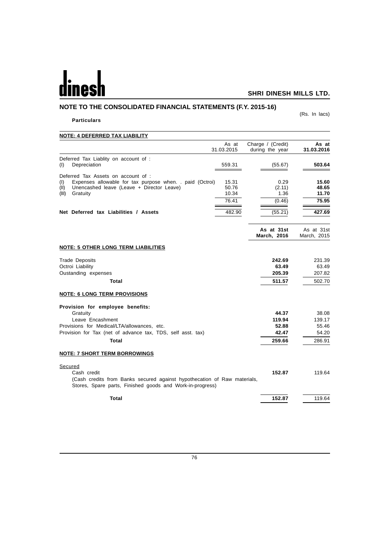# dinesh

# **SHRI DINESH MILLS LTD.**

# **NOTE TO THE CONSOLIDATED FINANCIAL STATEMENTS (F.Y. 2015-16)**

**Particulars**

(Rs. In lacs)

| <b>NOTE: 4 DEFERRED TAX LIABILITY</b>                                                                      |                     |                                      |                     |
|------------------------------------------------------------------------------------------------------------|---------------------|--------------------------------------|---------------------|
|                                                                                                            | As at<br>31.03.2015 | Charge / (Credit)<br>during the year | As at<br>31.03.2016 |
| Deferred Tax Liablity on account of :                                                                      |                     |                                      |                     |
| Depreciation<br>(1)                                                                                        | 559.31              | (55.67)                              | 503.64              |
| Deferred Tax Assets on account of :                                                                        |                     |                                      |                     |
| Expenses allowable for tax purpose when. . paid (Octroi)<br>(1)                                            | 15.31               | 0.29                                 | 15.60               |
| Unencashed leave (Leave + Director Leave)<br>(II)<br>(III)<br>Gratuity                                     | 50.76<br>10.34      | (2.11)<br>1.36                       | 48.65<br>11.70      |
|                                                                                                            | 76.41               | (0.46)                               | 75.95               |
|                                                                                                            |                     |                                      |                     |
| Net Deferred tax Liabilities / Assets                                                                      | 482.90              | (55.21)                              | 427.69              |
|                                                                                                            |                     | As at 31st                           | As at 31st          |
|                                                                                                            |                     | March, 2016                          | March, 2015         |
| NOTE: 5 OTHER LONG TERM LIABILITIES                                                                        |                     |                                      |                     |
| <b>Trade Deposits</b>                                                                                      |                     | 242.69                               | 231.39              |
| Octroi Liability                                                                                           |                     | 63.49                                | 63.49               |
| Oustanding expenses                                                                                        |                     | 205.39                               | 207.82              |
| <b>Total</b>                                                                                               |                     | 511.57                               | 502.70              |
| <b>NOTE: 6 LONG TERM PROVISIONS</b>                                                                        |                     |                                      |                     |
| Provision for employee benefits:                                                                           |                     |                                      |                     |
| Gratuity                                                                                                   |                     | 44.37                                | 38.08               |
| Leave Encashment                                                                                           |                     | 119.94<br>52.88                      | 139.17              |
| Provisions for Medical/LTA/allowances, etc.<br>Provision for Tax (net of advance tax, TDS, self asst. tax) |                     | 42.47                                | 55.46<br>54.20      |
| Total                                                                                                      |                     | 259.66                               | 286.91              |
|                                                                                                            |                     |                                      |                     |
| <b>NOTE: 7 SHORT TERM BORROWINGS</b>                                                                       |                     |                                      |                     |
| Secured<br>Cash credit                                                                                     |                     | 152.87                               | 119.64              |
| (Cash credits from Banks secured against hypothecation of Raw materials,                                   |                     |                                      |                     |
| Stores, Spare parts, Finished goods and Work-in-progress)                                                  |                     |                                      |                     |
| <b>Total</b>                                                                                               |                     | 152.87                               | 119.64              |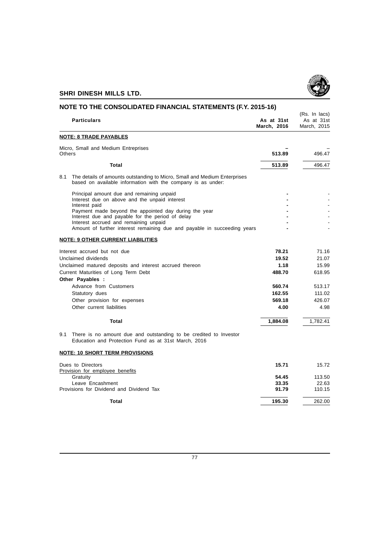

| NOTE TO THE CONSOLIDATED FINANCIAL STATEMENTS (F.Y. 2015-16) |                                                                                                                                                    |                           |                                            |  |  |  |  |
|--------------------------------------------------------------|----------------------------------------------------------------------------------------------------------------------------------------------------|---------------------------|--------------------------------------------|--|--|--|--|
|                                                              | <b>Particulars</b>                                                                                                                                 | As at 31st<br>March, 2016 | (Rs. In lacs)<br>As at 31st<br>March, 2015 |  |  |  |  |
|                                                              | <b>NOTE: 8 TRADE PAYABLES</b>                                                                                                                      |                           |                                            |  |  |  |  |
| Others                                                       | Micro, Small and Medium Entreprises                                                                                                                | 513.89                    | 496.47                                     |  |  |  |  |
|                                                              | <b>Total</b>                                                                                                                                       | 513.89                    | 496.47                                     |  |  |  |  |
| 8.1                                                          | The details of amounts outstanding to Micro, Small and Medium Enterprises<br>based on available information with the company is as under:          |                           |                                            |  |  |  |  |
|                                                              | Principal amount due and remaining unpaid<br>Interest due on above and the unpaid interest<br>Interest paid                                        |                           |                                            |  |  |  |  |
|                                                              | Payment made beyond the appointed day during the year<br>Interest due and payable for the period of delay<br>Interest accrued and remaining unpaid |                           |                                            |  |  |  |  |
|                                                              | Amount of further interest remaining due and payable in succeeding years                                                                           |                           |                                            |  |  |  |  |
|                                                              | <b>NOTE: 9 OTHER CURRENT LIABILITIES</b>                                                                                                           |                           |                                            |  |  |  |  |
|                                                              | Interest accrued but not due<br>Unclaimed dividends                                                                                                | 78.21<br>19.52            | 71.16<br>21.07                             |  |  |  |  |
|                                                              | Unclaimed matured deposits and interest accrued thereon<br>Current Maturities of Long Term Debt<br>Other Payables :                                | 1.18<br>488.70            | 15.99<br>618.95                            |  |  |  |  |
|                                                              | Advance from Customers<br>Statutory dues                                                                                                           | 560.74<br>162.55          | 513.17<br>111.02                           |  |  |  |  |
|                                                              | Other provision for expenses<br>Other current liabilities                                                                                          | 569.18<br>4.00            | 426.07<br>4.98                             |  |  |  |  |
|                                                              |                                                                                                                                                    |                           |                                            |  |  |  |  |
|                                                              | <b>Total</b>                                                                                                                                       | 1,884.08                  | 1,782.41                                   |  |  |  |  |
| 9.1                                                          | There is no amount due and outstanding to be credited to Investor<br>Education and Protection Fund as at 31st March, 2016                          |                           |                                            |  |  |  |  |
|                                                              | <b>NOTE: 10 SHORT TERM PROVISIONS</b>                                                                                                              |                           |                                            |  |  |  |  |
|                                                              | Dues to Directors<br>Provision for employee benefits                                                                                               | 15.71                     | 15.72                                      |  |  |  |  |
|                                                              | Gratuity<br>Leave Encashment                                                                                                                       | 54.45<br>33.35            | 113.50<br>22.63                            |  |  |  |  |
|                                                              | Provisions for Dividend and Dividend Tax                                                                                                           | 91.79                     | 110.15                                     |  |  |  |  |
|                                                              | <b>Total</b>                                                                                                                                       | 195.30                    | 262.00                                     |  |  |  |  |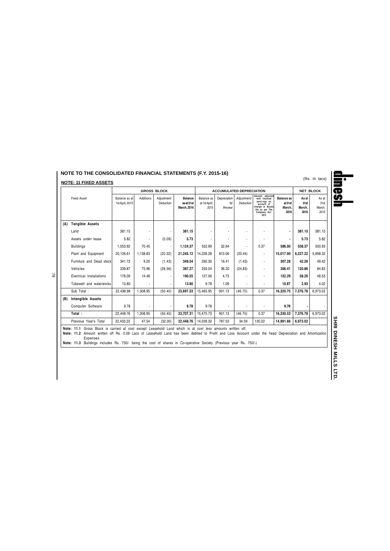# **NOTE TO THE CONSOLIDATED FINANCIAL STATEMENTS (F.Y. 2015-16)**

78

|                          |                                  | <b>GROSS BLOCK</b>       |                          |                                                 |                                     | <b>ACCUMULATED DEPRECIATION</b> |                          |                                                                                                                               |                                                | <b>NET BLOCK</b>                |                                 |
|--------------------------|----------------------------------|--------------------------|--------------------------|-------------------------------------------------|-------------------------------------|---------------------------------|--------------------------|-------------------------------------------------------------------------------------------------------------------------------|------------------------------------------------|---------------------------------|---------------------------------|
| <b>Fixed Asset</b>       | Balance as at<br>1st April, 2015 | Additions                | Adjustment/<br>Deduction | <b>Balance</b><br>asat31st<br><b>March.2016</b> | Balance as<br>at 1st April.<br>2015 | Depreciation<br>for<br>the year | Adjustment/<br>Deduction | Amount adjusted<br>with retained<br>earni-ngs on<br>account of<br>change in Asset:<br>life as per The<br>Company Act.<br>2013 | <b>Balance as</b><br>at 31st<br>March.<br>2016 | As at<br>31st<br>March.<br>2016 | As at<br>31st<br>March.<br>2015 |
| <b>Tangible Assets</b>   |                                  |                          |                          |                                                 |                                     |                                 |                          |                                                                                                                               |                                                |                                 |                                 |
| Land                     | 381.15                           | ٠                        |                          | 381.15                                          |                                     |                                 |                          |                                                                                                                               | ٠                                              | 381.15                          | 381.15                          |
| Assets under lease       | 5.82                             | ٠                        | (0.09)                   | 5.73                                            |                                     |                                 |                          |                                                                                                                               | ٠                                              | 5.73                            | 5.82                            |
| <b>Buildings</b>         | 1.053.92                         | 70.45                    |                          | 1.124.37                                        | 552.99                              | 32.64                           |                          | 0.37                                                                                                                          | 586.00                                         | 538.37                          | 500.93                          |
| Plant and Equipment      | 20.126.61                        | 1.138.83                 | (20.32)                  | 21,245.12                                       | 14.228.28                           | 810.06                          | (20.44)                  | ٠                                                                                                                             | 15.017.90                                      | 6,227.22                        | 5,898.32                        |
| Furniture and Dead stock | 341.72                           | 9.25                     | (1.43)                   | 349.54                                          | 292.30                              | 16.41                           | (1.43)                   | $\overline{\phantom{a}}$                                                                                                      | 307.28                                         | 42.26                           | 49.42                           |
| Vehicles                 | 339.87                           | 75.96                    | (28.56)                  | 387.27                                          | 255.04                              | 36.20                           | (24.83)                  |                                                                                                                               | 266.41                                         | 120.86                          | 84.83                           |
| Electrical Installations | 176.09                           | 14.46                    |                          | 190.55                                          | 127.56                              | 4.73                            |                          | ٠                                                                                                                             | 132.29                                         | 58.26                           | 48.53                           |
| Tubewell and waterworks  | 13.80                            | $\blacksquare$           | $\overline{a}$           | 13.80                                           | 9.78                                | 1.09                            |                          |                                                                                                                               | 10.87                                          | 2.93                            | 4.02                            |
| Sub Total:               | 22.438.98                        | 1.308.95                 | (50.40)                  | 23.697.53                                       | 15.465.95                           | 901.13                          | (46.70)                  | 0.37                                                                                                                          | 16.320.75                                      | 7.376.78                        | 6.973.02                        |
| Intangible Assets<br>(B) |                                  |                          |                          |                                                 |                                     |                                 |                          |                                                                                                                               |                                                |                                 |                                 |
| Computer Software        | 9.78                             | $\overline{\phantom{a}}$ |                          | 9.78                                            | 9.78                                |                                 |                          |                                                                                                                               | 9.78                                           |                                 |                                 |
| Total:                   | 22.448.76                        | 1.308.95                 | (50.40)                  | 23.707.31                                       | 15.475.73                           | 901.13                          | (46.70)                  | 0.37                                                                                                                          | 16.330.53                                      | 7,376.78                        | 6.973.02                        |
| Previous Year's Total    | 22.433.22                        | 47.54                    | (32.00)                  | 22.448.76                                       | 14.039.32                           | 787.53                          | 34.59                    | 130.22                                                                                                                        | 14.991.66                                      | 6.973.02                        |                                 |

(Rs. In lacs)

**SHRI DINESH MILLS LTD.** ESH MILLS LTD.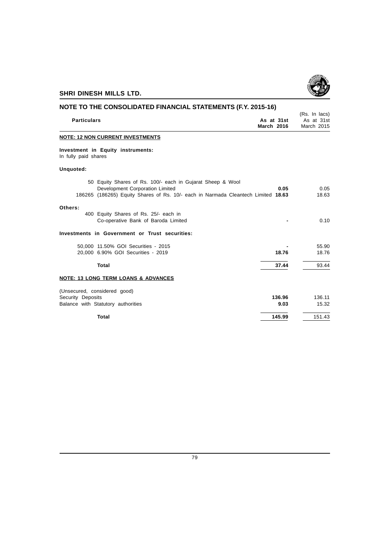

| NOTE TO THE CONSOLIDATED FINANCIAL STATEMENTS (F.Y. 2015-16)                                                                                                                       |                                 |                |                                           |  |  |  |  |
|------------------------------------------------------------------------------------------------------------------------------------------------------------------------------------|---------------------------------|----------------|-------------------------------------------|--|--|--|--|
| <b>Particulars</b>                                                                                                                                                                 | As at 31st<br><b>March 2016</b> |                | (Rs. In lacs)<br>As at 31st<br>March 2015 |  |  |  |  |
| <b>NOTE: 12 NON CURRENT INVESTMENTS</b>                                                                                                                                            |                                 |                |                                           |  |  |  |  |
| Investment in Equity instruments:<br>In fully paid shares                                                                                                                          |                                 |                |                                           |  |  |  |  |
| Unquoted:                                                                                                                                                                          |                                 |                |                                           |  |  |  |  |
| 50 Equity Shares of Rs. 100/- each in Gujarat Sheep & Wool<br>Development Corporation Limited<br>186265 (186265) Equity Shares of Rs. 10/- each in Narmada Cleantech Limited 18.63 |                                 | 0.05           | 0.05<br>18.63                             |  |  |  |  |
| Others:<br>400 Equity Shares of Rs. 25/- each in<br>Co-operative Bank of Baroda Limited                                                                                            |                                 |                | 0.10                                      |  |  |  |  |
| Investments in Government or Trust securities:                                                                                                                                     |                                 |                |                                           |  |  |  |  |
| 50,000 11.50% GOI Securities - 2015<br>20,000 6.90% GOI Securities - 2019                                                                                                          |                                 | 18.76          | 55.90<br>18.76                            |  |  |  |  |
| <b>Total</b>                                                                                                                                                                       |                                 | 37.44          | 93.44                                     |  |  |  |  |
| <b>NOTE: 13 LONG TERM LOANS &amp; ADVANCES</b>                                                                                                                                     |                                 |                |                                           |  |  |  |  |
| (Unsecured, considered good)<br>Security Deposits<br>Balance with Statutory authorities                                                                                            |                                 | 136.96<br>9.03 | 136.11<br>15.32                           |  |  |  |  |
| <b>Total</b>                                                                                                                                                                       |                                 | 145.99         | 151.43                                    |  |  |  |  |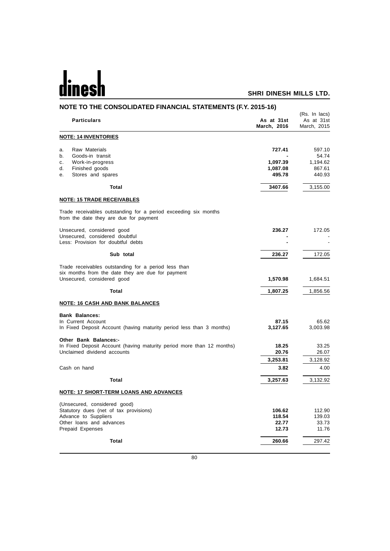# dinesh

| <b>NOTE TO THE CONSOLIDATED FINANCIAL STATEMENTS (F.Y. 2015-16)</b>                                                                                   |                                    |                                            |
|-------------------------------------------------------------------------------------------------------------------------------------------------------|------------------------------------|--------------------------------------------|
| <b>Particulars</b>                                                                                                                                    | As at 31st<br>March, 2016          | (Rs. In lacs)<br>As at 31st<br>March, 2015 |
| <b>NOTE: 14 INVENTORIES</b>                                                                                                                           |                                    |                                            |
| Raw Materials<br>a.<br>Goods-in transit<br>b.<br>Work-in-progress<br>С.<br>Finished goods<br>d.                                                       | 727.41<br>1,097.39<br>1,087.08     | 597.10<br>54.74<br>1,194.62<br>867.61      |
| Stores and spares<br>е.                                                                                                                               | 495.78                             | 440.93                                     |
| <b>Total</b>                                                                                                                                          | 3407.66                            | 3,155.00                                   |
| <b>NOTE: 15 TRADE RECEIVABLES</b>                                                                                                                     |                                    |                                            |
| Trade receivables outstanding for a period exceeding six months<br>from the date they are due for payment                                             |                                    |                                            |
| Unsecured, considered good<br>Unsecured, considered doubtful<br>Less: Provision for doubtful debts                                                    | 236.27                             | 172.05                                     |
| Sub total                                                                                                                                             | 236.27                             | 172.05                                     |
| Trade receivables outstanding for a period less than<br>six months from the date they are due for payment<br>Unsecured, considered good               | 1,570.98                           | 1,684.51                                   |
| Total                                                                                                                                                 | 1,807.25                           | 1,856.56                                   |
| <b>NOTE: 16 CASH AND BANK BALANCES</b>                                                                                                                |                                    |                                            |
| <b>Bank Balances:</b>                                                                                                                                 |                                    |                                            |
| In Current Account<br>In Fixed Deposit Account (having maturity period less than 3 months)                                                            | 87.15<br>3,127.65                  | 65.62<br>3,003.98                          |
| Other Bank Balances:-<br>In Fixed Deposit Account (having maturity period more than 12 months)<br>Unclaimed dividend accounts                         | 18.25<br>20.76                     | 33.25<br>26.07                             |
|                                                                                                                                                       | 3,253.81                           | 3,128.92                                   |
| Cash on hand                                                                                                                                          | 3.82                               | 4.00                                       |
| Total                                                                                                                                                 | 3,257.63                           | 3,132.92                                   |
| <b>NOTE: 17 SHORT-TERM LOANS AND ADVANCES</b>                                                                                                         |                                    |                                            |
| (Unsecured, considered good)<br>Statutory dues (net of tax provisions)<br>Advance to Suppliers<br>Other loans and advances<br><b>Prepaid Expenses</b> | 106.62<br>118.54<br>22.77<br>12.73 | 112.90<br>139.03<br>33.73<br>11.76         |
| Total                                                                                                                                                 | 260.66                             | 297.42                                     |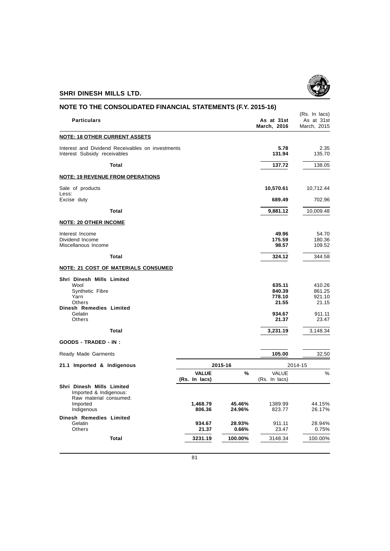

|                                                                                                              | <b>NOTE TO THE CONSOLIDATED FINANCIAL STATEMENTS (F.Y. 2015-16)</b> |                               |                  |                                               |                                               |
|--------------------------------------------------------------------------------------------------------------|---------------------------------------------------------------------|-------------------------------|------------------|-----------------------------------------------|-----------------------------------------------|
| <b>Particulars</b>                                                                                           |                                                                     |                               |                  | As at 31st<br>March, 2016                     | (Rs. In lacs)<br>As at 31st<br>March, 2015    |
| <b>NOTE: 18 OTHER CURRENT ASSETS</b>                                                                         |                                                                     |                               |                  |                                               |                                               |
| Interest Subsidy receivables                                                                                 | Interest and Dividend Receivables on investments                    |                               |                  | 5.78<br>131.94                                | 2.35<br>135.70                                |
|                                                                                                              | Total                                                               |                               |                  | 137.72                                        | 138.05                                        |
|                                                                                                              | <b>NOTE: 19 REVENUE FROM OPERATIONS</b>                             |                               |                  |                                               |                                               |
| Sale of products<br>Less:                                                                                    |                                                                     |                               |                  | 10,570.61                                     | 10,712.44                                     |
| Excise duty                                                                                                  |                                                                     |                               |                  | 689.49                                        | 702.96                                        |
|                                                                                                              | Total                                                               |                               |                  | 9,881.12                                      | 10,009.48                                     |
| <b>NOTE: 20 OTHER INCOME</b>                                                                                 |                                                                     |                               |                  |                                               |                                               |
| Interest Income<br>Dividend Income<br>Miscellanous Income                                                    |                                                                     |                               |                  | 49.96<br>175.59<br>98.57                      | 54.70<br>180.36<br>109.52                     |
|                                                                                                              | Total                                                               |                               |                  | 324.12                                        | 344.58                                        |
|                                                                                                              | <b>NOTE: 21 COST OF MATERIALS CONSUMED</b>                          |                               |                  |                                               |                                               |
| Shri Dinesh Mills Limited<br>Wool<br>Synthetic Fibre<br>Yarn<br>Others<br>Dinesh Remedies Limited<br>Gelatin |                                                                     |                               |                  | 635.11<br>840.39<br>778.10<br>21.55<br>934.67 | 410.26<br>861.25<br>921.10<br>21.15<br>911.11 |
| <b>Others</b>                                                                                                |                                                                     |                               |                  | 21.37                                         | 23.47                                         |
|                                                                                                              | Total                                                               |                               |                  | 3,231.19                                      | 3,148.34                                      |
| <b>GOODS - TRADED - IN:</b>                                                                                  |                                                                     |                               |                  |                                               |                                               |
| Ready Made Garments                                                                                          |                                                                     |                               |                  | 105.00                                        | 32.50                                         |
| 21.1 Imported & Indigenous                                                                                   |                                                                     |                               | 2015-16          |                                               | 2014-15                                       |
|                                                                                                              |                                                                     | <b>VALUE</b><br>(Rs. In lacs) | %                | <b>VALUE</b><br>(Rs. In lacs)                 | %                                             |
| Shri Dinesh Mills Limited<br>Imported & Indigenous:<br>Raw material consumed:<br>Imported<br>Indigenous      |                                                                     | 1,468.79<br>806.36            | 45.46%<br>24.96% | 1389.99                                       | 44.15%                                        |
| Dinesh Remedies Limited                                                                                      |                                                                     |                               |                  | 823.77                                        | 26.17%                                        |
| Gelatin<br>Others                                                                                            |                                                                     | 934.67<br>21.37               | 28.93%<br>0.66%  | 911.11<br>23.47                               | 28.94%<br>0.75%                               |
|                                                                                                              | <b>Total</b>                                                        | 3231.19                       | 100.00%          | 3148.34                                       | 100.00%                                       |
|                                                                                                              |                                                                     |                               |                  |                                               |                                               |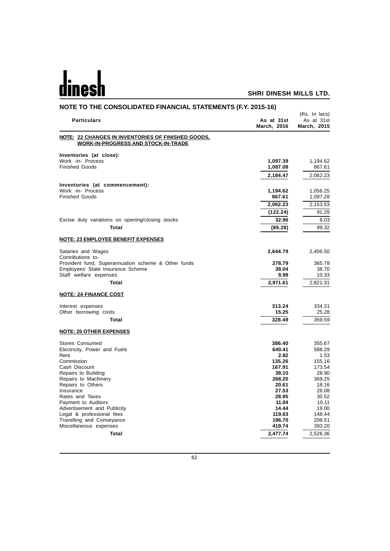# dinesh

| <b>NOTE TO THE CONSOLIDATED FINANCIAL STATEMENTS (F.Y. 2015-16)</b>                                     |                           | (Rs. In lacs)             |
|---------------------------------------------------------------------------------------------------------|---------------------------|---------------------------|
| <b>Particulars</b>                                                                                      | As at 31st<br>March, 2016 | As at 31st<br>March, 2015 |
| <u>NOTE: 22 CHANGES IN INVENTORIES OF FINISHED GOODS,</u><br><b>WORK-IN-PROGRESS AND STOCK-IN-TRADE</b> |                           |                           |
| Inventories (at close):                                                                                 |                           |                           |
| Work -in- Process                                                                                       | 1,097.39                  | 1,194.62                  |
| <b>Finished Goods</b>                                                                                   | 1,087.08                  | 867.61                    |
|                                                                                                         | 2,184.47                  | 2.062.23                  |
| Inventories (at commencement):                                                                          |                           |                           |
| Work -in- Process                                                                                       | 1,194.62                  | 1,056.25                  |
| <b>Finished Goods</b>                                                                                   | 867.61                    | 1,097.28                  |
|                                                                                                         | 2,062.23                  | 2,153.53                  |
|                                                                                                         | (122.24)                  | 91.29                     |
| Excise duty variations on opening/closing stocks                                                        | 32.96                     | 8.03                      |
| Total                                                                                                   | (89.28)                   | 99.32                     |
| <b>NOTE: 23 EMPLOYEE BENEFIT EXPENSES</b>                                                               |                           |                           |
| Salaries and Wages                                                                                      | 2,644.79                  | 2,406.50                  |
| Contributions to-<br>Provident fund, Superannuation scheme & Other funds                                | 278.79                    | 365.78                    |
| Employees' State Insurance Scheme                                                                       | 38.04                     | 38.70                     |
| Staff welfare expenses                                                                                  | 9.99                      | 10.33                     |
| Total                                                                                                   | 2,971.61                  | 2,821.31                  |
| <b>NOTE: 24 FINANCE COST</b>                                                                            |                           |                           |
| Interest expenses                                                                                       | 313.24                    | 334.31                    |
| Other borrowing costs                                                                                   | 15.25                     | 25.28                     |
| Total                                                                                                   | 328.49                    | 359.59                    |
| <b>NOTE: 25 OTHER EXPENSES</b>                                                                          |                           |                           |
| <b>Stores Consumed</b>                                                                                  | 386.40                    | 355.67                    |
| Electricity, Power and Fuels                                                                            | 640.41                    | 588.29                    |
| Rent<br>Commission                                                                                      | 2.82<br>135.26            | 1.53<br>155.16            |
| Cash Discount                                                                                           | 167.91                    | 173.54                    |
| Repairs to Building                                                                                     | 38.10                     | 28.90                     |
| Repairs to Machinery                                                                                    | 268.20                    | 369.25                    |
| Repairs to Others                                                                                       | 20.61                     | 18.16                     |
| Insurance                                                                                               | 27.53                     | 26.08                     |
| Rates and Taxes<br>Payment to Auditors                                                                  | 28.95<br>11.04            | 30.52<br>10.11            |
| Advertisement and Publicity                                                                             | 14.44                     | 19.00                     |
| Legal & professional fees                                                                               | 119.63                    | 148.44                    |
| Travelling and Conveyance                                                                               | 196.70                    | 208.51                    |
| Miscellaneous expenses                                                                                  | 419.74                    | 393.20                    |
| Total                                                                                                   | 2,477.74                  | 2,526.36                  |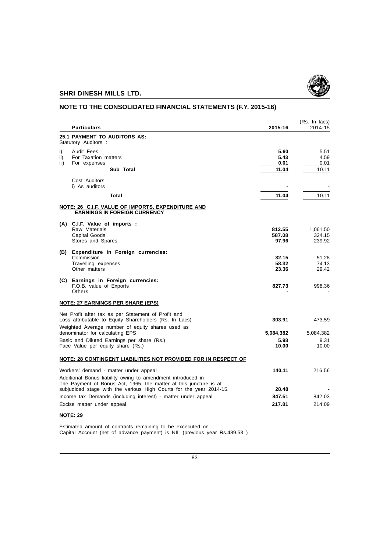

# **NOTE TO THE CONSOLIDATED FINANCIAL STATEMENTS (F.Y. 2015-16)**

|             |                                                                                                                                      |                 | (Rs. In lacs)    |
|-------------|--------------------------------------------------------------------------------------------------------------------------------------|-----------------|------------------|
|             | <b>Particulars</b>                                                                                                                   | 2015-16         | 2014-15          |
|             | <b>25.1 PAYMENT TO AUDITORS AS:</b>                                                                                                  |                 |                  |
|             | Statutory Auditors :                                                                                                                 |                 |                  |
| i)          | Audit Fees                                                                                                                           | 5.60            | 5.51             |
| ii)<br>iii) | For Taxation matters<br>For expenses                                                                                                 | 5.43<br>0.01    | 4.59<br>0.01     |
|             | Sub Total                                                                                                                            | 11.04           | 10.11            |
|             | Cost Auditors:                                                                                                                       |                 |                  |
|             | i) As auditors                                                                                                                       |                 |                  |
|             | Total                                                                                                                                | 11.04           | 10.11            |
|             | NOTE: 26 C.I.F. VALUE OF IMPORTS, EXPENDITURE AND<br><b>EARNINGS IN FOREIGN CURRENCY</b>                                             |                 |                  |
|             | (A) C.I.F. Value of imports :                                                                                                        |                 |                  |
|             | Raw Materials                                                                                                                        | 812.55          | 1.061.50         |
|             | Capital Goods<br>Stores and Spares                                                                                                   | 587.08<br>97.96 | 324.15<br>239.92 |
|             |                                                                                                                                      |                 |                  |
|             | (B) Expenditure in Foreign currencies:<br>Commission                                                                                 | 32.15           | 51.28            |
|             | Travelling expenses                                                                                                                  | 58.32           | 74.13            |
|             | Other matters                                                                                                                        | 23.36           | 29.42            |
|             | (C) Earnings in Foreign currencies:                                                                                                  |                 |                  |
|             | F.O.B. value of Exports                                                                                                              | 827.73          | 998.36           |
|             | Others                                                                                                                               |                 |                  |
|             | <u>NOTE: 27 EARNINGS PER SHARE (EPS)</u>                                                                                             |                 |                  |
|             | Net Profit after tax as per Statement of Profit and                                                                                  |                 |                  |
|             | Loss attributable to Equity Shareholders (Rs. In Lacs)                                                                               | 303.91          | 473.59           |
|             | Weighted Average number of equity shares used as                                                                                     |                 |                  |
|             | denominator for calculating EPS                                                                                                      | 5,084,382       | 5,084,382        |
|             | Basic and Diluted Earnings per share (Rs.)<br>Face Value per equity share (Rs.)                                                      | 5.98<br>10.00   | 9.31<br>10.00    |
|             |                                                                                                                                      |                 |                  |
|             | NOTE: 28 CONTINGENT LIABILITIES NOT PROVIDED FOR IN RESPECT OF                                                                       |                 |                  |
|             | Workers' demand - matter under appeal                                                                                                | 140.11          | 216.56           |
|             | Additional Bonus liability owing to amendment introduced in                                                                          |                 |                  |
|             | The Payment of Bonus Act, 1965, the matter at this juncture is at                                                                    |                 |                  |
|             | subjudiced stage with the various High Courts for the year 2014-15.<br>Income tax Demands (including interest) - matter under appeal | 28.48<br>847.51 | 842.03           |
|             |                                                                                                                                      | 217.81          | 214.09           |
|             | Excise matter under appeal                                                                                                           |                 |                  |
|             | <b>NOTE: 29</b>                                                                                                                      |                 |                  |

Estimated amount of contracts remaining to be excecuted on Capital Account (net of advance payment) is NIL (previous year Rs.489.53 )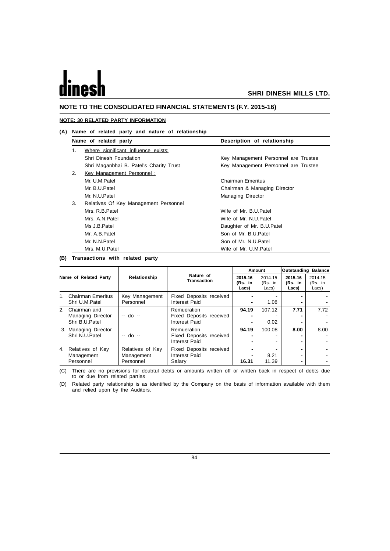# nesh

### **SHRI DINESH MILLS LTD.**

## **NOTE TO THE CONSOLIDATED FINANCIAL STATEMENTS (F.Y. 2015-16)**

### **NOTE: 30 RELATED PARTY INFORMATION**

#### **(A) Name of related party and nature of relationship**

|    | Name of related party                   | Description of relationship          |
|----|-----------------------------------------|--------------------------------------|
| 1. | Where significant influence exists:     |                                      |
|    | Shri Dinesh Foundation                  | Key Management Personnel are Trustee |
|    | Shri Maganbhai B. Patel's Charity Trust | Key Management Personnel are Trustee |
| 2. | Key Management Personnel:               |                                      |
|    | Mr. U.M.Patel                           | <b>Chairman Emeritus</b>             |
|    | Mr. B.U.Patel                           | Chairman & Managing Director         |
|    | Mr. N.U.Patel                           | Managing Director                    |
| 3. | Relatives Of Key Management Personnel   |                                      |
|    | Mrs. R.B.Patel                          | Wife of Mr. B.U.Patel                |
|    | Mrs. A.N.Patel                          | Wife of Mr. N.U.Patel                |
|    | Ms J.B.Patel                            | Daughter of Mr. B.U. Patel           |
|    | Mr. A.B.Patel                           | Son of Mr. B.U.Patel                 |
|    | Mr. N.N.Patel                           | Son of Mr. N.U. Patel                |
|    | Mrs. M.U.Patel                          | Wife of Mr. U.M.Patel                |

### **(B) Transactions with related party**

|         |                                                            |                                             |                                                                |                             | Amount                      | <b>Outstanding Balance</b>  |                             |
|---------|------------------------------------------------------------|---------------------------------------------|----------------------------------------------------------------|-----------------------------|-----------------------------|-----------------------------|-----------------------------|
|         | Name of Related Party                                      | Relationship                                | Nature of<br>Transaction                                       | 2015-16<br>(Rs. in<br>Lacs) | 2014-15<br>(Rs. in<br>Lacs) | 2015-16<br>(Rs. in<br>Lacs) | 2014-15<br>(Rs. in<br>Lacs) |
| $1_{-}$ | <b>Chairman Emeritus</b><br>Shri U.M.Patel                 | Key Management<br>Personnel                 | Fixed Deposits received<br>Interest Paid                       |                             | 1.08                        |                             |                             |
| 2.      | Chairman and<br><b>Managing Director</b><br>Shri B.U.Patel | -- do --                                    | Remueration<br><b>Fixed Deposits received</b><br>Interest Paid | 94.19                       | 107.12<br>0.02              | 7.71                        | 7.72                        |
|         | 3. Managing Director<br>Shri N.U.Patel                     | -- do --                                    | Remueration<br><b>Fixed Deposits received</b><br>Interest Paid | 94.19                       | 100.08<br>٠                 | 8.00                        | 8.00                        |
|         | 4. Relatives of Key<br>Management<br>Personnel             | Relatives of Key<br>Management<br>Personnel | Fixed Deposits received<br>Interest Paid<br>Salary             | 16.31                       | 8.21<br>11.39               |                             |                             |

(C) There are no provisions for doubtul debts or amounts written off or written back in respect of debts due to or due from related parties

(D) Related party relationship is as identified by the Company on the basis of information available with them and relied upon by the Auditors.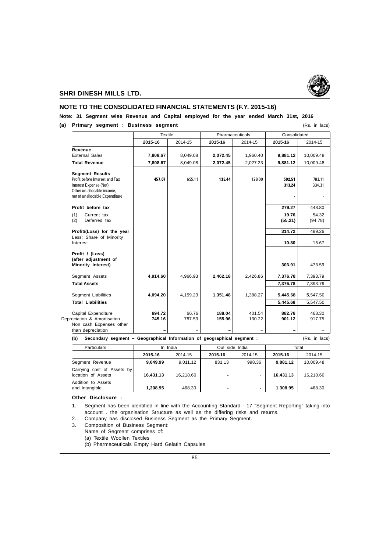

### **NOTE TO THE CONSOLIDATED FINANCIAL STATEMENTS (F.Y. 2015-16)**

**Note: 31 Segment wise Revenue and Capital employed for the year ended March 31st, 2016** (a) Primary segment : Business segment

Textile Pharmaceuticals Consolidated **2015-16** 2014-15 **2015-16** 2014-15 **2015-16** 2014-15 **Revenue** External Sales **7,808.67** 8,049.08 **2,072.45** 1,960.40 **9,881.12** 10,009.48 **Total Revenue 7,808.67** 8,049.08 **2,072.45** 2,027.23 **9,881.12** 10,009.48 **Segment Results** Profit before Interest and Tax 457.07 655.11 135.44 128.00 592.51 783.11 Interest Expense (Net) 313.24 334.31 Other un-allocable income, net of unallocable Expenditure **Profit before tax 279.27** 448.80 (1) Current tax **19.76** 54.32 (2) Deferred tax **(55.21)** (94.78) **Profit/(Loss) for the year 314.72 | 314.72 | 489.26** Less: Share of Minority<br>Interest Interest **10.80** 15.67 **Profit / (Loss) (after adjustment of Minority Interest) 303.91** 473.59 Segment Assets **4,914.60** 4,966.93 **2,462.18** 2,426.86 **7,376.78** 7,393.79 **Total Assets 7,376.78** 7,393.79 Segment Liabilities **4,094.20** 4,159.23 **1,351.48** 1,388.27 **5,445.68 5**,547.50 **Total Liabilities 5,445.68** 5,547.50 Capital Expenditure **694.72** 66.76 **188.04** 401.54 **882.76** 468.30 Depreciation & Amortisation **745.16** 787.53 **155.96** 130.22 **901.12** 917.75 Non cash Expenses other than depreciation **–** – **–** – **–** – **(b) Secondary segment – Geographical Information of geographical segment :** (Rs. in lacs) Particulars **In India In India Out side India In Total 2015-16** 2014-15 **2015-16** 2014-15 **2015-16** 2014-15 Segment Revenue **9,049.99** 9,011.12 831.13 998.36 **9,881.12** 10,009.48 Carrying cost of Assets by location of Assets **16,431.13** 16,218.60 **-** - **16,431.13** 16,218.60

#### **Other Disclosure :**

Addition to Assets

1. Segment has been identified in line with the Accounting Standard - 17 "Segment Reporting" taking into account . the organisation Structure as well as the differing risks and returns.

and Intangible **1,308.95** 468.30 **- - 1,308.95** 468.30

2. Company has disclosed Business Segment as the Primary Segment.

3. Composition of Business Segment:

Name of Segment comprises of:

(a) Textile Woollen Textiles

(b) Pharmaceuticals Empty Hard Gelatin Capsules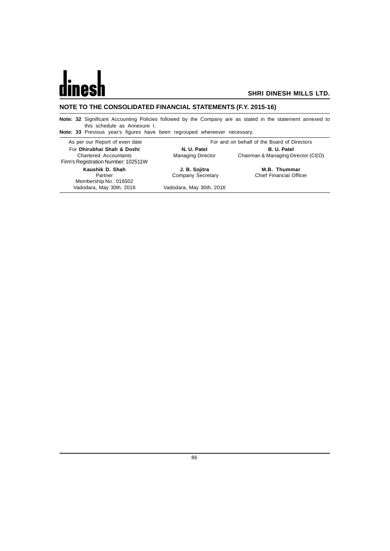## **NOTE TO THE CONSOLIDATED FINANCIAL STATEMENTS (F.Y. 2015-16)**

**Note: 32** Significant Accounting Policies followed by the Company are as stated in the statement annexed to this schedule as Annexure I.

**Note: 33** Previous year's figures have been regrouped whereever necessary.

As per our Report of even date For and on behalf of the Board of Directors For **Dhirubhai Shah & Doshi N. U. Patel B. U. Patel B. U. Patel Chartered Accountants Managing Director** Chairman & Managing Di Firm's Registration Number: 102511W

Chairman & Managing Director (CEO)

**Kaushik D. Shah**  $\begin{array}{ccc} \bullet & \bullet & \bullet \\ \bullet & \bullet & \bullet \end{array}$  **J. B. Sojitra and M.B. Thummar**<br>Partner Company Secretary Chief Financial Office

**Chief Financial Officer** 

Vadodara, May 30th, 2016

Membership No.: 016502<br>Vadodara, May 30th, 2016

86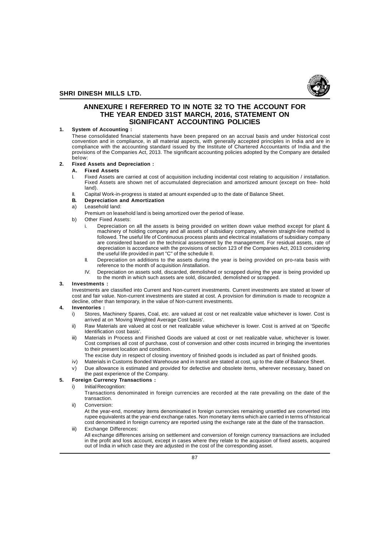

# **ANNEXURE I REFERRED TO IN NOTE 32 TO THE ACCOUNT FOR THE YEAR ENDED 31ST MARCH, 2016, STATEMENT ON SIGNIFICANT ACCOUNTING POLICIES**

#### **1. System of Accounting :**

These consolidated financial statements have been prepared on an accrual basis and under historical cost convention and in compliance, in all material aspects, with generally accepted principles in India and are in compliance with the accounting standard issued by the Institute of Chartered Accountants of India and the provisions of the Companies Act, 2013. The significant accounting policies adopted by the Company are detailed below:

#### **2. Fixed Assets and Depreciation :**

# **A. Fixed Assets**

- Fixed Assets are carried at cost of acquisition including incidental cost relating to acquisition / installation. Fixed Assets are shown net of accumulated depreciation and amortized amount (except on free- hold land).
- II. Capital Work-in-progress is stated at amount expended up to the date of Balance Sheet.

#### **B. Depreciation and Amortization**

- a) Leasehold land:
	- Premium on leasehold land is being amortized over the period of lease.
- b) Other Fixed Assets:
	- Depreciation on all the assets is being provided on written down value method except for plant & machinery of holding company and all assets of subsidiary company, wherein straight-line method is followed. The useful life of Continuous process plants and electrical installations of subsidiary company are considered based on the technical assessment by the management. For residual assets, rate of depreciation is accordance with the provisions of section 123 of the Companies Act, 2013 considering the useful life provided in part "C" of the schedule II.
	- II. Depreciation on additions to the assets during the year is being provided on pro-rata basis with reference to the month of acquisition /installation.
	- IV. Depreciation on assets sold, discarded, demolished or scrapped during the year is being provided up to the month in which such assets are sold, discarded, demolished or scrapped.

#### **3. Investments :**

Investments are classified into Current and Non-current investments. Current investments are stated at lower of cost and fair value. Non-current investments are stated at cost. A provision for diminution is made to recognize a decline, other than temporary, in the value of Non-current investments.

- **4. Inventories :**
	- i) Stores, Machinery Spares, Coal, etc. are valued at cost or net realizable value whichever is lower. Cost is arrived at on 'Moving Weighted Average Cost basis'.
	- ii) Raw Materials are valued at cost or net realizable value whichever is lower. Cost is arrived at on 'Specific Identification cost basis'.
	- iii) Materials in Process and Finished Goods are valued at cost or net realizable value, whichever is lower. Cost comprises all cost of purchase, cost of conversion and other costs incurred in bringing the inventories to their present location and condition.
	- The excise duty in respect of closing inventory of finished goods is included as part of finished goods.
	- iv) Materials in Customs Bonded Warehouse and in transit are stated at cost, up to the date of Balance Sheet.
	- v) Due allowance is estimated and provided for defective and obsolete items, wherever necessary, based on the past experience of the Company.

#### **5. Foreign Currency Transactions :**

- Initial Recognition:
	- Transactions denominated in foreign currencies are recorded at the rate prevailing on the date of the transaction.
- ii) Conversion:

At the year-end, monetary items denominated in foreign currencies remaining unsettled are converted into rupee equivalents at the year-end exchange rates. Non monetary items which are carried in terms of historical cost denominated in foreign currency are reported using the exchange rate at the date of the transaction.

iii) Exchange Differences:

All exchange differences arising on settlement and conversion of foreign currency transactions are included in the profit and loss account, except in cases where they relate to the acquision of fixed assets, acquired out of India in which case they are adjusted in the cost of the corresponding asset.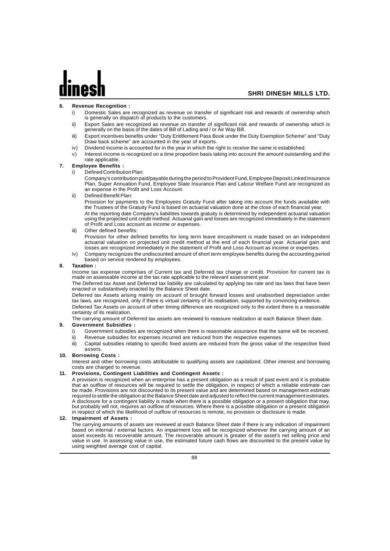#### **6. Revenue Recognition :**

- i) Domestic Sales are recognized as revenue on transfer of significant risk and rewards of ownership which is generally on dispatch of products to the customers.
- ii) Export Sales are recognized as revenue on transfer of significant risk and rewards of ownership which is generally on the basis of the dates of Bill of Lading and / or Air Way Bill.
- iii) Export incentives benefits under "Duty Entitlement Pass Book under the Duty Exemption Scheme" and "Duty Draw back scheme" are accounted in the year of exports.
- iv) Dividend income is accounted for in the year in which the right to receive the same is established.
- v) Interest income is recognized on a time proportion basis taking into account the amount outstanding and the rate applicable.

### **7. Employee Benefits :**

- Defined Contribution Plan:
	- Company's contribution paid/payable during the period to Provident Fund, Employee Deposit Linked Insurance Plan, Super Annuation Fund, Employee State Insurance Plan and Labour Welfare Fund are recognized as an expense in the Profit and Loss Account.
- Defined Benefit Plan:

Provision for payments to the Employees Gratuity Fund after taking into account the funds available with the Trustees of the Gratuity Fund is based on actuarial valuation done at the close of each financial year.

At the reporting date Company's liabilities towards gratuity is determined by independent actuarial valuation using the projected unit credit method. Actuarial gain and losses are recognized immediately in the statement of Profit and Loss account as income or expenses.

iii) Other defined benefits:

Provision for other defined benefits for long term leave encashment is made based on an independent actuarial valuation on projected unit credit method at the end of each financial year. Actuarial gain and losses are recognized immediately in the statement of Profit and Loss Account as income or expenses.

iv) Company recognizes the undiscounted amount of short term employee benefits during the accounting period based on service rendered by employees.

#### **8. Taxation :**

Income tax expense comprises of Current tax and Deferred tax charge or credit. Provision for current tax is made on assessable income at the tax rate applicable to the relevant assessment year.

The Deferred tax Asset and Deferred tax liability are calculated by applying tax rate and tax laws that have been enacted or substantively enacted by the Balance Sheet date.

Deferred tax Assets arising mainly on account of brought forward losses and unabsorbed depreciation under tax laws, are recognized, only if there is virtual certainty of its realisation, supported by convincing evidence. Deferred Tax Assets on account of other timing difference are recognized only to the extent there is a reasonable certainty of its realization.

The carrying amount of Deferred tax assets are reviewed to reassure realization at each Balance Sheet date.

#### **9. Government Subsidies :**

- i) Government subsidies are recognized when there is reasonable assurance that the same will be received.
- ii) Revenue subsidies for expenses incurred are reduced from the respective expenses.
- iii) Capital subsidies relating to specific fixed assets are reduced from the gross value of the respective fixed assets.

#### **10. Borrowing Costs :**

Interest and other borrowing costs attributable to qualifying assets are capitalized. Other interest and borrowing costs are charged to revenue.

#### **11. Provisions, Contingent Liabilities and Contingent Assets :**

A provision is recognized when an enterprise has a present obligation as a result of past event and it is probable that an outflow of resources will be required to settle the obligation, in respect of which a reliable estimate can be made. Provisions are not discounted to its present value and are determined based on management estimate required to settle the obligation at the Balance Sheet date and adjusted to reflect the current management estimates. A disclosure for a contingent liability is made when there is a possible obligation or a present obligation that may, but probably will not, requires an outflow of resources. Where there is a possible obligation or a present obligation in respect of which the likelihood of outflow of resources is remote, no provision or disclosure is made.

#### **12. Impairment of Assets :**

The carrying amounts of assets are reviewed at each Balance Sheet date if there is any indication of impairment based on internal / external factors. An impairment loss will be recognized wherever the carrying amount of an asset exceeds its recoverable amount. The recoverable amount is greater of the asset's net selling price and value in use. In assessing value in use, the estimated future cash flows are discounted to the present value by using weighted average cost of capital.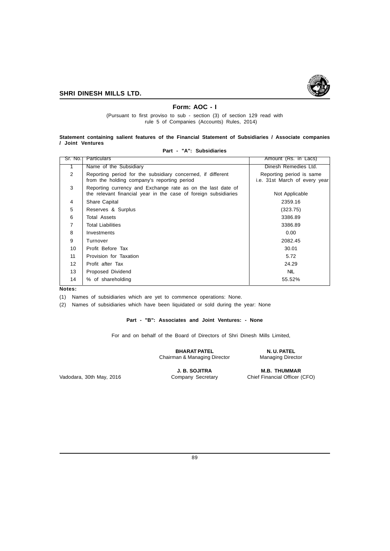

## **Form: AOC - I**

(Pursuant to first proviso to sub - section (3) of section 129 read with rule 5 of Companies (Accounts) Rules, 2014)

#### **Statement containing salient features of the Financial Statement of Subsidiaries / Associate companies / Joint Ventures Part - "A": Subsidiaries**

|  | Part - "A": Subsidiaries |  |
|--|--------------------------|--|
|  |                          |  |

| Sr. No.       | <b>Particulars</b>                                                                                                             | Amount (Rs. in Lacs)                                      |
|---------------|--------------------------------------------------------------------------------------------------------------------------------|-----------------------------------------------------------|
|               | Name of the Subsidiary                                                                                                         | Dinesh Remedies Ltd.                                      |
| $\mathcal{P}$ | Reporting period for the subsidiary concerned, if different<br>from the holding company's reporting period                     | Reporting period is same<br>i.e. 31st March of every year |
| 3             | Reporting currency and Exchange rate as on the last date of<br>the relevant financial year in the case of foreign subsidiaries | Not Applicable                                            |
| 4             | Share Capital                                                                                                                  | 2359.16                                                   |
| 5             | Reserves & Surplus                                                                                                             | (323.75)                                                  |
| 6             | Total Assets                                                                                                                   | 3386.89                                                   |
| 7             | <b>Total Liabilities</b>                                                                                                       | 3386.89                                                   |
| 8             | Investments                                                                                                                    | 0.00                                                      |
| 9             | Turnover                                                                                                                       | 2082.45                                                   |
| 10            | Profit Before Tax                                                                                                              | 30.01                                                     |
| 11            | Provision for Taxation                                                                                                         | 5.72                                                      |
| 12            | Profit after Tax                                                                                                               | 24.29                                                     |
| 13            | Proposed Dividend                                                                                                              | <b>NIL</b>                                                |
| 14            | % of shareholding                                                                                                              | 55.52%                                                    |

**Notes:**

(1) Names of subsidiaries which are yet to commence operations: None.

(2) Names of subsidiaries which have been liquidated or sold during the year: None

**Part - "B": Associates and Joint Ventures: - None**

For and on behalf of the Board of Directors of Shri Dinesh Mills Limited,

**BHARAT PATEL N. U. PATEL** Chairman & Managing Director Managing Director

**J. B. SOJITRA M.B. THUMMAR**<br>Company Secretary Chief Financial Officer Vadodara, 30th May, 2016 Company Secretary Chief Financial Officer (CFO)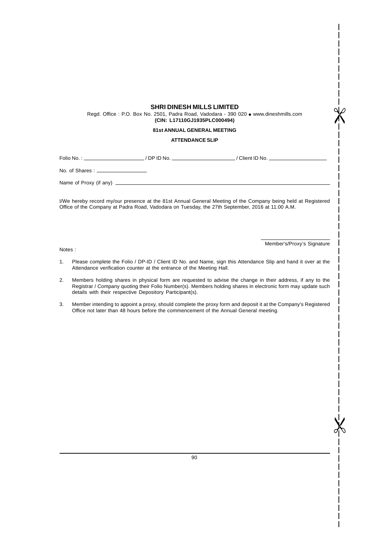#### **SHRI DINESH MILLS LIMITED**

Regd. Office : P.O. Box No. 2501, Padra Road, Vadodara - 390 020 · www.dineshmills.com **(CIN: L17110GJ1935PLC000494)**

# **81st ANNUAL GENERAL MEETING**

#### **ATTENDANCE SLIP**

|                                     | ————————————————————/ DP ID No. _____________________________/ Client ID No. _______________________          |
|-------------------------------------|---------------------------------------------------------------------------------------------------------------|
| No. of Shares : ___________________ |                                                                                                               |
|                                     |                                                                                                               |
|                                     | I/We hereby record my/our presence at the 81st Annual General Meeting of the Company being held at Registered |

Office of the Company at Padra Road, Vadodara on Tuesday, the 27th September, 2016 at 11.00 A.M.

Notes :

Member's/Proxy's Signature

 $\chi$ 

 $\chi$ 

- 1. Please complete the Folio / DP-ID / Client ID No. and Name, sign this Attendance Slip and hand it over at the Attendance verification counter at the entrance of the Meeting Hall.
- 2. Members holding shares in physical form are requested to advise the change in their address, if any to the Registrar / Company quoting their Folio Number(s). Members holding shares in electronic form may update such details with their respective Depository Participant(s).
- 3. Member intending to appoint a proxy, should complete the proxy form and deposit it at the Company's Registered Office not later than 48 hours before the commencement of the Annual General meeting.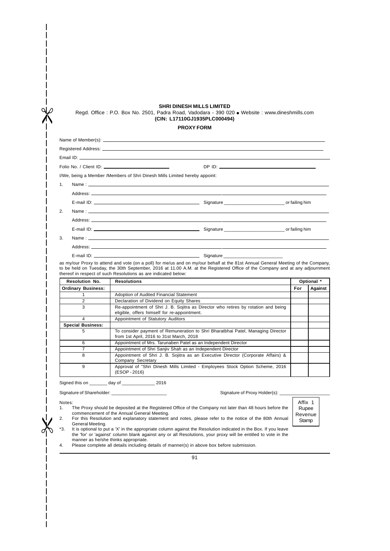**SHRI DINESH MILLS LIMITED**

Regd. Office : P.O. Box No. 2501, Padra Road, Vadodara - 390 020 • Website : www.dineshmills.com **(CIN: L17110GJ1935PLC000494)**

 $\Delta$ 

**PROXY FORM**

| Email ID: _______             |                                                                                                                                                                                                                                                                           |                  |         |
|-------------------------------|---------------------------------------------------------------------------------------------------------------------------------------------------------------------------------------------------------------------------------------------------------------------------|------------------|---------|
|                               |                                                                                                                                                                                                                                                                           |                  |         |
|                               | I/We, being a Member /Members of Shri Dinesh Mills Limited hereby appoint:                                                                                                                                                                                                |                  |         |
| 1.<br>Name: $\_\_$            |                                                                                                                                                                                                                                                                           |                  |         |
| Address: __                   |                                                                                                                                                                                                                                                                           |                  |         |
| $E$ -mail ID: $\_\_\_\_\_\_\$ |                                                                                                                                                                                                                                                                           |                  |         |
| 2.<br>Name: $\frac{1}{2}$     |                                                                                                                                                                                                                                                                           |                  |         |
| Address: __                   |                                                                                                                                                                                                                                                                           |                  |         |
|                               |                                                                                                                                                                                                                                                                           |                  |         |
| 3.                            |                                                                                                                                                                                                                                                                           |                  |         |
| Address: __________           |                                                                                                                                                                                                                                                                           |                  |         |
|                               |                                                                                                                                                                                                                                                                           |                  |         |
| E-mail ID: $\_\_$             | Signature<br>as my/our Proxy to attend and vote (on a poll) for me/us and on my/our behalf at the 81st Annual General Meeting of the Company,                                                                                                                             |                  |         |
| Resolution No.                | <b>Resolutions</b>                                                                                                                                                                                                                                                        | Optional *       |         |
| <b>Ordinary Business:</b>     |                                                                                                                                                                                                                                                                           | For              | Against |
| $\mathbf{1}$                  | Adoption of Audited Financial Statement                                                                                                                                                                                                                                   |                  |         |
| $\overline{2}$<br>3           | Declaration of Dividend on Equity Shares<br>Re-appointment of Shri J. B. Sojitra as Director who retires by rotation and being                                                                                                                                            |                  |         |
|                               |                                                                                                                                                                                                                                                                           |                  |         |
|                               | eligible, offers himself for re-appointment.                                                                                                                                                                                                                              |                  |         |
| 4                             | Appointment of Statutory Auditors                                                                                                                                                                                                                                         |                  |         |
| <b>Special Business:</b><br>5 | To consider payment of Remuneration to Shri Bharatbhai Patel, Managing Director                                                                                                                                                                                           |                  |         |
| $\overline{6}$                | from 1st April, 2016 to 31st March, 2018<br>Appointment of Mrs. Tarunaben Patel as an Independent Director                                                                                                                                                                |                  |         |
| $\overline{7}$                | Appointment of Shri Sanjiv Shah as an Independent Director                                                                                                                                                                                                                |                  |         |
| 8                             | Appointment of Shri J. B. Sojitra as an Executive Director (Corporate Affairs) &<br>Company Secretary                                                                                                                                                                     |                  |         |
| 9                             | Approval of "Shri Dinesh Mills Limited - Employees Stock Option Scheme, 2016<br>(ESOP - 2016)                                                                                                                                                                             |                  |         |
|                               | Signed this on _______ day of ________________ 2016                                                                                                                                                                                                                       |                  |         |
|                               | Signature of Proxy Holder(s): ______                                                                                                                                                                                                                                      |                  |         |
| Notes:                        |                                                                                                                                                                                                                                                                           | Affix 1          |         |
| 1.                            | The Proxy should be deposited at the Registered Office of the Company not later than 48 hours before the                                                                                                                                                                  | Rupee            |         |
| 2.                            | commencement of the Annual General Meeting.<br>For this Resolution and explanatory statement and notes, please refer to the notice of the 80th Annual                                                                                                                     | Revenue<br>Stamp |         |
| General Meeting.<br>*3.       | It is optional to put a 'X' in the appropriate column against the Resolution indicated in the Box. If you leave<br>the 'for' or 'against' column blank against any or all Resolutions, your proxy will be entitled to vote in the<br>manner as he/she thinks appropriate. |                  |         |